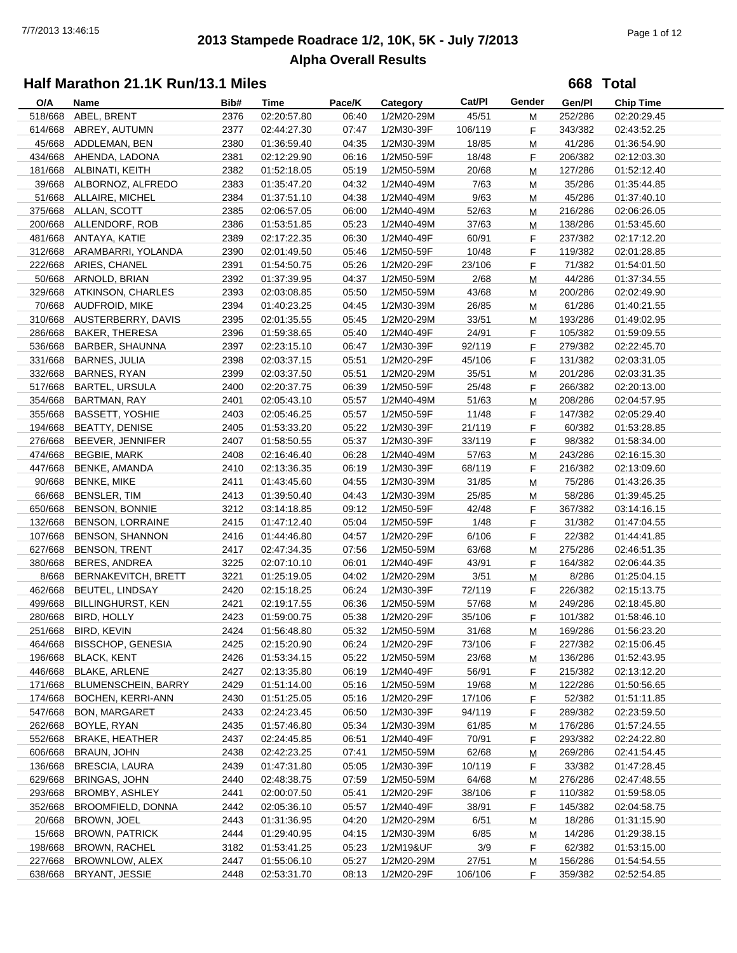# **2013 Stampede Roadrace 1/2, 10K, 5K - July 7/2013** 7/7/2013 13:46:15 Page 1 of 12 **Alpha Overall Results**

**668 Total**

| 45/51<br>518/668<br>ABEL, BRENT<br>2376<br>02:20:57.80<br>06:40<br>252/286<br>1/2M20-29M<br>02:20:29.45<br>М<br>ABREY, AUTUMN<br>614/668<br>2377<br>07:47<br>1/2M30-39F<br>106/119<br>343/382<br>02:44:27.30<br>F.<br>02:43:52.25<br>45/668 ADDLEMAN, BEN<br>2380<br>04:35<br>1/2M30-39M<br>18/85<br>41/286<br>01:36:59.40<br>M<br>01:36:54.90<br>2381<br>434/668<br>AHENDA, LADONA<br>02:12:29.90<br>06:16<br>1/2M50-59F<br>18/48<br>F<br>206/382<br>02:12:03.30<br>181/668 ALBINATI, KEITH<br>2382<br>01:52:18.05<br>05:19<br>20/68<br>1/2M50-59M<br>M<br>127/286<br>01:52:12.40<br>39/668 ALBORNOZ, ALFREDO<br>2383<br>04:32<br>7/63<br>35/286<br>01:35:47.20<br>1/2M40-49M<br>M<br>01:35:44.85<br>51/668 ALLAIRE, MICHEL<br>2384<br>04:38<br>1/2M40-49M<br>9/63<br>45/286<br>01:37:51.10<br>01:37:40.10<br>M<br>375/668<br>ALLAN, SCOTT<br>2385<br>02:06:57.05<br>06:00<br>1/2M40-49M<br>52/63<br>216/286<br>02:06:26.05<br>М<br>ALLENDORF, ROB<br>2386<br>05:23<br>37/63<br>200/668<br>01:53:51.85<br>1/2M40-49M<br>138/286<br>01:53:45.60<br>М<br>481/668<br>2389<br>60/91<br>ANTAYA, KATIE<br>02:17:22.35<br>06:30<br>1/2M40-49F<br>F<br>237/382<br>02:17:12.20<br>312/668 ARAMBARRI, YOLANDA<br>2390<br>10/48<br>119/382<br>02:01:49.50<br>05:46<br>1/2M50-59F<br>F<br>02:01:28.85<br>222/668 ARIES, CHANEL<br>2391<br>05:26<br>1/2M20-29F<br>23/106<br>F<br>71/382<br>01:54:50.75<br>01:54:01.50<br>50/668 ARNOLD, BRIAN<br>2392<br>01:37:39.95<br>04:37<br>2/68<br>44/286<br>1/2M50-59M<br>M<br>01:37:34.55<br>329/668<br><b>ATKINSON, CHARLES</b><br>2393<br>05:50<br>43/68<br>02:03:08.85<br>1/2M50-59M<br>200/286<br>02:02:49.90<br>М<br>70/668<br>AUDFROID, MIKE<br>2394<br>1/2M30-39M<br>01:40:23.25<br>04:45<br>26/85<br>61/286<br>01:40:21.55<br>М<br>310/668<br>AUSTERBERRY, DAVIS<br>2395<br>05:45<br>33/51<br>193/286<br>02:01:35.55<br>1/2M20-29M<br>01:49:02.95<br>М<br><b>BAKER, THERESA</b><br>2396<br>24/91<br>286/668<br>01:59:38.65<br>05:40<br>1/2M40-49F<br>F<br>105/382<br>01:59:09.55<br>536/668<br>2397<br>92/119<br>BARBER, SHAUNNA<br>02:23:15.10<br>06:47<br>1/2M30-39F<br>F<br>279/382<br>02:22:45.70<br>331/668<br><b>BARNES, JULIA</b><br>2398<br>05:51<br>45/106<br>131/382<br>02:03:37.15<br>1/2M20-29F<br>F<br>02:03:31.05<br>2399<br>332/668<br><b>BARNES, RYAN</b><br>05:51<br>1/2M20-29M<br>35/51<br>201/286<br>02:03:37.50<br>M<br>02:03:31.35<br>517/668<br><b>BARTEL, URSULA</b><br>2400<br>06:39<br>25/48<br>266/382<br>02:20:37.75<br>1/2M50-59F<br>F<br>02:20:13.00<br>354/668<br><b>BARTMAN, RAY</b><br>2401<br>05:57<br>51/63<br>208/286<br>02:05:43.10<br>1/2M40-49M<br>M<br>02:04:57.95<br>355/668<br><b>BASSETT, YOSHIE</b><br>2403<br>05:57<br>1/2M50-59F<br>11/48<br>147/382<br>02:05:29.40<br>02:05:46.25<br>F<br>194/668<br><b>BEATTY, DENISE</b><br>2405<br>01:53:33.20<br>05:22<br>1/2M30-39F<br>21/119<br>60/382<br>F<br>01:53:28.85<br>276/668<br>BEEVER, JENNIFER<br>2407<br>05:37<br>1/2M30-39F<br>98/382<br>01:58:50.55<br>33/119<br>F<br>01:58:34.00<br>474/668<br>57/63<br><b>BEGBIE, MARK</b><br>2408<br>02:16:46.40<br>06:28<br>1/2M40-49M<br>243/286<br>02:16:15.30<br>М<br>447/668<br><b>BENKE, AMANDA</b><br>2410<br>1/2M30-39F<br>68/119<br>02:13:36.35<br>06:19<br>F<br>216/382<br>02:13:09.60<br>90/668<br><b>BENKE, MIKE</b><br>2411<br>04:55<br>1/2M30-39M<br>31/85<br>75/286<br>01:43:45.60<br>M<br>01:43:26.35<br>66/668<br><b>BENSLER, TIM</b><br>2413<br>04:43<br>58/286<br>01:39:50.40<br>1/2M30-39M<br>25/85<br>01:39:45.25<br>М<br>650/668<br>BENSON, BONNIE<br>3212<br>09:12<br>1/2M50-59F<br>42/48<br>367/382<br>03:14:18.85<br>F<br>03:14:16.15<br>132/668<br><b>BENSON, LORRAINE</b><br>2415<br>05:04<br>1/2M50-59F<br>1/48<br>31/382<br>01:47:12.40<br>F<br>01:47:04.55<br>107/668<br><b>BENSON, SHANNON</b><br>2416<br>04:57<br>1/2M20-29F<br>6/106<br>22/382<br>01:44:46.80<br>F<br>01:44:41.85<br>627/668<br><b>BENSON, TRENT</b><br>07:56<br>2417<br>02:47:34.35<br>1/2M50-59M<br>63/68<br>275/286<br>02:46:51.35<br>м<br>380/668<br><b>BERES, ANDREA</b><br>3225<br>02:07:10.10<br>06:01<br>1/2M40-49F<br>43/91<br>F<br>164/382<br>02:06:44.35<br>8/668<br>BERNAKEVITCH, BRETT<br>3221<br>04:02<br>3/51<br>8/286<br>01:25:19.05<br>1/2M20-29M<br>01:25:04.15<br>M<br>462/668<br><b>BEUTEL, LINDSAY</b><br>2420<br>06:24<br>1/2M30-39F<br>72/119<br>F<br>226/382<br>02:15:18.25<br>02:15:13.75<br>499/668<br>2421<br>06:36<br>249/286<br><b>BILLINGHURST, KEN</b><br>02:19:17.55<br>1/2M50-59M<br>57/68<br>M<br>02:18:45.80<br>2423<br>05:38<br>280/668<br><b>BIRD, HOLLY</b><br>01:59:00.75<br>1/2M20-29F<br>35/106<br>F.<br>101/382<br>01:58:46.10<br>251/668 BIRD, KEVIN<br>2424<br>05:32<br>1/2M50-59M<br>31/68<br>169/286<br>01:56:23.20<br>01:56:48.80<br>M<br>464/668 BISSCHOP, GENESIA<br>2425<br>02:15:20.90<br>06:24<br>1/2M20-29F<br>73/106<br>227/382<br>02:15:06.45<br>F.<br><b>BLACK, KENT</b><br>196/668<br>2426<br>01:53:34.15<br>05:22<br>1/2M50-59M<br>23/68<br>136/286<br>01:52:43.95<br>M<br>446/668<br><b>BLAKE, ARLENE</b><br>2427<br>02:13:35.80<br>06:19<br>1/2M40-49F<br>56/91<br>215/382<br>02:13:12.20<br>F.<br>171/668<br><b>BLUMENSCHEIN, BARRY</b><br>2429<br>19/68<br>122/286<br>01:51:14.00<br>05:16<br>1/2M50-59M<br>01:50:56.65<br>M<br>174/668<br>BOCHEN, KERRI-ANN<br>2430<br>01:51:25.05<br>05:16<br>1/2M20-29F<br>17/106<br>52/382<br>F.<br>01:51:11.85<br>547/668<br>2433<br>06:50<br>94/119<br>F<br>289/382<br><b>BON, MARGARET</b><br>02:24:23.45<br>1/2M30-39F<br>02:23:59.50<br>262/668<br>05:34<br>BOYLE, RYAN<br>2435<br>01:57:46.80<br>1/2M30-39M<br>61/85<br>176/286<br>01:57:24.55<br>M<br>552/668<br>1/2M40-49F<br>70/91<br><b>BRAKE, HEATHER</b><br>2437<br>02:24:45.85<br>06:51<br>F.<br>293/382<br>02:24:22.80<br>606/668<br>BRAUN, JOHN<br>02:42:23.25<br>07:41<br>1/2M50-59M<br>62/68<br>2438<br>269/286<br>02:41:54.45<br>M<br>136/668<br><b>BRESCIA, LAURA</b><br>01:47:31.80<br>2439<br>05:05<br>1/2M30-39F<br>10/119<br>33/382<br>01:47:28.45<br>F.<br>629/668<br><b>BRINGAS, JOHN</b><br>2440<br>02:48:38.75<br>07:59<br>1/2M50-59M<br>64/68<br>276/286<br>02:47:48.55<br>M<br>293/668<br>BROMBY, ASHLEY<br>2441<br>02:00:07.50<br>05:41<br>1/2M20-29F<br>38/106<br>110/382<br>01:59:58.05<br>F.<br>352/668<br>BROOMFIELD, DONNA<br>2442<br>02:05:36.10<br>05:57<br>38/91<br>145/382<br>1/2M40-49F<br>F<br>02:04:58.75<br>20/668<br>BROWN, JOEL<br>04:20<br>2443<br>01:31:36.95<br>1/2M20-29M<br>6/51<br>18/286<br>01:31:15.90<br>M<br>15/668<br>14/286<br><b>BROWN, PATRICK</b><br>2444<br>01:29:40.95<br>04:15<br>1/2M30-39M<br>6/85<br>01:29:38.15<br>М<br>198/668<br>3/9<br>BROWN, RACHEL<br>3182<br>01:53:41.25<br>05:23<br>1/2M19&UF<br>F.<br>62/382<br>01:53:15.00<br>227/668<br>BROWNLOW, ALEX<br>01:55:06.10<br>05:27<br>27/51<br>2447<br>1/2M20-29M<br>156/286<br>01:54:54.55<br>M | O/A     | Name           | Bib# | Time        | Pace/K | Category   | Cat/PI  | Gender | Gen/Pl  | <b>Chip Time</b> |
|-------------------------------------------------------------------------------------------------------------------------------------------------------------------------------------------------------------------------------------------------------------------------------------------------------------------------------------------------------------------------------------------------------------------------------------------------------------------------------------------------------------------------------------------------------------------------------------------------------------------------------------------------------------------------------------------------------------------------------------------------------------------------------------------------------------------------------------------------------------------------------------------------------------------------------------------------------------------------------------------------------------------------------------------------------------------------------------------------------------------------------------------------------------------------------------------------------------------------------------------------------------------------------------------------------------------------------------------------------------------------------------------------------------------------------------------------------------------------------------------------------------------------------------------------------------------------------------------------------------------------------------------------------------------------------------------------------------------------------------------------------------------------------------------------------------------------------------------------------------------------------------------------------------------------------------------------------------------------------------------------------------------------------------------------------------------------------------------------------------------------------------------------------------------------------------------------------------------------------------------------------------------------------------------------------------------------------------------------------------------------------------------------------------------------------------------------------------------------------------------------------------------------------------------------------------------------------------------------------------------------------------------------------------------------------------------------------------------------------------------------------------------------------------------------------------------------------------------------------------------------------------------------------------------------------------------------------------------------------------------------------------------------------------------------------------------------------------------------------------------------------------------------------------------------------------------------------------------------------------------------------------------------------------------------------------------------------------------------------------------------------------------------------------------------------------------------------------------------------------------------------------------------------------------------------------------------------------------------------------------------------------------------------------------------------------------------------------------------------------------------------------------------------------------------------------------------------------------------------------------------------------------------------------------------------------------------------------------------------------------------------------------------------------------------------------------------------------------------------------------------------------------------------------------------------------------------------------------------------------------------------------------------------------------------------------------------------------------------------------------------------------------------------------------------------------------------------------------------------------------------------------------------------------------------------------------------------------------------------------------------------------------------------------------------------------------------------------------------------------------------------------------------------------------------------------------------------------------------------------------------------------------------------------------------------------------------------------------------------------------------------------------------------------------------------------------------------------------------------------------------------------------------------------------------------------------------------------------------------------------------------------------------------------------------------------------------------------------------------------------------------------------------------------------------------------------------------------------------------------------------------------------------------------------------------------------------------------------------------------------------------------------------------------------------------------------------------------------------------------------------------------------------------------------------------------------------------------------------------------------------------------------------------------------------------------------------------------------------------------------------------------------------------------------------------------------------------------------------------------------------------------------------------------------------------------------------------------------------------------------------------------------------------------------------------------------------------------------------------------------------------------------------------------------------------------------------------------------------------------------------------------------------------------------------------------------------------------------------------------------------------------------------------------------------------------------------------------------------------------------------------------------------------------------------------------------------------------------------------|---------|----------------|------|-------------|--------|------------|---------|--------|---------|------------------|
|                                                                                                                                                                                                                                                                                                                                                                                                                                                                                                                                                                                                                                                                                                                                                                                                                                                                                                                                                                                                                                                                                                                                                                                                                                                                                                                                                                                                                                                                                                                                                                                                                                                                                                                                                                                                                                                                                                                                                                                                                                                                                                                                                                                                                                                                                                                                                                                                                                                                                                                                                                                                                                                                                                                                                                                                                                                                                                                                                                                                                                                                                                                                                                                                                                                                                                                                                                                                                                                                                                                                                                                                                                                                                                                                                                                                                                                                                                                                                                                                                                                                                                                                                                                                                                                                                                                                                                                                                                                                                                                                                                                                                                                                                                                                                                                                                                                                                                                                                                                                                                                                                                                                                                                                                                                                                                                                                                                                                                                                                                                                                                                                                                                                                                                                                                                                                                                                                                                                                                                                                                                                                                                                                                                                                                                                                                                                                                                                                                                                                                                                                                                                                                                                                                                                                                                                                                                       |         |                |      |             |        |            |         |        |         |                  |
|                                                                                                                                                                                                                                                                                                                                                                                                                                                                                                                                                                                                                                                                                                                                                                                                                                                                                                                                                                                                                                                                                                                                                                                                                                                                                                                                                                                                                                                                                                                                                                                                                                                                                                                                                                                                                                                                                                                                                                                                                                                                                                                                                                                                                                                                                                                                                                                                                                                                                                                                                                                                                                                                                                                                                                                                                                                                                                                                                                                                                                                                                                                                                                                                                                                                                                                                                                                                                                                                                                                                                                                                                                                                                                                                                                                                                                                                                                                                                                                                                                                                                                                                                                                                                                                                                                                                                                                                                                                                                                                                                                                                                                                                                                                                                                                                                                                                                                                                                                                                                                                                                                                                                                                                                                                                                                                                                                                                                                                                                                                                                                                                                                                                                                                                                                                                                                                                                                                                                                                                                                                                                                                                                                                                                                                                                                                                                                                                                                                                                                                                                                                                                                                                                                                                                                                                                                                       |         |                |      |             |        |            |         |        |         |                  |
|                                                                                                                                                                                                                                                                                                                                                                                                                                                                                                                                                                                                                                                                                                                                                                                                                                                                                                                                                                                                                                                                                                                                                                                                                                                                                                                                                                                                                                                                                                                                                                                                                                                                                                                                                                                                                                                                                                                                                                                                                                                                                                                                                                                                                                                                                                                                                                                                                                                                                                                                                                                                                                                                                                                                                                                                                                                                                                                                                                                                                                                                                                                                                                                                                                                                                                                                                                                                                                                                                                                                                                                                                                                                                                                                                                                                                                                                                                                                                                                                                                                                                                                                                                                                                                                                                                                                                                                                                                                                                                                                                                                                                                                                                                                                                                                                                                                                                                                                                                                                                                                                                                                                                                                                                                                                                                                                                                                                                                                                                                                                                                                                                                                                                                                                                                                                                                                                                                                                                                                                                                                                                                                                                                                                                                                                                                                                                                                                                                                                                                                                                                                                                                                                                                                                                                                                                                                       |         |                |      |             |        |            |         |        |         |                  |
|                                                                                                                                                                                                                                                                                                                                                                                                                                                                                                                                                                                                                                                                                                                                                                                                                                                                                                                                                                                                                                                                                                                                                                                                                                                                                                                                                                                                                                                                                                                                                                                                                                                                                                                                                                                                                                                                                                                                                                                                                                                                                                                                                                                                                                                                                                                                                                                                                                                                                                                                                                                                                                                                                                                                                                                                                                                                                                                                                                                                                                                                                                                                                                                                                                                                                                                                                                                                                                                                                                                                                                                                                                                                                                                                                                                                                                                                                                                                                                                                                                                                                                                                                                                                                                                                                                                                                                                                                                                                                                                                                                                                                                                                                                                                                                                                                                                                                                                                                                                                                                                                                                                                                                                                                                                                                                                                                                                                                                                                                                                                                                                                                                                                                                                                                                                                                                                                                                                                                                                                                                                                                                                                                                                                                                                                                                                                                                                                                                                                                                                                                                                                                                                                                                                                                                                                                                                       |         |                |      |             |        |            |         |        |         |                  |
|                                                                                                                                                                                                                                                                                                                                                                                                                                                                                                                                                                                                                                                                                                                                                                                                                                                                                                                                                                                                                                                                                                                                                                                                                                                                                                                                                                                                                                                                                                                                                                                                                                                                                                                                                                                                                                                                                                                                                                                                                                                                                                                                                                                                                                                                                                                                                                                                                                                                                                                                                                                                                                                                                                                                                                                                                                                                                                                                                                                                                                                                                                                                                                                                                                                                                                                                                                                                                                                                                                                                                                                                                                                                                                                                                                                                                                                                                                                                                                                                                                                                                                                                                                                                                                                                                                                                                                                                                                                                                                                                                                                                                                                                                                                                                                                                                                                                                                                                                                                                                                                                                                                                                                                                                                                                                                                                                                                                                                                                                                                                                                                                                                                                                                                                                                                                                                                                                                                                                                                                                                                                                                                                                                                                                                                                                                                                                                                                                                                                                                                                                                                                                                                                                                                                                                                                                                                       |         |                |      |             |        |            |         |        |         |                  |
|                                                                                                                                                                                                                                                                                                                                                                                                                                                                                                                                                                                                                                                                                                                                                                                                                                                                                                                                                                                                                                                                                                                                                                                                                                                                                                                                                                                                                                                                                                                                                                                                                                                                                                                                                                                                                                                                                                                                                                                                                                                                                                                                                                                                                                                                                                                                                                                                                                                                                                                                                                                                                                                                                                                                                                                                                                                                                                                                                                                                                                                                                                                                                                                                                                                                                                                                                                                                                                                                                                                                                                                                                                                                                                                                                                                                                                                                                                                                                                                                                                                                                                                                                                                                                                                                                                                                                                                                                                                                                                                                                                                                                                                                                                                                                                                                                                                                                                                                                                                                                                                                                                                                                                                                                                                                                                                                                                                                                                                                                                                                                                                                                                                                                                                                                                                                                                                                                                                                                                                                                                                                                                                                                                                                                                                                                                                                                                                                                                                                                                                                                                                                                                                                                                                                                                                                                                                       |         |                |      |             |        |            |         |        |         |                  |
|                                                                                                                                                                                                                                                                                                                                                                                                                                                                                                                                                                                                                                                                                                                                                                                                                                                                                                                                                                                                                                                                                                                                                                                                                                                                                                                                                                                                                                                                                                                                                                                                                                                                                                                                                                                                                                                                                                                                                                                                                                                                                                                                                                                                                                                                                                                                                                                                                                                                                                                                                                                                                                                                                                                                                                                                                                                                                                                                                                                                                                                                                                                                                                                                                                                                                                                                                                                                                                                                                                                                                                                                                                                                                                                                                                                                                                                                                                                                                                                                                                                                                                                                                                                                                                                                                                                                                                                                                                                                                                                                                                                                                                                                                                                                                                                                                                                                                                                                                                                                                                                                                                                                                                                                                                                                                                                                                                                                                                                                                                                                                                                                                                                                                                                                                                                                                                                                                                                                                                                                                                                                                                                                                                                                                                                                                                                                                                                                                                                                                                                                                                                                                                                                                                                                                                                                                                                       |         |                |      |             |        |            |         |        |         |                  |
|                                                                                                                                                                                                                                                                                                                                                                                                                                                                                                                                                                                                                                                                                                                                                                                                                                                                                                                                                                                                                                                                                                                                                                                                                                                                                                                                                                                                                                                                                                                                                                                                                                                                                                                                                                                                                                                                                                                                                                                                                                                                                                                                                                                                                                                                                                                                                                                                                                                                                                                                                                                                                                                                                                                                                                                                                                                                                                                                                                                                                                                                                                                                                                                                                                                                                                                                                                                                                                                                                                                                                                                                                                                                                                                                                                                                                                                                                                                                                                                                                                                                                                                                                                                                                                                                                                                                                                                                                                                                                                                                                                                                                                                                                                                                                                                                                                                                                                                                                                                                                                                                                                                                                                                                                                                                                                                                                                                                                                                                                                                                                                                                                                                                                                                                                                                                                                                                                                                                                                                                                                                                                                                                                                                                                                                                                                                                                                                                                                                                                                                                                                                                                                                                                                                                                                                                                                                       |         |                |      |             |        |            |         |        |         |                  |
|                                                                                                                                                                                                                                                                                                                                                                                                                                                                                                                                                                                                                                                                                                                                                                                                                                                                                                                                                                                                                                                                                                                                                                                                                                                                                                                                                                                                                                                                                                                                                                                                                                                                                                                                                                                                                                                                                                                                                                                                                                                                                                                                                                                                                                                                                                                                                                                                                                                                                                                                                                                                                                                                                                                                                                                                                                                                                                                                                                                                                                                                                                                                                                                                                                                                                                                                                                                                                                                                                                                                                                                                                                                                                                                                                                                                                                                                                                                                                                                                                                                                                                                                                                                                                                                                                                                                                                                                                                                                                                                                                                                                                                                                                                                                                                                                                                                                                                                                                                                                                                                                                                                                                                                                                                                                                                                                                                                                                                                                                                                                                                                                                                                                                                                                                                                                                                                                                                                                                                                                                                                                                                                                                                                                                                                                                                                                                                                                                                                                                                                                                                                                                                                                                                                                                                                                                                                       |         |                |      |             |        |            |         |        |         |                  |
|                                                                                                                                                                                                                                                                                                                                                                                                                                                                                                                                                                                                                                                                                                                                                                                                                                                                                                                                                                                                                                                                                                                                                                                                                                                                                                                                                                                                                                                                                                                                                                                                                                                                                                                                                                                                                                                                                                                                                                                                                                                                                                                                                                                                                                                                                                                                                                                                                                                                                                                                                                                                                                                                                                                                                                                                                                                                                                                                                                                                                                                                                                                                                                                                                                                                                                                                                                                                                                                                                                                                                                                                                                                                                                                                                                                                                                                                                                                                                                                                                                                                                                                                                                                                                                                                                                                                                                                                                                                                                                                                                                                                                                                                                                                                                                                                                                                                                                                                                                                                                                                                                                                                                                                                                                                                                                                                                                                                                                                                                                                                                                                                                                                                                                                                                                                                                                                                                                                                                                                                                                                                                                                                                                                                                                                                                                                                                                                                                                                                                                                                                                                                                                                                                                                                                                                                                                                       |         |                |      |             |        |            |         |        |         |                  |
|                                                                                                                                                                                                                                                                                                                                                                                                                                                                                                                                                                                                                                                                                                                                                                                                                                                                                                                                                                                                                                                                                                                                                                                                                                                                                                                                                                                                                                                                                                                                                                                                                                                                                                                                                                                                                                                                                                                                                                                                                                                                                                                                                                                                                                                                                                                                                                                                                                                                                                                                                                                                                                                                                                                                                                                                                                                                                                                                                                                                                                                                                                                                                                                                                                                                                                                                                                                                                                                                                                                                                                                                                                                                                                                                                                                                                                                                                                                                                                                                                                                                                                                                                                                                                                                                                                                                                                                                                                                                                                                                                                                                                                                                                                                                                                                                                                                                                                                                                                                                                                                                                                                                                                                                                                                                                                                                                                                                                                                                                                                                                                                                                                                                                                                                                                                                                                                                                                                                                                                                                                                                                                                                                                                                                                                                                                                                                                                                                                                                                                                                                                                                                                                                                                                                                                                                                                                       |         |                |      |             |        |            |         |        |         |                  |
|                                                                                                                                                                                                                                                                                                                                                                                                                                                                                                                                                                                                                                                                                                                                                                                                                                                                                                                                                                                                                                                                                                                                                                                                                                                                                                                                                                                                                                                                                                                                                                                                                                                                                                                                                                                                                                                                                                                                                                                                                                                                                                                                                                                                                                                                                                                                                                                                                                                                                                                                                                                                                                                                                                                                                                                                                                                                                                                                                                                                                                                                                                                                                                                                                                                                                                                                                                                                                                                                                                                                                                                                                                                                                                                                                                                                                                                                                                                                                                                                                                                                                                                                                                                                                                                                                                                                                                                                                                                                                                                                                                                                                                                                                                                                                                                                                                                                                                                                                                                                                                                                                                                                                                                                                                                                                                                                                                                                                                                                                                                                                                                                                                                                                                                                                                                                                                                                                                                                                                                                                                                                                                                                                                                                                                                                                                                                                                                                                                                                                                                                                                                                                                                                                                                                                                                                                                                       |         |                |      |             |        |            |         |        |         |                  |
|                                                                                                                                                                                                                                                                                                                                                                                                                                                                                                                                                                                                                                                                                                                                                                                                                                                                                                                                                                                                                                                                                                                                                                                                                                                                                                                                                                                                                                                                                                                                                                                                                                                                                                                                                                                                                                                                                                                                                                                                                                                                                                                                                                                                                                                                                                                                                                                                                                                                                                                                                                                                                                                                                                                                                                                                                                                                                                                                                                                                                                                                                                                                                                                                                                                                                                                                                                                                                                                                                                                                                                                                                                                                                                                                                                                                                                                                                                                                                                                                                                                                                                                                                                                                                                                                                                                                                                                                                                                                                                                                                                                                                                                                                                                                                                                                                                                                                                                                                                                                                                                                                                                                                                                                                                                                                                                                                                                                                                                                                                                                                                                                                                                                                                                                                                                                                                                                                                                                                                                                                                                                                                                                                                                                                                                                                                                                                                                                                                                                                                                                                                                                                                                                                                                                                                                                                                                       |         |                |      |             |        |            |         |        |         |                  |
|                                                                                                                                                                                                                                                                                                                                                                                                                                                                                                                                                                                                                                                                                                                                                                                                                                                                                                                                                                                                                                                                                                                                                                                                                                                                                                                                                                                                                                                                                                                                                                                                                                                                                                                                                                                                                                                                                                                                                                                                                                                                                                                                                                                                                                                                                                                                                                                                                                                                                                                                                                                                                                                                                                                                                                                                                                                                                                                                                                                                                                                                                                                                                                                                                                                                                                                                                                                                                                                                                                                                                                                                                                                                                                                                                                                                                                                                                                                                                                                                                                                                                                                                                                                                                                                                                                                                                                                                                                                                                                                                                                                                                                                                                                                                                                                                                                                                                                                                                                                                                                                                                                                                                                                                                                                                                                                                                                                                                                                                                                                                                                                                                                                                                                                                                                                                                                                                                                                                                                                                                                                                                                                                                                                                                                                                                                                                                                                                                                                                                                                                                                                                                                                                                                                                                                                                                                                       |         |                |      |             |        |            |         |        |         |                  |
|                                                                                                                                                                                                                                                                                                                                                                                                                                                                                                                                                                                                                                                                                                                                                                                                                                                                                                                                                                                                                                                                                                                                                                                                                                                                                                                                                                                                                                                                                                                                                                                                                                                                                                                                                                                                                                                                                                                                                                                                                                                                                                                                                                                                                                                                                                                                                                                                                                                                                                                                                                                                                                                                                                                                                                                                                                                                                                                                                                                                                                                                                                                                                                                                                                                                                                                                                                                                                                                                                                                                                                                                                                                                                                                                                                                                                                                                                                                                                                                                                                                                                                                                                                                                                                                                                                                                                                                                                                                                                                                                                                                                                                                                                                                                                                                                                                                                                                                                                                                                                                                                                                                                                                                                                                                                                                                                                                                                                                                                                                                                                                                                                                                                                                                                                                                                                                                                                                                                                                                                                                                                                                                                                                                                                                                                                                                                                                                                                                                                                                                                                                                                                                                                                                                                                                                                                                                       |         |                |      |             |        |            |         |        |         |                  |
|                                                                                                                                                                                                                                                                                                                                                                                                                                                                                                                                                                                                                                                                                                                                                                                                                                                                                                                                                                                                                                                                                                                                                                                                                                                                                                                                                                                                                                                                                                                                                                                                                                                                                                                                                                                                                                                                                                                                                                                                                                                                                                                                                                                                                                                                                                                                                                                                                                                                                                                                                                                                                                                                                                                                                                                                                                                                                                                                                                                                                                                                                                                                                                                                                                                                                                                                                                                                                                                                                                                                                                                                                                                                                                                                                                                                                                                                                                                                                                                                                                                                                                                                                                                                                                                                                                                                                                                                                                                                                                                                                                                                                                                                                                                                                                                                                                                                                                                                                                                                                                                                                                                                                                                                                                                                                                                                                                                                                                                                                                                                                                                                                                                                                                                                                                                                                                                                                                                                                                                                                                                                                                                                                                                                                                                                                                                                                                                                                                                                                                                                                                                                                                                                                                                                                                                                                                                       |         |                |      |             |        |            |         |        |         |                  |
|                                                                                                                                                                                                                                                                                                                                                                                                                                                                                                                                                                                                                                                                                                                                                                                                                                                                                                                                                                                                                                                                                                                                                                                                                                                                                                                                                                                                                                                                                                                                                                                                                                                                                                                                                                                                                                                                                                                                                                                                                                                                                                                                                                                                                                                                                                                                                                                                                                                                                                                                                                                                                                                                                                                                                                                                                                                                                                                                                                                                                                                                                                                                                                                                                                                                                                                                                                                                                                                                                                                                                                                                                                                                                                                                                                                                                                                                                                                                                                                                                                                                                                                                                                                                                                                                                                                                                                                                                                                                                                                                                                                                                                                                                                                                                                                                                                                                                                                                                                                                                                                                                                                                                                                                                                                                                                                                                                                                                                                                                                                                                                                                                                                                                                                                                                                                                                                                                                                                                                                                                                                                                                                                                                                                                                                                                                                                                                                                                                                                                                                                                                                                                                                                                                                                                                                                                                                       |         |                |      |             |        |            |         |        |         |                  |
|                                                                                                                                                                                                                                                                                                                                                                                                                                                                                                                                                                                                                                                                                                                                                                                                                                                                                                                                                                                                                                                                                                                                                                                                                                                                                                                                                                                                                                                                                                                                                                                                                                                                                                                                                                                                                                                                                                                                                                                                                                                                                                                                                                                                                                                                                                                                                                                                                                                                                                                                                                                                                                                                                                                                                                                                                                                                                                                                                                                                                                                                                                                                                                                                                                                                                                                                                                                                                                                                                                                                                                                                                                                                                                                                                                                                                                                                                                                                                                                                                                                                                                                                                                                                                                                                                                                                                                                                                                                                                                                                                                                                                                                                                                                                                                                                                                                                                                                                                                                                                                                                                                                                                                                                                                                                                                                                                                                                                                                                                                                                                                                                                                                                                                                                                                                                                                                                                                                                                                                                                                                                                                                                                                                                                                                                                                                                                                                                                                                                                                                                                                                                                                                                                                                                                                                                                                                       |         |                |      |             |        |            |         |        |         |                  |
|                                                                                                                                                                                                                                                                                                                                                                                                                                                                                                                                                                                                                                                                                                                                                                                                                                                                                                                                                                                                                                                                                                                                                                                                                                                                                                                                                                                                                                                                                                                                                                                                                                                                                                                                                                                                                                                                                                                                                                                                                                                                                                                                                                                                                                                                                                                                                                                                                                                                                                                                                                                                                                                                                                                                                                                                                                                                                                                                                                                                                                                                                                                                                                                                                                                                                                                                                                                                                                                                                                                                                                                                                                                                                                                                                                                                                                                                                                                                                                                                                                                                                                                                                                                                                                                                                                                                                                                                                                                                                                                                                                                                                                                                                                                                                                                                                                                                                                                                                                                                                                                                                                                                                                                                                                                                                                                                                                                                                                                                                                                                                                                                                                                                                                                                                                                                                                                                                                                                                                                                                                                                                                                                                                                                                                                                                                                                                                                                                                                                                                                                                                                                                                                                                                                                                                                                                                                       |         |                |      |             |        |            |         |        |         |                  |
|                                                                                                                                                                                                                                                                                                                                                                                                                                                                                                                                                                                                                                                                                                                                                                                                                                                                                                                                                                                                                                                                                                                                                                                                                                                                                                                                                                                                                                                                                                                                                                                                                                                                                                                                                                                                                                                                                                                                                                                                                                                                                                                                                                                                                                                                                                                                                                                                                                                                                                                                                                                                                                                                                                                                                                                                                                                                                                                                                                                                                                                                                                                                                                                                                                                                                                                                                                                                                                                                                                                                                                                                                                                                                                                                                                                                                                                                                                                                                                                                                                                                                                                                                                                                                                                                                                                                                                                                                                                                                                                                                                                                                                                                                                                                                                                                                                                                                                                                                                                                                                                                                                                                                                                                                                                                                                                                                                                                                                                                                                                                                                                                                                                                                                                                                                                                                                                                                                                                                                                                                                                                                                                                                                                                                                                                                                                                                                                                                                                                                                                                                                                                                                                                                                                                                                                                                                                       |         |                |      |             |        |            |         |        |         |                  |
|                                                                                                                                                                                                                                                                                                                                                                                                                                                                                                                                                                                                                                                                                                                                                                                                                                                                                                                                                                                                                                                                                                                                                                                                                                                                                                                                                                                                                                                                                                                                                                                                                                                                                                                                                                                                                                                                                                                                                                                                                                                                                                                                                                                                                                                                                                                                                                                                                                                                                                                                                                                                                                                                                                                                                                                                                                                                                                                                                                                                                                                                                                                                                                                                                                                                                                                                                                                                                                                                                                                                                                                                                                                                                                                                                                                                                                                                                                                                                                                                                                                                                                                                                                                                                                                                                                                                                                                                                                                                                                                                                                                                                                                                                                                                                                                                                                                                                                                                                                                                                                                                                                                                                                                                                                                                                                                                                                                                                                                                                                                                                                                                                                                                                                                                                                                                                                                                                                                                                                                                                                                                                                                                                                                                                                                                                                                                                                                                                                                                                                                                                                                                                                                                                                                                                                                                                                                       |         |                |      |             |        |            |         |        |         |                  |
|                                                                                                                                                                                                                                                                                                                                                                                                                                                                                                                                                                                                                                                                                                                                                                                                                                                                                                                                                                                                                                                                                                                                                                                                                                                                                                                                                                                                                                                                                                                                                                                                                                                                                                                                                                                                                                                                                                                                                                                                                                                                                                                                                                                                                                                                                                                                                                                                                                                                                                                                                                                                                                                                                                                                                                                                                                                                                                                                                                                                                                                                                                                                                                                                                                                                                                                                                                                                                                                                                                                                                                                                                                                                                                                                                                                                                                                                                                                                                                                                                                                                                                                                                                                                                                                                                                                                                                                                                                                                                                                                                                                                                                                                                                                                                                                                                                                                                                                                                                                                                                                                                                                                                                                                                                                                                                                                                                                                                                                                                                                                                                                                                                                                                                                                                                                                                                                                                                                                                                                                                                                                                                                                                                                                                                                                                                                                                                                                                                                                                                                                                                                                                                                                                                                                                                                                                                                       |         |                |      |             |        |            |         |        |         |                  |
|                                                                                                                                                                                                                                                                                                                                                                                                                                                                                                                                                                                                                                                                                                                                                                                                                                                                                                                                                                                                                                                                                                                                                                                                                                                                                                                                                                                                                                                                                                                                                                                                                                                                                                                                                                                                                                                                                                                                                                                                                                                                                                                                                                                                                                                                                                                                                                                                                                                                                                                                                                                                                                                                                                                                                                                                                                                                                                                                                                                                                                                                                                                                                                                                                                                                                                                                                                                                                                                                                                                                                                                                                                                                                                                                                                                                                                                                                                                                                                                                                                                                                                                                                                                                                                                                                                                                                                                                                                                                                                                                                                                                                                                                                                                                                                                                                                                                                                                                                                                                                                                                                                                                                                                                                                                                                                                                                                                                                                                                                                                                                                                                                                                                                                                                                                                                                                                                                                                                                                                                                                                                                                                                                                                                                                                                                                                                                                                                                                                                                                                                                                                                                                                                                                                                                                                                                                                       |         |                |      |             |        |            |         |        |         |                  |
|                                                                                                                                                                                                                                                                                                                                                                                                                                                                                                                                                                                                                                                                                                                                                                                                                                                                                                                                                                                                                                                                                                                                                                                                                                                                                                                                                                                                                                                                                                                                                                                                                                                                                                                                                                                                                                                                                                                                                                                                                                                                                                                                                                                                                                                                                                                                                                                                                                                                                                                                                                                                                                                                                                                                                                                                                                                                                                                                                                                                                                                                                                                                                                                                                                                                                                                                                                                                                                                                                                                                                                                                                                                                                                                                                                                                                                                                                                                                                                                                                                                                                                                                                                                                                                                                                                                                                                                                                                                                                                                                                                                                                                                                                                                                                                                                                                                                                                                                                                                                                                                                                                                                                                                                                                                                                                                                                                                                                                                                                                                                                                                                                                                                                                                                                                                                                                                                                                                                                                                                                                                                                                                                                                                                                                                                                                                                                                                                                                                                                                                                                                                                                                                                                                                                                                                                                                                       |         |                |      |             |        |            |         |        |         |                  |
|                                                                                                                                                                                                                                                                                                                                                                                                                                                                                                                                                                                                                                                                                                                                                                                                                                                                                                                                                                                                                                                                                                                                                                                                                                                                                                                                                                                                                                                                                                                                                                                                                                                                                                                                                                                                                                                                                                                                                                                                                                                                                                                                                                                                                                                                                                                                                                                                                                                                                                                                                                                                                                                                                                                                                                                                                                                                                                                                                                                                                                                                                                                                                                                                                                                                                                                                                                                                                                                                                                                                                                                                                                                                                                                                                                                                                                                                                                                                                                                                                                                                                                                                                                                                                                                                                                                                                                                                                                                                                                                                                                                                                                                                                                                                                                                                                                                                                                                                                                                                                                                                                                                                                                                                                                                                                                                                                                                                                                                                                                                                                                                                                                                                                                                                                                                                                                                                                                                                                                                                                                                                                                                                                                                                                                                                                                                                                                                                                                                                                                                                                                                                                                                                                                                                                                                                                                                       |         |                |      |             |        |            |         |        |         |                  |
|                                                                                                                                                                                                                                                                                                                                                                                                                                                                                                                                                                                                                                                                                                                                                                                                                                                                                                                                                                                                                                                                                                                                                                                                                                                                                                                                                                                                                                                                                                                                                                                                                                                                                                                                                                                                                                                                                                                                                                                                                                                                                                                                                                                                                                                                                                                                                                                                                                                                                                                                                                                                                                                                                                                                                                                                                                                                                                                                                                                                                                                                                                                                                                                                                                                                                                                                                                                                                                                                                                                                                                                                                                                                                                                                                                                                                                                                                                                                                                                                                                                                                                                                                                                                                                                                                                                                                                                                                                                                                                                                                                                                                                                                                                                                                                                                                                                                                                                                                                                                                                                                                                                                                                                                                                                                                                                                                                                                                                                                                                                                                                                                                                                                                                                                                                                                                                                                                                                                                                                                                                                                                                                                                                                                                                                                                                                                                                                                                                                                                                                                                                                                                                                                                                                                                                                                                                                       |         |                |      |             |        |            |         |        |         |                  |
|                                                                                                                                                                                                                                                                                                                                                                                                                                                                                                                                                                                                                                                                                                                                                                                                                                                                                                                                                                                                                                                                                                                                                                                                                                                                                                                                                                                                                                                                                                                                                                                                                                                                                                                                                                                                                                                                                                                                                                                                                                                                                                                                                                                                                                                                                                                                                                                                                                                                                                                                                                                                                                                                                                                                                                                                                                                                                                                                                                                                                                                                                                                                                                                                                                                                                                                                                                                                                                                                                                                                                                                                                                                                                                                                                                                                                                                                                                                                                                                                                                                                                                                                                                                                                                                                                                                                                                                                                                                                                                                                                                                                                                                                                                                                                                                                                                                                                                                                                                                                                                                                                                                                                                                                                                                                                                                                                                                                                                                                                                                                                                                                                                                                                                                                                                                                                                                                                                                                                                                                                                                                                                                                                                                                                                                                                                                                                                                                                                                                                                                                                                                                                                                                                                                                                                                                                                                       |         |                |      |             |        |            |         |        |         |                  |
|                                                                                                                                                                                                                                                                                                                                                                                                                                                                                                                                                                                                                                                                                                                                                                                                                                                                                                                                                                                                                                                                                                                                                                                                                                                                                                                                                                                                                                                                                                                                                                                                                                                                                                                                                                                                                                                                                                                                                                                                                                                                                                                                                                                                                                                                                                                                                                                                                                                                                                                                                                                                                                                                                                                                                                                                                                                                                                                                                                                                                                                                                                                                                                                                                                                                                                                                                                                                                                                                                                                                                                                                                                                                                                                                                                                                                                                                                                                                                                                                                                                                                                                                                                                                                                                                                                                                                                                                                                                                                                                                                                                                                                                                                                                                                                                                                                                                                                                                                                                                                                                                                                                                                                                                                                                                                                                                                                                                                                                                                                                                                                                                                                                                                                                                                                                                                                                                                                                                                                                                                                                                                                                                                                                                                                                                                                                                                                                                                                                                                                                                                                                                                                                                                                                                                                                                                                                       |         |                |      |             |        |            |         |        |         |                  |
|                                                                                                                                                                                                                                                                                                                                                                                                                                                                                                                                                                                                                                                                                                                                                                                                                                                                                                                                                                                                                                                                                                                                                                                                                                                                                                                                                                                                                                                                                                                                                                                                                                                                                                                                                                                                                                                                                                                                                                                                                                                                                                                                                                                                                                                                                                                                                                                                                                                                                                                                                                                                                                                                                                                                                                                                                                                                                                                                                                                                                                                                                                                                                                                                                                                                                                                                                                                                                                                                                                                                                                                                                                                                                                                                                                                                                                                                                                                                                                                                                                                                                                                                                                                                                                                                                                                                                                                                                                                                                                                                                                                                                                                                                                                                                                                                                                                                                                                                                                                                                                                                                                                                                                                                                                                                                                                                                                                                                                                                                                                                                                                                                                                                                                                                                                                                                                                                                                                                                                                                                                                                                                                                                                                                                                                                                                                                                                                                                                                                                                                                                                                                                                                                                                                                                                                                                                                       |         |                |      |             |        |            |         |        |         |                  |
|                                                                                                                                                                                                                                                                                                                                                                                                                                                                                                                                                                                                                                                                                                                                                                                                                                                                                                                                                                                                                                                                                                                                                                                                                                                                                                                                                                                                                                                                                                                                                                                                                                                                                                                                                                                                                                                                                                                                                                                                                                                                                                                                                                                                                                                                                                                                                                                                                                                                                                                                                                                                                                                                                                                                                                                                                                                                                                                                                                                                                                                                                                                                                                                                                                                                                                                                                                                                                                                                                                                                                                                                                                                                                                                                                                                                                                                                                                                                                                                                                                                                                                                                                                                                                                                                                                                                                                                                                                                                                                                                                                                                                                                                                                                                                                                                                                                                                                                                                                                                                                                                                                                                                                                                                                                                                                                                                                                                                                                                                                                                                                                                                                                                                                                                                                                                                                                                                                                                                                                                                                                                                                                                                                                                                                                                                                                                                                                                                                                                                                                                                                                                                                                                                                                                                                                                                                                       |         |                |      |             |        |            |         |        |         |                  |
|                                                                                                                                                                                                                                                                                                                                                                                                                                                                                                                                                                                                                                                                                                                                                                                                                                                                                                                                                                                                                                                                                                                                                                                                                                                                                                                                                                                                                                                                                                                                                                                                                                                                                                                                                                                                                                                                                                                                                                                                                                                                                                                                                                                                                                                                                                                                                                                                                                                                                                                                                                                                                                                                                                                                                                                                                                                                                                                                                                                                                                                                                                                                                                                                                                                                                                                                                                                                                                                                                                                                                                                                                                                                                                                                                                                                                                                                                                                                                                                                                                                                                                                                                                                                                                                                                                                                                                                                                                                                                                                                                                                                                                                                                                                                                                                                                                                                                                                                                                                                                                                                                                                                                                                                                                                                                                                                                                                                                                                                                                                                                                                                                                                                                                                                                                                                                                                                                                                                                                                                                                                                                                                                                                                                                                                                                                                                                                                                                                                                                                                                                                                                                                                                                                                                                                                                                                                       |         |                |      |             |        |            |         |        |         |                  |
|                                                                                                                                                                                                                                                                                                                                                                                                                                                                                                                                                                                                                                                                                                                                                                                                                                                                                                                                                                                                                                                                                                                                                                                                                                                                                                                                                                                                                                                                                                                                                                                                                                                                                                                                                                                                                                                                                                                                                                                                                                                                                                                                                                                                                                                                                                                                                                                                                                                                                                                                                                                                                                                                                                                                                                                                                                                                                                                                                                                                                                                                                                                                                                                                                                                                                                                                                                                                                                                                                                                                                                                                                                                                                                                                                                                                                                                                                                                                                                                                                                                                                                                                                                                                                                                                                                                                                                                                                                                                                                                                                                                                                                                                                                                                                                                                                                                                                                                                                                                                                                                                                                                                                                                                                                                                                                                                                                                                                                                                                                                                                                                                                                                                                                                                                                                                                                                                                                                                                                                                                                                                                                                                                                                                                                                                                                                                                                                                                                                                                                                                                                                                                                                                                                                                                                                                                                                       |         |                |      |             |        |            |         |        |         |                  |
|                                                                                                                                                                                                                                                                                                                                                                                                                                                                                                                                                                                                                                                                                                                                                                                                                                                                                                                                                                                                                                                                                                                                                                                                                                                                                                                                                                                                                                                                                                                                                                                                                                                                                                                                                                                                                                                                                                                                                                                                                                                                                                                                                                                                                                                                                                                                                                                                                                                                                                                                                                                                                                                                                                                                                                                                                                                                                                                                                                                                                                                                                                                                                                                                                                                                                                                                                                                                                                                                                                                                                                                                                                                                                                                                                                                                                                                                                                                                                                                                                                                                                                                                                                                                                                                                                                                                                                                                                                                                                                                                                                                                                                                                                                                                                                                                                                                                                                                                                                                                                                                                                                                                                                                                                                                                                                                                                                                                                                                                                                                                                                                                                                                                                                                                                                                                                                                                                                                                                                                                                                                                                                                                                                                                                                                                                                                                                                                                                                                                                                                                                                                                                                                                                                                                                                                                                                                       |         |                |      |             |        |            |         |        |         |                  |
|                                                                                                                                                                                                                                                                                                                                                                                                                                                                                                                                                                                                                                                                                                                                                                                                                                                                                                                                                                                                                                                                                                                                                                                                                                                                                                                                                                                                                                                                                                                                                                                                                                                                                                                                                                                                                                                                                                                                                                                                                                                                                                                                                                                                                                                                                                                                                                                                                                                                                                                                                                                                                                                                                                                                                                                                                                                                                                                                                                                                                                                                                                                                                                                                                                                                                                                                                                                                                                                                                                                                                                                                                                                                                                                                                                                                                                                                                                                                                                                                                                                                                                                                                                                                                                                                                                                                                                                                                                                                                                                                                                                                                                                                                                                                                                                                                                                                                                                                                                                                                                                                                                                                                                                                                                                                                                                                                                                                                                                                                                                                                                                                                                                                                                                                                                                                                                                                                                                                                                                                                                                                                                                                                                                                                                                                                                                                                                                                                                                                                                                                                                                                                                                                                                                                                                                                                                                       |         |                |      |             |        |            |         |        |         |                  |
|                                                                                                                                                                                                                                                                                                                                                                                                                                                                                                                                                                                                                                                                                                                                                                                                                                                                                                                                                                                                                                                                                                                                                                                                                                                                                                                                                                                                                                                                                                                                                                                                                                                                                                                                                                                                                                                                                                                                                                                                                                                                                                                                                                                                                                                                                                                                                                                                                                                                                                                                                                                                                                                                                                                                                                                                                                                                                                                                                                                                                                                                                                                                                                                                                                                                                                                                                                                                                                                                                                                                                                                                                                                                                                                                                                                                                                                                                                                                                                                                                                                                                                                                                                                                                                                                                                                                                                                                                                                                                                                                                                                                                                                                                                                                                                                                                                                                                                                                                                                                                                                                                                                                                                                                                                                                                                                                                                                                                                                                                                                                                                                                                                                                                                                                                                                                                                                                                                                                                                                                                                                                                                                                                                                                                                                                                                                                                                                                                                                                                                                                                                                                                                                                                                                                                                                                                                                       |         |                |      |             |        |            |         |        |         |                  |
|                                                                                                                                                                                                                                                                                                                                                                                                                                                                                                                                                                                                                                                                                                                                                                                                                                                                                                                                                                                                                                                                                                                                                                                                                                                                                                                                                                                                                                                                                                                                                                                                                                                                                                                                                                                                                                                                                                                                                                                                                                                                                                                                                                                                                                                                                                                                                                                                                                                                                                                                                                                                                                                                                                                                                                                                                                                                                                                                                                                                                                                                                                                                                                                                                                                                                                                                                                                                                                                                                                                                                                                                                                                                                                                                                                                                                                                                                                                                                                                                                                                                                                                                                                                                                                                                                                                                                                                                                                                                                                                                                                                                                                                                                                                                                                                                                                                                                                                                                                                                                                                                                                                                                                                                                                                                                                                                                                                                                                                                                                                                                                                                                                                                                                                                                                                                                                                                                                                                                                                                                                                                                                                                                                                                                                                                                                                                                                                                                                                                                                                                                                                                                                                                                                                                                                                                                                                       |         |                |      |             |        |            |         |        |         |                  |
|                                                                                                                                                                                                                                                                                                                                                                                                                                                                                                                                                                                                                                                                                                                                                                                                                                                                                                                                                                                                                                                                                                                                                                                                                                                                                                                                                                                                                                                                                                                                                                                                                                                                                                                                                                                                                                                                                                                                                                                                                                                                                                                                                                                                                                                                                                                                                                                                                                                                                                                                                                                                                                                                                                                                                                                                                                                                                                                                                                                                                                                                                                                                                                                                                                                                                                                                                                                                                                                                                                                                                                                                                                                                                                                                                                                                                                                                                                                                                                                                                                                                                                                                                                                                                                                                                                                                                                                                                                                                                                                                                                                                                                                                                                                                                                                                                                                                                                                                                                                                                                                                                                                                                                                                                                                                                                                                                                                                                                                                                                                                                                                                                                                                                                                                                                                                                                                                                                                                                                                                                                                                                                                                                                                                                                                                                                                                                                                                                                                                                                                                                                                                                                                                                                                                                                                                                                                       |         |                |      |             |        |            |         |        |         |                  |
|                                                                                                                                                                                                                                                                                                                                                                                                                                                                                                                                                                                                                                                                                                                                                                                                                                                                                                                                                                                                                                                                                                                                                                                                                                                                                                                                                                                                                                                                                                                                                                                                                                                                                                                                                                                                                                                                                                                                                                                                                                                                                                                                                                                                                                                                                                                                                                                                                                                                                                                                                                                                                                                                                                                                                                                                                                                                                                                                                                                                                                                                                                                                                                                                                                                                                                                                                                                                                                                                                                                                                                                                                                                                                                                                                                                                                                                                                                                                                                                                                                                                                                                                                                                                                                                                                                                                                                                                                                                                                                                                                                                                                                                                                                                                                                                                                                                                                                                                                                                                                                                                                                                                                                                                                                                                                                                                                                                                                                                                                                                                                                                                                                                                                                                                                                                                                                                                                                                                                                                                                                                                                                                                                                                                                                                                                                                                                                                                                                                                                                                                                                                                                                                                                                                                                                                                                                                       |         |                |      |             |        |            |         |        |         |                  |
|                                                                                                                                                                                                                                                                                                                                                                                                                                                                                                                                                                                                                                                                                                                                                                                                                                                                                                                                                                                                                                                                                                                                                                                                                                                                                                                                                                                                                                                                                                                                                                                                                                                                                                                                                                                                                                                                                                                                                                                                                                                                                                                                                                                                                                                                                                                                                                                                                                                                                                                                                                                                                                                                                                                                                                                                                                                                                                                                                                                                                                                                                                                                                                                                                                                                                                                                                                                                                                                                                                                                                                                                                                                                                                                                                                                                                                                                                                                                                                                                                                                                                                                                                                                                                                                                                                                                                                                                                                                                                                                                                                                                                                                                                                                                                                                                                                                                                                                                                                                                                                                                                                                                                                                                                                                                                                                                                                                                                                                                                                                                                                                                                                                                                                                                                                                                                                                                                                                                                                                                                                                                                                                                                                                                                                                                                                                                                                                                                                                                                                                                                                                                                                                                                                                                                                                                                                                       |         |                |      |             |        |            |         |        |         |                  |
|                                                                                                                                                                                                                                                                                                                                                                                                                                                                                                                                                                                                                                                                                                                                                                                                                                                                                                                                                                                                                                                                                                                                                                                                                                                                                                                                                                                                                                                                                                                                                                                                                                                                                                                                                                                                                                                                                                                                                                                                                                                                                                                                                                                                                                                                                                                                                                                                                                                                                                                                                                                                                                                                                                                                                                                                                                                                                                                                                                                                                                                                                                                                                                                                                                                                                                                                                                                                                                                                                                                                                                                                                                                                                                                                                                                                                                                                                                                                                                                                                                                                                                                                                                                                                                                                                                                                                                                                                                                                                                                                                                                                                                                                                                                                                                                                                                                                                                                                                                                                                                                                                                                                                                                                                                                                                                                                                                                                                                                                                                                                                                                                                                                                                                                                                                                                                                                                                                                                                                                                                                                                                                                                                                                                                                                                                                                                                                                                                                                                                                                                                                                                                                                                                                                                                                                                                                                       |         |                |      |             |        |            |         |        |         |                  |
|                                                                                                                                                                                                                                                                                                                                                                                                                                                                                                                                                                                                                                                                                                                                                                                                                                                                                                                                                                                                                                                                                                                                                                                                                                                                                                                                                                                                                                                                                                                                                                                                                                                                                                                                                                                                                                                                                                                                                                                                                                                                                                                                                                                                                                                                                                                                                                                                                                                                                                                                                                                                                                                                                                                                                                                                                                                                                                                                                                                                                                                                                                                                                                                                                                                                                                                                                                                                                                                                                                                                                                                                                                                                                                                                                                                                                                                                                                                                                                                                                                                                                                                                                                                                                                                                                                                                                                                                                                                                                                                                                                                                                                                                                                                                                                                                                                                                                                                                                                                                                                                                                                                                                                                                                                                                                                                                                                                                                                                                                                                                                                                                                                                                                                                                                                                                                                                                                                                                                                                                                                                                                                                                                                                                                                                                                                                                                                                                                                                                                                                                                                                                                                                                                                                                                                                                                                                       |         |                |      |             |        |            |         |        |         |                  |
|                                                                                                                                                                                                                                                                                                                                                                                                                                                                                                                                                                                                                                                                                                                                                                                                                                                                                                                                                                                                                                                                                                                                                                                                                                                                                                                                                                                                                                                                                                                                                                                                                                                                                                                                                                                                                                                                                                                                                                                                                                                                                                                                                                                                                                                                                                                                                                                                                                                                                                                                                                                                                                                                                                                                                                                                                                                                                                                                                                                                                                                                                                                                                                                                                                                                                                                                                                                                                                                                                                                                                                                                                                                                                                                                                                                                                                                                                                                                                                                                                                                                                                                                                                                                                                                                                                                                                                                                                                                                                                                                                                                                                                                                                                                                                                                                                                                                                                                                                                                                                                                                                                                                                                                                                                                                                                                                                                                                                                                                                                                                                                                                                                                                                                                                                                                                                                                                                                                                                                                                                                                                                                                                                                                                                                                                                                                                                                                                                                                                                                                                                                                                                                                                                                                                                                                                                                                       |         |                |      |             |        |            |         |        |         |                  |
|                                                                                                                                                                                                                                                                                                                                                                                                                                                                                                                                                                                                                                                                                                                                                                                                                                                                                                                                                                                                                                                                                                                                                                                                                                                                                                                                                                                                                                                                                                                                                                                                                                                                                                                                                                                                                                                                                                                                                                                                                                                                                                                                                                                                                                                                                                                                                                                                                                                                                                                                                                                                                                                                                                                                                                                                                                                                                                                                                                                                                                                                                                                                                                                                                                                                                                                                                                                                                                                                                                                                                                                                                                                                                                                                                                                                                                                                                                                                                                                                                                                                                                                                                                                                                                                                                                                                                                                                                                                                                                                                                                                                                                                                                                                                                                                                                                                                                                                                                                                                                                                                                                                                                                                                                                                                                                                                                                                                                                                                                                                                                                                                                                                                                                                                                                                                                                                                                                                                                                                                                                                                                                                                                                                                                                                                                                                                                                                                                                                                                                                                                                                                                                                                                                                                                                                                                                                       |         |                |      |             |        |            |         |        |         |                  |
|                                                                                                                                                                                                                                                                                                                                                                                                                                                                                                                                                                                                                                                                                                                                                                                                                                                                                                                                                                                                                                                                                                                                                                                                                                                                                                                                                                                                                                                                                                                                                                                                                                                                                                                                                                                                                                                                                                                                                                                                                                                                                                                                                                                                                                                                                                                                                                                                                                                                                                                                                                                                                                                                                                                                                                                                                                                                                                                                                                                                                                                                                                                                                                                                                                                                                                                                                                                                                                                                                                                                                                                                                                                                                                                                                                                                                                                                                                                                                                                                                                                                                                                                                                                                                                                                                                                                                                                                                                                                                                                                                                                                                                                                                                                                                                                                                                                                                                                                                                                                                                                                                                                                                                                                                                                                                                                                                                                                                                                                                                                                                                                                                                                                                                                                                                                                                                                                                                                                                                                                                                                                                                                                                                                                                                                                                                                                                                                                                                                                                                                                                                                                                                                                                                                                                                                                                                                       |         |                |      |             |        |            |         |        |         |                  |
|                                                                                                                                                                                                                                                                                                                                                                                                                                                                                                                                                                                                                                                                                                                                                                                                                                                                                                                                                                                                                                                                                                                                                                                                                                                                                                                                                                                                                                                                                                                                                                                                                                                                                                                                                                                                                                                                                                                                                                                                                                                                                                                                                                                                                                                                                                                                                                                                                                                                                                                                                                                                                                                                                                                                                                                                                                                                                                                                                                                                                                                                                                                                                                                                                                                                                                                                                                                                                                                                                                                                                                                                                                                                                                                                                                                                                                                                                                                                                                                                                                                                                                                                                                                                                                                                                                                                                                                                                                                                                                                                                                                                                                                                                                                                                                                                                                                                                                                                                                                                                                                                                                                                                                                                                                                                                                                                                                                                                                                                                                                                                                                                                                                                                                                                                                                                                                                                                                                                                                                                                                                                                                                                                                                                                                                                                                                                                                                                                                                                                                                                                                                                                                                                                                                                                                                                                                                       |         |                |      |             |        |            |         |        |         |                  |
|                                                                                                                                                                                                                                                                                                                                                                                                                                                                                                                                                                                                                                                                                                                                                                                                                                                                                                                                                                                                                                                                                                                                                                                                                                                                                                                                                                                                                                                                                                                                                                                                                                                                                                                                                                                                                                                                                                                                                                                                                                                                                                                                                                                                                                                                                                                                                                                                                                                                                                                                                                                                                                                                                                                                                                                                                                                                                                                                                                                                                                                                                                                                                                                                                                                                                                                                                                                                                                                                                                                                                                                                                                                                                                                                                                                                                                                                                                                                                                                                                                                                                                                                                                                                                                                                                                                                                                                                                                                                                                                                                                                                                                                                                                                                                                                                                                                                                                                                                                                                                                                                                                                                                                                                                                                                                                                                                                                                                                                                                                                                                                                                                                                                                                                                                                                                                                                                                                                                                                                                                                                                                                                                                                                                                                                                                                                                                                                                                                                                                                                                                                                                                                                                                                                                                                                                                                                       |         |                |      |             |        |            |         |        |         |                  |
|                                                                                                                                                                                                                                                                                                                                                                                                                                                                                                                                                                                                                                                                                                                                                                                                                                                                                                                                                                                                                                                                                                                                                                                                                                                                                                                                                                                                                                                                                                                                                                                                                                                                                                                                                                                                                                                                                                                                                                                                                                                                                                                                                                                                                                                                                                                                                                                                                                                                                                                                                                                                                                                                                                                                                                                                                                                                                                                                                                                                                                                                                                                                                                                                                                                                                                                                                                                                                                                                                                                                                                                                                                                                                                                                                                                                                                                                                                                                                                                                                                                                                                                                                                                                                                                                                                                                                                                                                                                                                                                                                                                                                                                                                                                                                                                                                                                                                                                                                                                                                                                                                                                                                                                                                                                                                                                                                                                                                                                                                                                                                                                                                                                                                                                                                                                                                                                                                                                                                                                                                                                                                                                                                                                                                                                                                                                                                                                                                                                                                                                                                                                                                                                                                                                                                                                                                                                       |         |                |      |             |        |            |         |        |         |                  |
|                                                                                                                                                                                                                                                                                                                                                                                                                                                                                                                                                                                                                                                                                                                                                                                                                                                                                                                                                                                                                                                                                                                                                                                                                                                                                                                                                                                                                                                                                                                                                                                                                                                                                                                                                                                                                                                                                                                                                                                                                                                                                                                                                                                                                                                                                                                                                                                                                                                                                                                                                                                                                                                                                                                                                                                                                                                                                                                                                                                                                                                                                                                                                                                                                                                                                                                                                                                                                                                                                                                                                                                                                                                                                                                                                                                                                                                                                                                                                                                                                                                                                                                                                                                                                                                                                                                                                                                                                                                                                                                                                                                                                                                                                                                                                                                                                                                                                                                                                                                                                                                                                                                                                                                                                                                                                                                                                                                                                                                                                                                                                                                                                                                                                                                                                                                                                                                                                                                                                                                                                                                                                                                                                                                                                                                                                                                                                                                                                                                                                                                                                                                                                                                                                                                                                                                                                                                       |         |                |      |             |        |            |         |        |         |                  |
|                                                                                                                                                                                                                                                                                                                                                                                                                                                                                                                                                                                                                                                                                                                                                                                                                                                                                                                                                                                                                                                                                                                                                                                                                                                                                                                                                                                                                                                                                                                                                                                                                                                                                                                                                                                                                                                                                                                                                                                                                                                                                                                                                                                                                                                                                                                                                                                                                                                                                                                                                                                                                                                                                                                                                                                                                                                                                                                                                                                                                                                                                                                                                                                                                                                                                                                                                                                                                                                                                                                                                                                                                                                                                                                                                                                                                                                                                                                                                                                                                                                                                                                                                                                                                                                                                                                                                                                                                                                                                                                                                                                                                                                                                                                                                                                                                                                                                                                                                                                                                                                                                                                                                                                                                                                                                                                                                                                                                                                                                                                                                                                                                                                                                                                                                                                                                                                                                                                                                                                                                                                                                                                                                                                                                                                                                                                                                                                                                                                                                                                                                                                                                                                                                                                                                                                                                                                       |         |                |      |             |        |            |         |        |         |                  |
|                                                                                                                                                                                                                                                                                                                                                                                                                                                                                                                                                                                                                                                                                                                                                                                                                                                                                                                                                                                                                                                                                                                                                                                                                                                                                                                                                                                                                                                                                                                                                                                                                                                                                                                                                                                                                                                                                                                                                                                                                                                                                                                                                                                                                                                                                                                                                                                                                                                                                                                                                                                                                                                                                                                                                                                                                                                                                                                                                                                                                                                                                                                                                                                                                                                                                                                                                                                                                                                                                                                                                                                                                                                                                                                                                                                                                                                                                                                                                                                                                                                                                                                                                                                                                                                                                                                                                                                                                                                                                                                                                                                                                                                                                                                                                                                                                                                                                                                                                                                                                                                                                                                                                                                                                                                                                                                                                                                                                                                                                                                                                                                                                                                                                                                                                                                                                                                                                                                                                                                                                                                                                                                                                                                                                                                                                                                                                                                                                                                                                                                                                                                                                                                                                                                                                                                                                                                       |         |                |      |             |        |            |         |        |         |                  |
|                                                                                                                                                                                                                                                                                                                                                                                                                                                                                                                                                                                                                                                                                                                                                                                                                                                                                                                                                                                                                                                                                                                                                                                                                                                                                                                                                                                                                                                                                                                                                                                                                                                                                                                                                                                                                                                                                                                                                                                                                                                                                                                                                                                                                                                                                                                                                                                                                                                                                                                                                                                                                                                                                                                                                                                                                                                                                                                                                                                                                                                                                                                                                                                                                                                                                                                                                                                                                                                                                                                                                                                                                                                                                                                                                                                                                                                                                                                                                                                                                                                                                                                                                                                                                                                                                                                                                                                                                                                                                                                                                                                                                                                                                                                                                                                                                                                                                                                                                                                                                                                                                                                                                                                                                                                                                                                                                                                                                                                                                                                                                                                                                                                                                                                                                                                                                                                                                                                                                                                                                                                                                                                                                                                                                                                                                                                                                                                                                                                                                                                                                                                                                                                                                                                                                                                                                                                       |         |                |      |             |        |            |         |        |         |                  |
|                                                                                                                                                                                                                                                                                                                                                                                                                                                                                                                                                                                                                                                                                                                                                                                                                                                                                                                                                                                                                                                                                                                                                                                                                                                                                                                                                                                                                                                                                                                                                                                                                                                                                                                                                                                                                                                                                                                                                                                                                                                                                                                                                                                                                                                                                                                                                                                                                                                                                                                                                                                                                                                                                                                                                                                                                                                                                                                                                                                                                                                                                                                                                                                                                                                                                                                                                                                                                                                                                                                                                                                                                                                                                                                                                                                                                                                                                                                                                                                                                                                                                                                                                                                                                                                                                                                                                                                                                                                                                                                                                                                                                                                                                                                                                                                                                                                                                                                                                                                                                                                                                                                                                                                                                                                                                                                                                                                                                                                                                                                                                                                                                                                                                                                                                                                                                                                                                                                                                                                                                                                                                                                                                                                                                                                                                                                                                                                                                                                                                                                                                                                                                                                                                                                                                                                                                                                       |         |                |      |             |        |            |         |        |         |                  |
|                                                                                                                                                                                                                                                                                                                                                                                                                                                                                                                                                                                                                                                                                                                                                                                                                                                                                                                                                                                                                                                                                                                                                                                                                                                                                                                                                                                                                                                                                                                                                                                                                                                                                                                                                                                                                                                                                                                                                                                                                                                                                                                                                                                                                                                                                                                                                                                                                                                                                                                                                                                                                                                                                                                                                                                                                                                                                                                                                                                                                                                                                                                                                                                                                                                                                                                                                                                                                                                                                                                                                                                                                                                                                                                                                                                                                                                                                                                                                                                                                                                                                                                                                                                                                                                                                                                                                                                                                                                                                                                                                                                                                                                                                                                                                                                                                                                                                                                                                                                                                                                                                                                                                                                                                                                                                                                                                                                                                                                                                                                                                                                                                                                                                                                                                                                                                                                                                                                                                                                                                                                                                                                                                                                                                                                                                                                                                                                                                                                                                                                                                                                                                                                                                                                                                                                                                                                       |         |                |      |             |        |            |         |        |         |                  |
|                                                                                                                                                                                                                                                                                                                                                                                                                                                                                                                                                                                                                                                                                                                                                                                                                                                                                                                                                                                                                                                                                                                                                                                                                                                                                                                                                                                                                                                                                                                                                                                                                                                                                                                                                                                                                                                                                                                                                                                                                                                                                                                                                                                                                                                                                                                                                                                                                                                                                                                                                                                                                                                                                                                                                                                                                                                                                                                                                                                                                                                                                                                                                                                                                                                                                                                                                                                                                                                                                                                                                                                                                                                                                                                                                                                                                                                                                                                                                                                                                                                                                                                                                                                                                                                                                                                                                                                                                                                                                                                                                                                                                                                                                                                                                                                                                                                                                                                                                                                                                                                                                                                                                                                                                                                                                                                                                                                                                                                                                                                                                                                                                                                                                                                                                                                                                                                                                                                                                                                                                                                                                                                                                                                                                                                                                                                                                                                                                                                                                                                                                                                                                                                                                                                                                                                                                                                       |         |                |      |             |        |            |         |        |         |                  |
|                                                                                                                                                                                                                                                                                                                                                                                                                                                                                                                                                                                                                                                                                                                                                                                                                                                                                                                                                                                                                                                                                                                                                                                                                                                                                                                                                                                                                                                                                                                                                                                                                                                                                                                                                                                                                                                                                                                                                                                                                                                                                                                                                                                                                                                                                                                                                                                                                                                                                                                                                                                                                                                                                                                                                                                                                                                                                                                                                                                                                                                                                                                                                                                                                                                                                                                                                                                                                                                                                                                                                                                                                                                                                                                                                                                                                                                                                                                                                                                                                                                                                                                                                                                                                                                                                                                                                                                                                                                                                                                                                                                                                                                                                                                                                                                                                                                                                                                                                                                                                                                                                                                                                                                                                                                                                                                                                                                                                                                                                                                                                                                                                                                                                                                                                                                                                                                                                                                                                                                                                                                                                                                                                                                                                                                                                                                                                                                                                                                                                                                                                                                                                                                                                                                                                                                                                                                       |         |                |      |             |        |            |         |        |         |                  |
|                                                                                                                                                                                                                                                                                                                                                                                                                                                                                                                                                                                                                                                                                                                                                                                                                                                                                                                                                                                                                                                                                                                                                                                                                                                                                                                                                                                                                                                                                                                                                                                                                                                                                                                                                                                                                                                                                                                                                                                                                                                                                                                                                                                                                                                                                                                                                                                                                                                                                                                                                                                                                                                                                                                                                                                                                                                                                                                                                                                                                                                                                                                                                                                                                                                                                                                                                                                                                                                                                                                                                                                                                                                                                                                                                                                                                                                                                                                                                                                                                                                                                                                                                                                                                                                                                                                                                                                                                                                                                                                                                                                                                                                                                                                                                                                                                                                                                                                                                                                                                                                                                                                                                                                                                                                                                                                                                                                                                                                                                                                                                                                                                                                                                                                                                                                                                                                                                                                                                                                                                                                                                                                                                                                                                                                                                                                                                                                                                                                                                                                                                                                                                                                                                                                                                                                                                                                       |         |                |      |             |        |            |         |        |         |                  |
|                                                                                                                                                                                                                                                                                                                                                                                                                                                                                                                                                                                                                                                                                                                                                                                                                                                                                                                                                                                                                                                                                                                                                                                                                                                                                                                                                                                                                                                                                                                                                                                                                                                                                                                                                                                                                                                                                                                                                                                                                                                                                                                                                                                                                                                                                                                                                                                                                                                                                                                                                                                                                                                                                                                                                                                                                                                                                                                                                                                                                                                                                                                                                                                                                                                                                                                                                                                                                                                                                                                                                                                                                                                                                                                                                                                                                                                                                                                                                                                                                                                                                                                                                                                                                                                                                                                                                                                                                                                                                                                                                                                                                                                                                                                                                                                                                                                                                                                                                                                                                                                                                                                                                                                                                                                                                                                                                                                                                                                                                                                                                                                                                                                                                                                                                                                                                                                                                                                                                                                                                                                                                                                                                                                                                                                                                                                                                                                                                                                                                                                                                                                                                                                                                                                                                                                                                                                       |         |                |      |             |        |            |         |        |         |                  |
|                                                                                                                                                                                                                                                                                                                                                                                                                                                                                                                                                                                                                                                                                                                                                                                                                                                                                                                                                                                                                                                                                                                                                                                                                                                                                                                                                                                                                                                                                                                                                                                                                                                                                                                                                                                                                                                                                                                                                                                                                                                                                                                                                                                                                                                                                                                                                                                                                                                                                                                                                                                                                                                                                                                                                                                                                                                                                                                                                                                                                                                                                                                                                                                                                                                                                                                                                                                                                                                                                                                                                                                                                                                                                                                                                                                                                                                                                                                                                                                                                                                                                                                                                                                                                                                                                                                                                                                                                                                                                                                                                                                                                                                                                                                                                                                                                                                                                                                                                                                                                                                                                                                                                                                                                                                                                                                                                                                                                                                                                                                                                                                                                                                                                                                                                                                                                                                                                                                                                                                                                                                                                                                                                                                                                                                                                                                                                                                                                                                                                                                                                                                                                                                                                                                                                                                                                                                       | 638/668 | BRYANT, JESSIE | 2448 | 02:53:31.70 | 08:13  | 1/2M20-29F | 106/106 | F      | 359/382 | 02:52:54.85      |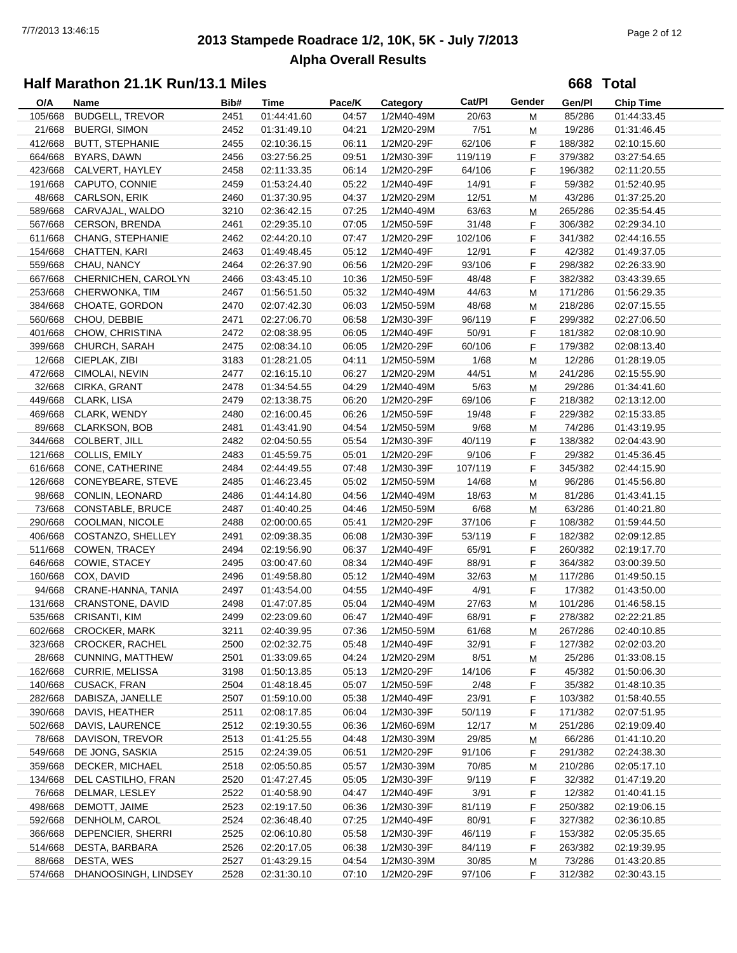# **2013 Stampede Roadrace 1/2, 10K, 5K - July 7/2013** 7/7/2013 13:46:15 Page 2 of 12 **Alpha Overall Results**

**668 Total**

| O/A     | Name                               | Bib# | Time        | Pace/K | Category   | Cat/Pl  | Gender | Gen/Pl  | Chip Time   |  |
|---------|------------------------------------|------|-------------|--------|------------|---------|--------|---------|-------------|--|
| 105/668 | <b>BUDGELL, TREVOR</b>             | 2451 | 01:44:41.60 | 04:57  | 1/2M40-49M | 20/63   | M      | 85/286  | 01:44:33.45 |  |
| 21/668  | <b>BUERGI, SIMON</b>               | 2452 | 01:31:49.10 | 04:21  | 1/2M20-29M | 7/51    | M      | 19/286  | 01:31:46.45 |  |
| 412/668 | <b>BUTT, STEPHANIE</b>             | 2455 | 02:10:36.15 | 06:11  | 1/2M20-29F | 62/106  | F      | 188/382 | 02:10:15.60 |  |
| 664/668 | BYARS, DAWN                        | 2456 | 03:27:56.25 | 09:51  | 1/2M30-39F | 119/119 | F      | 379/382 | 03:27:54.65 |  |
| 423/668 | CALVERT, HAYLEY                    | 2458 | 02:11:33.35 | 06:14  | 1/2M20-29F | 64/106  | F      | 196/382 | 02:11:20.55 |  |
| 191/668 | CAPUTO, CONNIE                     | 2459 | 01:53:24.40 | 05:22  | 1/2M40-49F | 14/91   | F.     | 59/382  | 01:52:40.95 |  |
| 48/668  | CARLSON, ERIK                      | 2460 | 01:37:30.95 | 04:37  | 1/2M20-29M | 12/51   | М      | 43/286  | 01:37:25.20 |  |
| 589/668 | CARVAJAL, WALDO                    | 3210 | 02:36:42.15 | 07:25  | 1/2M40-49M | 63/63   | M      | 265/286 | 02:35:54.45 |  |
| 567/668 | <b>CERSON, BRENDA</b>              | 2461 | 02:29:35.10 | 07:05  | 1/2M50-59F | 31/48   | F      | 306/382 | 02:29:34.10 |  |
| 611/668 | CHANG, STEPHANIE                   | 2462 | 02:44:20.10 | 07:47  | 1/2M20-29F | 102/106 | F      | 341/382 | 02:44:16.55 |  |
| 154/668 | CHATTEN, KARI                      | 2463 |             | 05:12  | 1/2M40-49F | 12/91   |        | 42/382  |             |  |
|         |                                    |      | 01:49:48.45 |        |            |         | F      |         | 01:49:37.05 |  |
| 559/668 | CHAU, NANCY                        | 2464 | 02:26:37.90 | 06:56  | 1/2M20-29F | 93/106  | F      | 298/382 | 02:26:33.90 |  |
|         | 667/668 CHERNICHEN, CAROLYN        | 2466 | 03:43:45.10 | 10:36  | 1/2M50-59F | 48/48   | F.     | 382/382 | 03:43:39.65 |  |
| 253/668 | CHERWONKA, TIM                     | 2467 | 01:56:51.50 | 05:32  | 1/2M40-49M | 44/63   | M      | 171/286 | 01:56:29.35 |  |
| 384/668 | CHOATE, GORDON                     | 2470 | 02:07:42.30 | 06:03  | 1/2M50-59M | 48/68   | М      | 218/286 | 02:07:15.55 |  |
| 560/668 | CHOU, DEBBIE                       | 2471 | 02:27:06.70 | 06:58  | 1/2M30-39F | 96/119  | F      | 299/382 | 02:27:06.50 |  |
| 401/668 | CHOW, CHRISTINA                    | 2472 | 02:08:38.95 | 06:05  | 1/2M40-49F | 50/91   | F      | 181/382 | 02:08:10.90 |  |
| 399/668 | CHURCH, SARAH                      | 2475 | 02:08:34.10 | 06:05  | 1/2M20-29F | 60/106  | F      | 179/382 | 02:08:13.40 |  |
| 12/668  | CIEPLAK, ZIBI                      | 3183 | 01:28:21.05 | 04:11  | 1/2M50-59M | 1/68    | M      | 12/286  | 01:28:19.05 |  |
| 472/668 | CIMOLAI, NEVIN                     | 2477 | 02:16:15.10 | 06:27  | 1/2M20-29M | 44/51   | M      | 241/286 | 02:15:55.90 |  |
| 32/668  | CIRKA, GRANT                       | 2478 | 01:34:54.55 | 04:29  | 1/2M40-49M | 5/63    | M      | 29/286  | 01:34:41.60 |  |
| 449/668 | CLARK, LISA                        | 2479 | 02:13:38.75 | 06:20  | 1/2M20-29F | 69/106  | F.     | 218/382 | 02:13:12.00 |  |
| 469/668 | CLARK, WENDY                       | 2480 | 02:16:00.45 | 06:26  | 1/2M50-59F | 19/48   | F.     | 229/382 | 02:15:33.85 |  |
| 89/668  | <b>CLARKSON, BOB</b>               | 2481 | 01:43:41.90 | 04:54  | 1/2M50-59M | 9/68    | M      | 74/286  | 01:43:19.95 |  |
| 344/668 | COLBERT, JILL                      | 2482 | 02:04:50.55 | 05:54  | 1/2M30-39F | 40/119  | F      | 138/382 | 02:04:43.90 |  |
| 121/668 | <b>COLLIS, EMILY</b>               | 2483 | 01:45:59.75 | 05:01  | 1/2M20-29F | 9/106   | F.     | 29/382  | 01:45:36.45 |  |
| 616/668 | CONE, CATHERINE                    | 2484 | 02:44:49.55 | 07:48  | 1/2M30-39F | 107/119 | F      | 345/382 | 02:44:15.90 |  |
| 126/668 | CONEYBEARE, STEVE                  | 2485 | 01:46:23.45 | 05:02  | 1/2M50-59M | 14/68   | M      | 96/286  | 01:45:56.80 |  |
| 98/668  | <b>CONLIN, LEONARD</b>             | 2486 | 01:44:14.80 | 04:56  | 1/2M40-49M | 18/63   | M      | 81/286  | 01:43:41.15 |  |
| 73/668  | <b>CONSTABLE, BRUCE</b>            | 2487 | 01:40:40.25 | 04:46  | 1/2M50-59M | 6/68    | M      | 63/286  | 01:40:21.80 |  |
| 290/668 | COOLMAN, NICOLE                    | 2488 | 02:00:00.65 | 05:41  | 1/2M20-29F | 37/106  | F      | 108/382 | 01:59:44.50 |  |
| 406/668 | COSTANZO, SHELLEY                  | 2491 | 02:09:38.35 | 06:08  | 1/2M30-39F | 53/119  | F.     | 182/382 | 02:09:12.85 |  |
| 511/668 | COWEN, TRACEY                      | 2494 | 02:19:56.90 | 06:37  | 1/2M40-49F | 65/91   | F.     | 260/382 | 02:19:17.70 |  |
| 646/668 | COWIE, STACEY                      | 2495 | 03:00:47.60 | 08:34  | 1/2M40-49F | 88/91   | F      | 364/382 | 03:00:39.50 |  |
| 160/668 | COX, DAVID                         | 2496 | 01:49:58.80 | 05:12  | 1/2M40-49M | 32/63   | М      | 117/286 | 01:49:50.15 |  |
| 94/668  | CRANE-HANNA, TANIA                 | 2497 | 01:43:54.00 | 04:55  | 1/2M40-49F | 4/91    | F.     | 17/382  | 01:43:50.00 |  |
| 131/668 | CRANSTONE, DAVID                   | 2498 | 01:47:07.85 | 05:04  | 1/2M40-49M | 27/63   | M      | 101/286 | 01:46:58.15 |  |
| 535/668 | <b>CRISANTI, KIM</b>               | 2499 | 02:23:09.60 | 06:47  | 1/2M40-49F | 68/91   | F      | 278/382 | 02:22:21.85 |  |
|         | 602/668 CROCKER, MARK              | 3211 | 02:40:39.95 | 07:36  | 1/2M50-59M | 61/68   | M      | 267/286 | 02:40:10.85 |  |
| 323/668 | <b>CROCKER, RACHEL</b>             | 2500 | 02:02:32.75 | 05:48  | 1/2M40-49F | 32/91   | F      | 127/382 | 02:02:03.20 |  |
| 28/668  | CUNNING, MATTHEW                   | 2501 | 01:33:09.65 | 04:24  | 1/2M20-29M | 8/51    |        | 25/286  | 01:33:08.15 |  |
| 162/668 | <b>CURRIE, MELISSA</b>             | 3198 | 01:50:13.85 | 05:13  | 1/2M20-29F | 14/106  | M      | 45/382  | 01:50:06.30 |  |
| 140/668 | CUSACK, FRAN                       |      |             |        |            | 2/48    | F.     |         |             |  |
|         |                                    | 2504 | 01:48:18.45 | 05:07  | 1/2M50-59F |         | F.     | 35/382  | 01:48:10.35 |  |
| 282/668 | DABISZA, JANELLE<br>DAVIS, HEATHER | 2507 | 01:59:10.00 | 05:38  | 1/2M40-49F | 23/91   | F.     | 103/382 | 01:58:40.55 |  |
| 390/668 |                                    | 2511 | 02:08:17.85 | 06:04  | 1/2M30-39F | 50/119  | F      | 171/382 | 02:07:51.95 |  |
| 502/668 | DAVIS, LAURENCE                    | 2512 | 02:19:30.55 | 06:36  | 1/2M60-69M | 12/17   | M      | 251/286 | 02:19:09.40 |  |
| 78/668  | DAVISON, TREVOR                    | 2513 | 01:41:25.55 | 04:48  | 1/2M30-39M | 29/85   | M      | 66/286  | 01:41:10.20 |  |
| 549/668 | DE JONG, SASKIA                    | 2515 | 02:24:39.05 | 06:51  | 1/2M20-29F | 91/106  | F      | 291/382 | 02:24:38.30 |  |
| 359/668 | DECKER, MICHAEL                    | 2518 | 02:05:50.85 | 05:57  | 1/2M30-39M | 70/85   | M      | 210/286 | 02:05:17.10 |  |
| 134/668 | DEL CASTILHO, FRAN                 | 2520 | 01:47:27.45 | 05:05  | 1/2M30-39F | 9/119   | F.     | 32/382  | 01:47:19.20 |  |
| 76/668  | DELMAR, LESLEY                     | 2522 | 01:40:58.90 | 04:47  | 1/2M40-49F | 3/91    | F.     | 12/382  | 01:40:41.15 |  |
| 498/668 | DEMOTT, JAIME                      | 2523 | 02:19:17.50 | 06:36  | 1/2M30-39F | 81/119  | F.     | 250/382 | 02:19:06.15 |  |
| 592/668 | DENHOLM, CAROL                     | 2524 | 02:36:48.40 | 07:25  | 1/2M40-49F | 80/91   | F      | 327/382 | 02:36:10.85 |  |
| 366/668 | DEPENCIER, SHERRI                  | 2525 | 02:06:10.80 | 05:58  | 1/2M30-39F | 46/119  | F      | 153/382 | 02:05:35.65 |  |
| 514/668 | DESTA, BARBARA                     | 2526 | 02:20:17.05 | 06:38  | 1/2M30-39F | 84/119  | F      | 263/382 | 02:19:39.95 |  |
| 88/668  | DESTA, WES                         | 2527 | 01:43:29.15 | 04:54  | 1/2M30-39M | 30/85   | M      | 73/286  | 01:43:20.85 |  |
| 574/668 | DHANOOSINGH, LINDSEY               | 2528 | 02:31:30.10 | 07:10  | 1/2M20-29F | 97/106  | F.     | 312/382 | 02:30:43.15 |  |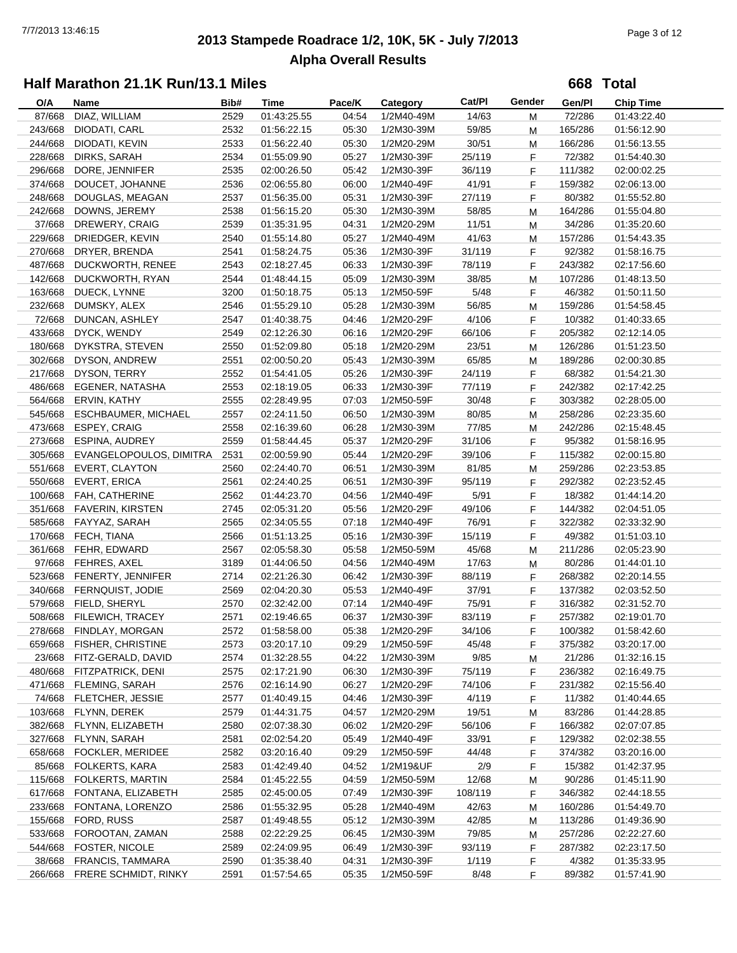# **2013 Stampede Roadrace 1/2, 10K, 5K - July 7/2013** 7/7/2013 13:46:15 Page 3 of 12 **Alpha Overall Results**

**668 Total**

| O/A     | Name                                | Bib# | Time                       | Pace/K | Category   | Cat/PI  | Gender | Gen/Pl  | <b>Chip Time</b> |
|---------|-------------------------------------|------|----------------------------|--------|------------|---------|--------|---------|------------------|
| 87/668  | DIAZ, WILLIAM                       | 2529 | 01:43:25.55                | 04:54  | 1/2M40-49M | 14/63   | М      | 72/286  | 01:43:22.40      |
| 243/668 | DIODATI, CARL                       | 2532 | 01:56:22.15                | 05:30  | 1/2M30-39M | 59/85   | М      | 165/286 | 01:56:12.90      |
| 244/668 | DIODATI, KEVIN                      | 2533 | 01:56:22.40                | 05:30  | 1/2M20-29M | 30/51   | М      | 166/286 | 01:56:13.55      |
| 228/668 | DIRKS, SARAH                        | 2534 | 01:55:09.90                | 05:27  | 1/2M30-39F | 25/119  | F.     | 72/382  | 01:54:40.30      |
| 296/668 | DORE, JENNIFER                      | 2535 | 02:00:26.50                | 05:42  | 1/2M30-39F | 36/119  | F      | 111/382 | 02:00:02.25      |
| 374/668 | DOUCET, JOHANNE                     | 2536 | 02:06:55.80                | 06:00  | 1/2M40-49F | 41/91   | F.     | 159/382 | 02:06:13.00      |
| 248/668 | DOUGLAS, MEAGAN                     | 2537 | 01:56:35.00                | 05:31  | 1/2M30-39F | 27/119  | F.     | 80/382  | 01:55:52.80      |
| 242/668 | DOWNS, JEREMY                       | 2538 | 01:56:15.20                | 05:30  | 1/2M30-39M | 58/85   | М      | 164/286 | 01:55:04.80      |
| 37/668  | DREWERY, CRAIG                      | 2539 | 01:35:31.95                | 04:31  | 1/2M20-29M | 11/51   | М      | 34/286  | 01:35:20.60      |
| 229/668 | DRIEDGER, KEVIN                     | 2540 | 01:55:14.80                | 05:27  | 1/2M40-49M | 41/63   | М      | 157/286 | 01:54:43.35      |
| 270/668 | DRYER, BRENDA                       | 2541 | 01:58:24.75                | 05:36  | 1/2M30-39F | 31/119  | F      | 92/382  | 01:58:16.75      |
| 487/668 | DUCKWORTH, RENEE                    | 2543 | 02:18:27.45                | 06:33  | 1/2M30-39F | 78/119  | F.     | 243/382 | 02:17:56.60      |
| 142/668 | DUCKWORTH, RYAN                     | 2544 | 01:48:44.15                | 05:09  | 1/2M30-39M | 38/85   | M      | 107/286 | 01:48:13.50      |
| 163/668 | DUECK, LYNNE                        | 3200 | 01:50:18.75                | 05:13  | 1/2M50-59F | 5/48    | F.     | 46/382  | 01:50:11.50      |
| 232/668 | DUMSKY, ALEX                        | 2546 | 01:55:29.10                | 05:28  | 1/2M30-39M | 56/85   | М      | 159/286 | 01:54:58.45      |
| 72/668  | DUNCAN, ASHLEY                      | 2547 | 01:40:38.75                | 04:46  | 1/2M20-29F | 4/106   | F.     | 10/382  | 01:40:33.65      |
| 433/668 | DYCK, WENDY                         | 2549 | 02:12:26.30                | 06:16  | 1/2M20-29F | 66/106  | F      | 205/382 | 02:12:14.05      |
| 180/668 | DYKSTRA, STEVEN                     | 2550 | 01:52:09.80                | 05:18  | 1/2M20-29M | 23/51   | М      | 126/286 | 01:51:23.50      |
| 302/668 | DYSON, ANDREW                       | 2551 | 02:00:50.20                | 05:43  | 1/2M30-39M | 65/85   | М      | 189/286 | 02:00:30.85      |
| 217/668 | DYSON, TERRY                        | 2552 | 01:54:41.05                | 05:26  | 1/2M30-39F | 24/119  | F.     | 68/382  | 01:54:21.30      |
| 486/668 | EGENER, NATASHA                     | 2553 |                            | 06:33  | 1/2M30-39F | 77/119  | F.     | 242/382 |                  |
|         |                                     |      | 02:18:19.05<br>02:28:49.95 |        |            |         |        |         | 02:17:42.25      |
| 564/668 | ERVIN, KATHY<br>ESCHBAUMER, MICHAEL | 2555 | 02:24:11.50                | 07:03  | 1/2M50-59F | 30/48   | F.     | 303/382 | 02:28:05.00      |
| 545/668 |                                     | 2557 |                            | 06:50  | 1/2M30-39M | 80/85   | M      | 258/286 | 02:23:35.60      |
| 473/668 | ESPEY, CRAIG                        | 2558 | 02:16:39.60                | 06:28  | 1/2M30-39M | 77/85   | М      | 242/286 | 02:15:48.45      |
| 273/668 | ESPINA, AUDREY                      | 2559 | 01:58:44.45                | 05:37  | 1/2M20-29F | 31/106  | F      | 95/382  | 01:58:16.95      |
| 305/668 | EVANGELOPOULOS, DIMITRA             | 2531 | 02:00:59.90                | 05:44  | 1/2M20-29F | 39/106  | F.     | 115/382 | 02:00:15.80      |
| 551/668 | EVERT, CLAYTON                      | 2560 | 02:24:40.70                | 06:51  | 1/2M30-39M | 81/85   | M      | 259/286 | 02:23:53.85      |
| 550/668 | <b>EVERT, ERICA</b>                 | 2561 | 02:24:40.25                | 06:51  | 1/2M30-39F | 95/119  | F      | 292/382 | 02:23:52.45      |
| 100/668 | FAH, CATHERINE                      | 2562 | 01:44:23.70                | 04:56  | 1/2M40-49F | 5/91    | F.     | 18/382  | 01:44:14.20      |
| 351/668 | <b>FAVERIN, KIRSTEN</b>             | 2745 | 02:05:31.20                | 05:56  | 1/2M20-29F | 49/106  | F.     | 144/382 | 02:04:51.05      |
| 585/668 | FAYYAZ, SARAH                       | 2565 | 02:34:05.55                | 07:18  | 1/2M40-49F | 76/91   | F.     | 322/382 | 02:33:32.90      |
| 170/668 | FECH, TIANA                         | 2566 | 01:51:13.25                | 05:16  | 1/2M30-39F | 15/119  | F.     | 49/382  | 01:51:03.10      |
| 361/668 | FEHR, EDWARD                        | 2567 | 02:05:58.30                | 05:58  | 1/2M50-59M | 45/68   | м      | 211/286 | 02:05:23.90      |
| 97/668  | FEHRES, AXEL                        | 3189 | 01:44:06.50                | 04:56  | 1/2M40-49M | 17/63   | М      | 80/286  | 01:44:01.10      |
| 523/668 | FENERTY, JENNIFER                   | 2714 | 02:21:26.30                | 06:42  | 1/2M30-39F | 88/119  | F      | 268/382 | 02:20:14.55      |
| 340/668 | FERNQUIST, JODIE                    | 2569 | 02:04:20.30                | 05:53  | 1/2M40-49F | 37/91   | F.     | 137/382 | 02:03:52.50      |
| 579/668 | FIELD, SHERYL                       | 2570 | 02:32:42.00                | 07:14  | 1/2M40-49F | 75/91   | F.     | 316/382 | 02:31:52.70      |
| 508/668 | FILEWICH, TRACEY                    | 2571 | 02:19:46.65                | 06:37  | 1/2M30-39F | 83/119  | F.     | 257/382 | 02:19:01.70      |
|         | 278/668 FINDLAY, MORGAN             | 2572 | 01:58:58.00                | 05:38  | 1/2M20-29F | 34/106  | F      | 100/382 | 01:58:42.60      |
|         | 659/668 FISHER, CHRISTINE           | 2573 | 03:20:17.10                | 09:29  | 1/2M50-59F | 45/48   | F.     | 375/382 | 03:20:17.00      |
| 23/668  | FITZ-GERALD, DAVID                  | 2574 | 01:32:28.55                | 04:22  | 1/2M30-39M | 9/85    | M      | 21/286  | 01:32:16.15      |
| 480/668 | FITZPATRICK, DENI                   | 2575 | 02:17:21.90                | 06:30  | 1/2M30-39F | 75/119  | F.     | 236/382 | 02:16:49.75      |
| 471/668 | FLEMING, SARAH                      | 2576 | 02:16:14.90                | 06:27  | 1/2M20-29F | 74/106  | F.     | 231/382 | 02:15:56.40      |
| 74/668  | FLETCHER, JESSIE                    | 2577 | 01:40:49.15                | 04:46  | 1/2M30-39F | 4/119   | F.     | 11/382  | 01:40:44.65      |
| 103/668 | FLYNN, DEREK                        | 2579 | 01:44:31.75                | 04:57  | 1/2M20-29M | 19/51   | M      | 83/286  | 01:44:28.85      |
| 382/668 | FLYNN, ELIZABETH                    | 2580 | 02:07:38.30                | 06:02  | 1/2M20-29F | 56/106  | F.     | 166/382 | 02:07:07.85      |
| 327/668 | FLYNN, SARAH                        | 2581 | 02:02:54.20                | 05:49  | 1/2M40-49F | 33/91   | F      | 129/382 | 02:02:38.55      |
| 658/668 | FOCKLER, MERIDEE                    | 2582 | 03:20:16.40                | 09:29  | 1/2M50-59F | 44/48   | F      | 374/382 | 03:20:16.00      |
| 85/668  | FOLKERTS, KARA                      | 2583 | 01:42:49.40                | 04:52  | 1/2M19&UF  | 2/9     | F      | 15/382  | 01:42:37.95      |
| 115/668 | FOLKERTS, MARTIN                    | 2584 | 01:45:22.55                | 04:59  | 1/2M50-59M | 12/68   | M      | 90/286  | 01:45:11.90      |
| 617/668 | FONTANA, ELIZABETH                  | 2585 | 02:45:00.05                | 07:49  | 1/2M30-39F | 108/119 | F      | 346/382 | 02:44:18.55      |
| 233/668 | FONTANA, LORENZO                    | 2586 | 01:55:32.95                | 05:28  | 1/2M40-49M | 42/63   | M      | 160/286 | 01:54:49.70      |
| 155/668 | FORD, RUSS                          | 2587 | 01:49:48.55                | 05:12  | 1/2M30-39M | 42/85   | M      | 113/286 | 01:49:36.90      |
| 533/668 | FOROOTAN, ZAMAN                     | 2588 | 02:22:29.25                | 06:45  | 1/2M30-39M | 79/85   | м      | 257/286 | 02:22:27.60      |
| 544/668 | FOSTER, NICOLE                      | 2589 | 02:24:09.95                | 06:49  | 1/2M30-39F | 93/119  | F      | 287/382 | 02:23:17.50      |
| 38/668  | FRANCIS, TAMMARA                    | 2590 | 01:35:38.40                | 04:31  | 1/2M30-39F | 1/119   | F.     | 4/382   | 01:35:33.95      |
| 266/668 | FRERE SCHMIDT, RINKY                | 2591 | 01:57:54.65                | 05:35  | 1/2M50-59F | 8/48    | F.     | 89/382  | 01:57:41.90      |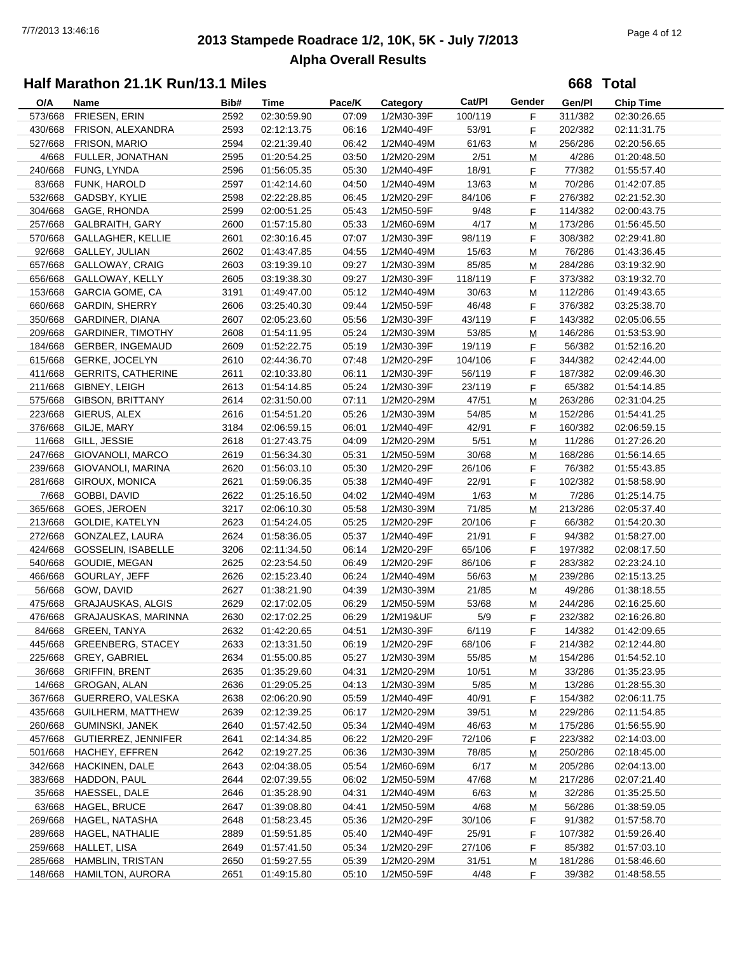# **2013 Stampede Roadrace 1/2, 10K, 5K - July 7/2013** 7/7/2013 13:46:16 Page 4 of 12 **Alpha Overall Results**

**668 Total**

| O/A     | Name                                             | Bib# | Time                       | Pace/K | Category   | Cat/Pl  | Gender | Gen/Pl  | <b>Chip Time</b>           |
|---------|--------------------------------------------------|------|----------------------------|--------|------------|---------|--------|---------|----------------------------|
| 573/668 | FRIESEN, ERIN                                    | 2592 | 02:30:59.90                | 07:09  | 1/2M30-39F | 100/119 | F      | 311/382 | 02:30:26.65                |
| 430/668 | FRISON, ALEXANDRA                                | 2593 | 02:12:13.75                | 06:16  | 1/2M40-49F | 53/91   | F      | 202/382 | 02:11:31.75                |
| 527/668 | FRISON, MARIO                                    | 2594 | 02:21:39.40                | 06:42  | 1/2M40-49M | 61/63   | M      | 256/286 | 02:20:56.65                |
| 4/668   | FULLER, JONATHAN                                 | 2595 | 01:20:54.25                | 03:50  | 1/2M20-29M | 2/51    | M      | 4/286   | 01:20:48.50                |
| 240/668 | FUNG, LYNDA                                      | 2596 | 01:56:05.35                | 05:30  | 1/2M40-49F | 18/91   | F      | 77/382  | 01:55:57.40                |
| 83/668  | FUNK, HAROLD                                     | 2597 | 01:42:14.60                | 04:50  | 1/2M40-49M | 13/63   | M      | 70/286  | 01:42:07.85                |
| 532/668 | GADSBY, KYLIE                                    | 2598 | 02:22:28.85                | 06:45  | 1/2M20-29F | 84/106  | F      | 276/382 | 02:21:52.30                |
| 304/668 | GAGE, RHONDA                                     | 2599 | 02:00:51.25                | 05:43  | 1/2M50-59F | 9/48    | F      | 114/382 | 02:00:43.75                |
| 257/668 | <b>GALBRAITH, GARY</b>                           | 2600 | 01:57:15.80                | 05:33  | 1/2M60-69M | 4/17    | M      | 173/286 | 01:56:45.50                |
| 570/668 | <b>GALLAGHER, KELLIE</b>                         | 2601 | 02:30:16.45                | 07:07  | 1/2M30-39F | 98/119  | F      | 308/382 | 02:29:41.80                |
| 92/668  | GALLEY, JULIAN                                   | 2602 | 01:43:47.85                | 04:55  | 1/2M40-49M | 15/63   | M      | 76/286  | 01:43:36.45                |
| 657/668 | <b>GALLOWAY, CRAIG</b>                           | 2603 | 03:19:39.10                | 09:27  | 1/2M30-39M | 85/85   | M      | 284/286 | 03:19:32.90                |
| 656/668 | GALLOWAY, KELLY                                  | 2605 | 03:19:38.30                | 09:27  | 1/2M30-39F | 118/119 | F      | 373/382 | 03:19:32.70                |
| 153/668 | <b>GARCIA GOME, CA</b>                           | 3191 | 01:49:47.00                | 05:12  | 1/2M40-49M | 30/63   | M      | 112/286 | 01:49:43.65                |
| 660/668 | <b>GARDIN, SHERRY</b>                            | 2606 | 03:25:40.30                | 09:44  | 1/2M50-59F | 46/48   | F      | 376/382 | 03:25:38.70                |
| 350/668 | <b>GARDINER, DIANA</b>                           | 2607 | 02:05:23.60                | 05:56  | 1/2M30-39F | 43/119  | F      | 143/382 | 02:05:06.55                |
| 209/668 | <b>GARDINER, TIMOTHY</b>                         | 2608 | 01:54:11.95                | 05:24  | 1/2M30-39M | 53/85   | м      | 146/286 | 01:53:53.90                |
| 184/668 | GERBER, INGEMAUD                                 | 2609 | 01:52:22.75                | 05:19  | 1/2M30-39F | 19/119  | F      | 56/382  | 01:52:16.20                |
| 615/668 | <b>GERKE, JOCELYN</b>                            | 2610 | 02:44:36.70                | 07:48  | 1/2M20-29F | 104/106 | F      | 344/382 | 02:42:44.00                |
| 411/668 | <b>GERRITS, CATHERINE</b>                        | 2611 | 02:10:33.80                | 06:11  | 1/2M30-39F | 56/119  | F      | 187/382 | 02:09:46.30                |
| 211/668 | GIBNEY, LEIGH                                    | 2613 | 01:54:14.85                | 05:24  | 1/2M30-39F | 23/119  | F      | 65/382  | 01:54:14.85                |
| 575/668 | <b>GIBSON, BRITTANY</b>                          | 2614 | 02:31:50.00                | 07:11  | 1/2M20-29M | 47/51   | M      | 263/286 | 02:31:04.25                |
| 223/668 | GIERUS, ALEX                                     | 2616 | 01:54:51.20                | 05:26  | 1/2M30-39M | 54/85   | M      | 152/286 | 01:54:41.25                |
| 376/668 | GILJE, MARY                                      | 3184 | 02:06:59.15                | 06:01  | 1/2M40-49F | 42/91   | F      | 160/382 | 02:06:59.15                |
| 11/668  | GILL, JESSIE                                     | 2618 | 01:27:43.75                | 04:09  | 1/2M20-29M | 5/51    | M      | 11/286  | 01:27:26.20                |
| 247/668 | GIOVANOLI, MARCO                                 | 2619 | 01:56:34.30                | 05:31  | 1/2M50-59M | 30/68   | M      | 168/286 | 01:56:14.65                |
| 239/668 | GIOVANOLI, MARINA                                | 2620 | 01:56:03.10                | 05:30  | 1/2M20-29F | 26/106  | F      | 76/382  | 01:55:43.85                |
| 281/668 | GIROUX, MONICA                                   | 2621 | 01:59:06.35                | 05:38  | 1/2M40-49F | 22/91   | F      | 102/382 | 01:58:58.90                |
| 7/668   | GOBBI, DAVID                                     | 2622 | 01:25:16.50                | 04:02  | 1/2M40-49M | 1/63    |        | 7/286   | 01:25:14.75                |
| 365/668 | GOES, JEROEN                                     | 3217 | 02:06:10.30                | 05:58  | 1/2M30-39M | 71/85   | M      | 213/286 | 02:05:37.40                |
| 213/668 | <b>GOLDIE, KATELYN</b>                           | 2623 | 01:54:24.05                | 05:25  | 1/2M20-29F | 20/106  | м<br>F | 66/382  | 01:54:20.30                |
| 272/668 | GONZALEZ, LAURA                                  | 2624 | 01:58:36.05                | 05:37  | 1/2M40-49F | 21/91   | F      | 94/382  | 01:58:27.00                |
| 424/668 | <b>GOSSELIN, ISABELLE</b>                        | 3206 | 02:11:34.50                | 06:14  | 1/2M20-29F | 65/106  |        | 197/382 | 02:08:17.50                |
| 540/668 | GOUDIE, MEGAN                                    | 2625 | 02:23:54.50                | 06:49  | 1/2M20-29F | 86/106  | F      | 283/382 |                            |
| 466/668 | GOURLAY, JEFF                                    | 2626 |                            | 06:24  | 1/2M40-49M | 56/63   | F      | 239/286 | 02:23:24.10                |
| 56/668  | GOW, DAVID                                       | 2627 | 02:15:23.40<br>01:38:21.90 | 04:39  | 1/2M30-39M | 21/85   | M      | 49/286  | 02:15:13.25                |
| 475/668 | <b>GRAJAUSKAS, ALGIS</b>                         | 2629 | 02:17:02.05                | 06:29  | 1/2M50-59M | 53/68   | M      | 244/286 | 01:38:18.55<br>02:16:25.60 |
| 476/668 | <b>GRAJAUSKAS, MARINNA</b>                       | 2630 | 02:17:02.25                | 06:29  | 1/2M19&UF  | 5/9     | M      | 232/382 | 02:16:26.80                |
|         |                                                  |      |                            |        |            |         | F      |         |                            |
|         | 84/668 GREEN, TANYA<br>445/668 GREENBERG, STACEY | 2632 | 01:42:20.65                | 04:51  | 1/2M30-39F | 6/119   | F      | 14/382  | 01:42:09.65                |
|         | GREY, GABRIEL                                    | 2633 | 02:13:31.50                | 06:19  | 1/2M20-29F | 68/106  | F      | 214/382 | 02:12:44.80                |
| 225/668 |                                                  | 2634 | 01:55:00.85                | 05:27  | 1/2M30-39M | 55/85   | M      | 154/286 | 01:54:52.10                |
| 36/668  | <b>GRIFFIN, BRENT</b>                            | 2635 | 01:35:29.60                | 04:31  | 1/2M20-29M | 10/51   | M      | 33/286  | 01:35:23.95                |
| 14/668  | GROGAN, ALAN                                     | 2636 | 01:29:05.25                | 04:13  | 1/2M30-39M | 5/85    | M      | 13/286  | 01:28:55.30                |
| 367/668 | GUERRERO, VALESKA                                | 2638 | 02:06:20.90                | 05:59  | 1/2M40-49F | 40/91   | F.     | 154/382 | 02:06:11.75                |
| 435/668 | <b>GUILHERM, MATTHEW</b>                         | 2639 | 02:12:39.25                | 06:17  | 1/2M20-29M | 39/51   | M      | 229/286 | 02:11:54.85                |
| 260/668 | <b>GUMINSKI, JANEK</b>                           | 2640 | 01:57:42.50                | 05:34  | 1/2M40-49M | 46/63   | M      | 175/286 | 01:56:55.90                |
| 457/668 | GUTIERREZ, JENNIFER                              | 2641 | 02:14:34.85                | 06:22  | 1/2M20-29F | 72/106  | F.     | 223/382 | 02:14:03.00                |
| 501/668 | HACHEY, EFFREN                                   | 2642 | 02:19:27.25                | 06:36  | 1/2M30-39M | 78/85   | M      | 250/286 | 02:18:45.00                |
| 342/668 | <b>HACKINEN, DALE</b>                            | 2643 | 02:04:38.05                | 05:54  | 1/2M60-69M | 6/17    | M      | 205/286 | 02:04:13.00                |
| 383/668 | HADDON, PAUL                                     | 2644 | 02:07:39.55                | 06:02  | 1/2M50-59M | 47/68   | M      | 217/286 | 02:07:21.40                |
| 35/668  | HAESSEL, DALE                                    | 2646 | 01:35:28.90                | 04:31  | 1/2M40-49M | 6/63    | M      | 32/286  | 01:35:25.50                |
| 63/668  | HAGEL, BRUCE                                     | 2647 | 01:39:08.80                | 04:41  | 1/2M50-59M | 4/68    | M      | 56/286  | 01:38:59.05                |
| 269/668 | HAGEL, NATASHA                                   | 2648 | 01:58:23.45                | 05:36  | 1/2M20-29F | 30/106  | F.     | 91/382  | 01:57:58.70                |
| 289/668 | HAGEL, NATHALIE                                  | 2889 | 01:59:51.85                | 05:40  | 1/2M40-49F | 25/91   | F.     | 107/382 | 01:59:26.40                |
| 259/668 | HALLET, LISA                                     | 2649 | 01:57:41.50                | 05:34  | 1/2M20-29F | 27/106  | F.     | 85/382  | 01:57:03.10                |
| 285/668 | HAMBLIN, TRISTAN                                 | 2650 | 01:59:27.55                | 05:39  | 1/2M20-29M | 31/51   | M      | 181/286 | 01:58:46.60                |
| 148/668 | HAMILTON, AURORA                                 | 2651 | 01:49:15.80                | 05:10  | 1/2M50-59F | 4/48    | F.     | 39/382  | 01:48:58.55                |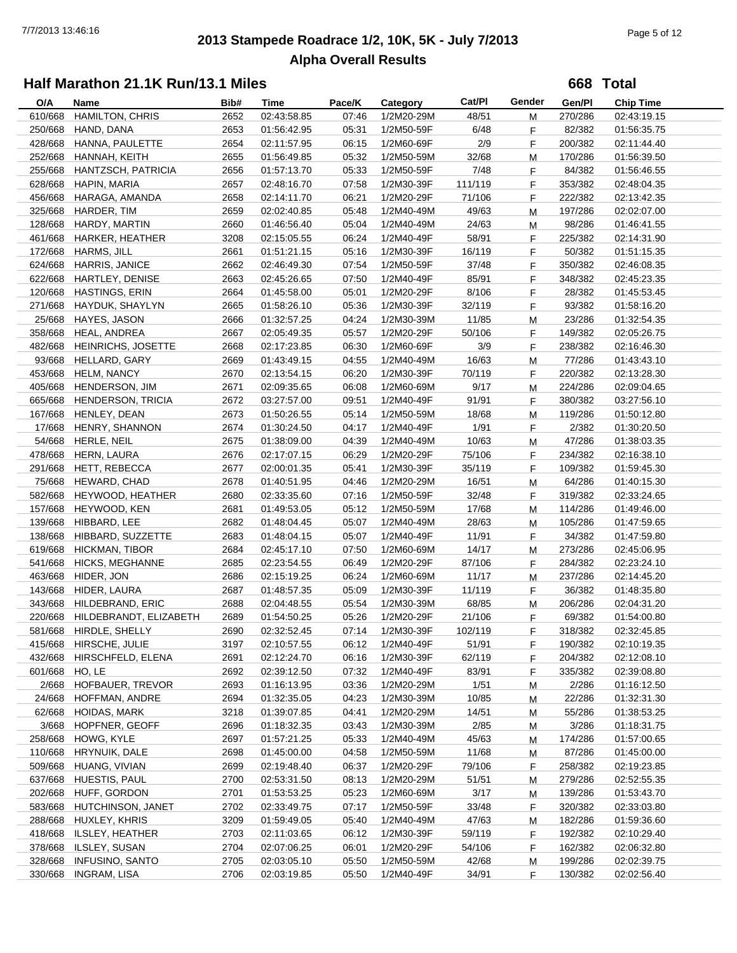# **2013 Stampede Roadrace 1/2, 10K, 5K - July 7/2013** 7/7/2013 13:46:16 Page 5 of 12 **Alpha Overall Results**

**668 Total**

| O/A            | Name                                    | Bib# | Time        | Pace/K         | Category                 | Cat/PI           | Gender | Gen/Pl           | <b>Chip Time</b> |
|----------------|-----------------------------------------|------|-------------|----------------|--------------------------|------------------|--------|------------------|------------------|
| 610/668        | <b>HAMILTON, CHRIS</b>                  | 2652 | 02:43:58.85 | 07:46          | 1/2M20-29M               | 48/51            | М      | 270/286          | 02:43:19.15      |
| 250/668        | HAND, DANA                              | 2653 | 01:56:42.95 | 05:31          | 1/2M50-59F               | 6/48             | F      | 82/382           | 01:56:35.75      |
|                | 428/668 HANNA, PAULETTE                 | 2654 | 02:11:57.95 | 06:15          | 1/2M60-69F               | 2/9              | F      | 200/382          | 02:11:44.40      |
|                | 252/668 HANNAH, KEITH                   | 2655 | 01:56:49.85 | 05:32          | 1/2M50-59M               | 32/68            | М      | 170/286          | 01:56:39.50      |
|                | 255/668 HANTZSCH, PATRICIA              | 2656 | 01:57:13.70 | 05:33          | 1/2M50-59F               | 7/48             | F      | 84/382           | 01:56:46.55      |
| 628/668        | HAPIN, MARIA                            | 2657 | 02:48:16.70 | 07:58          | 1/2M30-39F               | 111/119          | F      | 353/382          | 02:48:04.35      |
| 456/668        | HARAGA, AMANDA                          | 2658 | 02:14:11.70 | 06:21          | 1/2M20-29F               | 71/106           | F      | 222/382          | 02:13:42.35      |
| 325/668        | HARDER, TIM                             | 2659 | 02:02:40.85 | 05:48          | 1/2M40-49M               | 49/63            | М      | 197/286          | 02:02:07.00      |
| 128/668        | HARDY, MARTIN                           | 2660 | 01:46:56.40 | 05:04          | 1/2M40-49M               | 24/63            | M      | 98/286           | 01:46:41.55      |
| 461/668        | HARKER, HEATHER                         | 3208 | 02:15:05.55 | 06:24          | 1/2M40-49F               | 58/91            | F      | 225/382          | 02:14:31.90      |
|                | 172/668 HARMS, JILL                     | 2661 | 01:51:21.15 | 05:16          | 1/2M30-39F               | 16/119           | F      | 50/382           | 01:51:15.35      |
|                | 624/668 HARRIS, JANICE                  | 2662 | 02:46:49.30 | 07:54          | 1/2M50-59F               | 37/48            | F      | 350/382          | 02:46:08.35      |
|                | 622/668 HARTLEY, DENISE                 | 2663 | 02:45:26.65 | 07:50          | 1/2M40-49F               | 85/91            | F      | 348/382          | 02:45:23.35      |
| 120/668        | HASTINGS, ERIN                          | 2664 |             |                |                          |                  | F      |                  |                  |
| 271/668        | HAYDUK, SHAYLYN                         | 2665 | 01:45:58.00 | 05:01          | 1/2M20-29F<br>1/2M30-39F | 8/106<br>32/119  |        | 28/382<br>93/382 | 01:45:53.45      |
|                |                                         |      | 01:58:26.10 | 05:36          |                          |                  | F      |                  | 01:58:16.20      |
| 25/668         | HAYES, JASON                            | 2666 | 01:32:57.25 | 04:24          | 1/2M30-39M               | 11/85            | М      | 23/286           | 01:32:54.35      |
| 358/668        | HEAL, ANDREA                            | 2667 | 02:05:49.35 | 05:57          | 1/2M20-29F               | 50/106           | F      | 149/382          | 02:05:26.75      |
| 482/668        | <b>HEINRICHS, JOSETTE</b>               | 2668 | 02:17:23.85 | 06:30          | 1/2M60-69F               | 3/9              | F      | 238/382          | 02:16:46.30      |
|                | 93/668 HELLARD, GARY                    | 2669 | 01:43:49.15 | 04:55          | 1/2M40-49M               | 16/63            | М      | 77/286           | 01:43:43.10      |
|                | 453/668 HELM, NANCY                     | 2670 | 02:13:54.15 | 06:20          | 1/2M30-39F               | 70/119           | F      | 220/382          | 02:13:28.30      |
| 405/668        | HENDERSON, JIM                          | 2671 | 02:09:35.65 | 06:08          | 1/2M60-69M               | 9/17             | М      | 224/286          | 02:09:04.65      |
| 665/668        | HENDERSON, TRICIA                       | 2672 | 03:27:57.00 | 09:51          | 1/2M40-49F               | 91/91            | F      | 380/382          | 03:27:56.10      |
| 167/668        | HENLEY, DEAN                            | 2673 | 01:50:26.55 | 05:14          | 1/2M50-59M               | 18/68            | М      | 119/286          | 01:50:12.80      |
| 17/668         | HENRY, SHANNON                          | 2674 | 01:30:24.50 | 04:17          | 1/2M40-49F               | 1/91             | F      | 2/382            | 01:30:20.50      |
|                | 54/668 HERLE, NEIL                      | 2675 | 01:38:09.00 | 04:39          | 1/2M40-49M               | 10/63            | М      | 47/286           | 01:38:03.35      |
| 478/668        | HERN, LAURA                             | 2676 | 02:17:07.15 | 06:29          | 1/2M20-29F               | 75/106           | F      | 234/382          | 02:16:38.10      |
|                | 291/668 HETT, REBECCA                   | 2677 | 02:00:01.35 | 05:41          | 1/2M30-39F               | 35/119           | F      | 109/382          | 01:59:45.30      |
|                | 75/668 HEWARD, CHAD                     | 2678 | 01:40:51.95 | 04:46          | 1/2M20-29M               | 16/51            | М      | 64/286           | 01:40:15.30      |
|                | 582/668 HEYWOOD, HEATHER                | 2680 | 02:33:35.60 | 07:16          | 1/2M50-59F               | 32/48            | F      | 319/382          | 02:33:24.65      |
| 157/668        | HEYWOOD, KEN                            | 2681 | 01:49:53.05 | 05:12          | 1/2M50-59M               | 17/68            | М      | 114/286          | 01:49:46.00      |
| 139/668        | HIBBARD, LEE                            | 2682 | 01:48:04.45 | 05:07          | 1/2M40-49M               | 28/63            | М      | 105/286          | 01:47:59.65      |
| 138/668        | HIBBARD, SUZZETTE                       | 2683 | 01:48:04.15 | 05:07          | 1/2M40-49F               | 11/91            | F      | 34/382           | 01:47:59.80      |
| 619/668        | <b>HICKMAN, TIBOR</b>                   | 2684 | 02:45:17.10 | 07:50          | 1/2M60-69M               | 14/17            | М      | 273/286          | 02:45:06.95      |
| 541/668        | <b>HICKS, MEGHANNE</b>                  | 2685 | 02:23:54.55 | 06:49          | 1/2M20-29F               | 87/106           | F      | 284/382          | 02:23:24.10      |
| 463/668        | HIDER, JON                              | 2686 | 02:15:19.25 | 06:24          | 1/2M60-69M               | 11/17            | М      | 237/286          | 02:14:45.20      |
| 143/668        | HIDER, LAURA                            | 2687 | 01:48:57.35 | 05:09          | 1/2M30-39F               | 11/119           | F      | 36/382           | 01:48:35.80      |
| 343/668        | HILDEBRAND, ERIC                        | 2688 | 02:04:48.55 | 05:54          | 1/2M30-39M               | 68/85            | M      | 206/286          | 02:04:31.20      |
| 220/668        | HILDEBRANDT, ELIZABETH                  | 2689 | 01:54:50.25 | 05:26          | 1/2M20-29F               | 21/106           | F      | 69/382           | 01:54:00.80      |
|                | 581/668 HIRDLE, SHELLY                  | 2690 | 02:32:52.45 | 07:14          | 1/2M30-39F               | 102/119          | E      | 318/382          | 02:32:45.85      |
|                | 415/668 HIRSCHE, JULIE                  | 3197 | 02:10:57.55 | 06:12          | 1/2M40-49F               | 51/91            | F      | 190/382          | 02:10:19.35      |
| 432/668        | HIRSCHFELD, ELENA                       | 2691 | 02:12:24.70 | 06:16          | 1/2M30-39F               | 62/119           | F      | 204/382          | 02:12:08.10      |
| 601/668 HO, LE |                                         | 2692 | 02:39:12.50 | 07:32          | 1/2M40-49F               | 83/91            | F      | 335/382          | 02:39:08.80      |
|                | 2/668 HOFBAUER, TREVOR                  | 2693 | 01:16:13.95 | 03:36          | 1/2M20-29M               | 1/51             | M      | 2/286            | 01:16:12.50      |
| 24/668         | HOFFMAN, ANDRE                          | 2694 | 01:32:35.05 | 04:23          | 1/2M30-39M               | 10/85            | M      | 22/286           | 01:32:31.30      |
| 62/668         | <b>HOIDAS, MARK</b>                     | 3218 | 01:39:07.85 | 04:41          | 1/2M20-29M               | 14/51            | M      | 55/286           | 01:38:53.25      |
| 3/668          | HOPFNER, GEOFF                          | 2696 | 01:18:32.35 | 03:43          | 1/2M30-39M               | 2/85             | M      | 3/286            | 01:18:31.75      |
| 258/668        | HOWG, KYLE                              | 2697 | 01:57:21.25 | 05:33          | 1/2M40-49M               | 45/63            | M      | 174/286          | 01:57:00.65      |
| 110/668        | HRYNUIK, DALE                           | 2698 | 01:45:00.00 | 04:58          | 1/2M50-59M               | 11/68            | М      | 87/286           | 01:45:00.00      |
| 509/668        | HUANG, VIVIAN                           | 2699 | 02:19:48.40 | 06:37          | 1/2M20-29F               | 79/106           | F      | 258/382          | 02:19:23.85      |
| 637/668        | HUESTIS, PAUL                           | 2700 | 02:53:31.50 | 08:13          | 1/2M20-29M               | 51/51            | М      | 279/286          | 02:52:55.35      |
|                | 202/668 HUFF, GORDON                    | 2701 | 01:53:53.25 | 05:23          | 1/2M60-69M               | 3/17             |        | 139/286          | 01:53:43.70      |
| 583/668        | HUTCHINSON, JANET                       | 2702 | 02:33:49.75 | 07:17          | 1/2M50-59F               | 33/48            | M<br>F | 320/382          | 02:33:03.80      |
| 288/668        | HUXLEY, KHRIS                           | 3209 | 01:59:49.05 | 05:40          | 1/2M40-49M               | 47/63            |        | 182/286          | 01:59:36.60      |
| 418/668        |                                         |      |             |                |                          |                  | М      |                  |                  |
| 378/668        | ILSLEY, HEATHER                         | 2703 | 02:11:03.65 | 06:12          | 1/2M30-39F<br>1/2M20-29F | 59/119<br>54/106 | F      | 192/382          | 02:10:29.40      |
| 328/668        | ILSLEY, SUSAN<br><b>INFUSINO, SANTO</b> | 2704 | 02:07:06.25 | 06:01<br>05:50 |                          | 42/68            | F      | 162/382          | 02:06:32.80      |
|                |                                         | 2705 | 02:03:05.10 |                | 1/2M50-59M               |                  | М      | 199/286          | 02:02:39.75      |
| 330/668        | INGRAM, LISA                            | 2706 | 02:03:19.85 | 05:50          | 1/2M40-49F               | 34/91            | F      | 130/382          | 02:02:56.40      |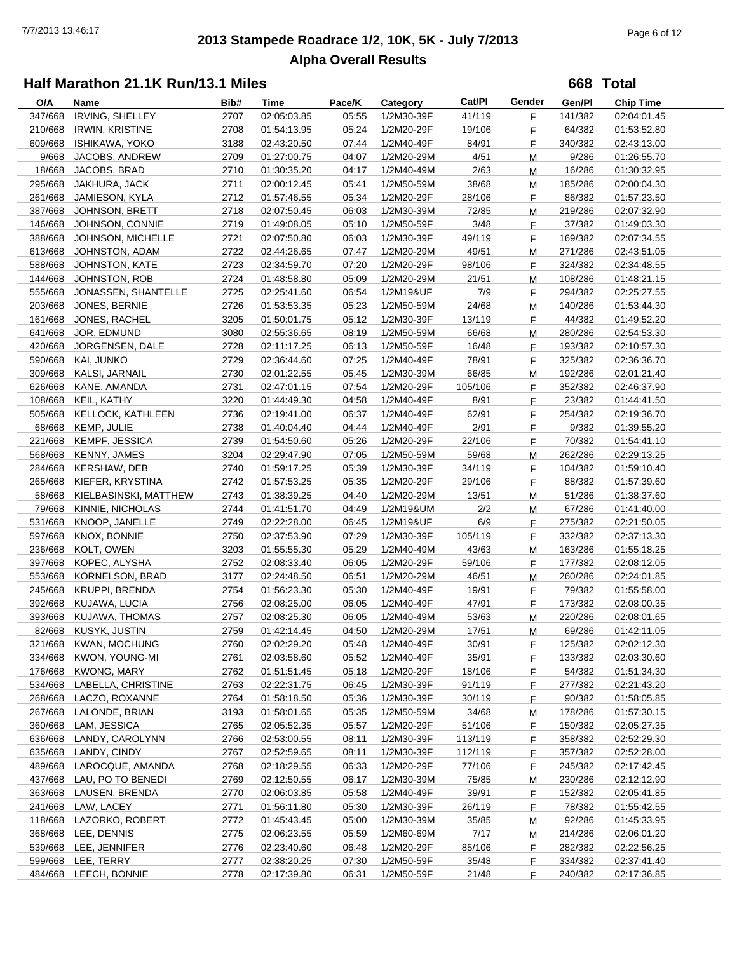# **2013 Stampede Roadrace 1/2, 10K, 5K - July 7/2013** 7/7/2013 13:46:17 Page 6 of 12 **Alpha Overall Results**

**668 Total**

| O/A     | Name                     | Bib# | Time        | Pace/K | Category   | Cat/PI  | Gender | Gen/Pl  | <b>Chip Time</b> |
|---------|--------------------------|------|-------------|--------|------------|---------|--------|---------|------------------|
| 347/668 | <b>IRVING, SHELLEY</b>   | 2707 | 02:05:03.85 | 05:55  | 1/2M30-39F | 41/119  | F      | 141/382 | 02:04:01.45      |
| 210/668 | <b>IRWIN, KRISTINE</b>   | 2708 | 01:54:13.95 | 05:24  | 1/2M20-29F | 19/106  | F      | 64/382  | 01:53:52.80      |
| 609/668 | ISHIKAWA, YOKO           | 3188 | 02:43:20.50 | 07:44  | 1/2M40-49F | 84/91   | F      | 340/382 | 02:43:13.00      |
| 9/668   | JACOBS, ANDREW           | 2709 | 01:27:00.75 | 04:07  | 1/2M20-29M | 4/51    | M      | 9/286   | 01:26:55.70      |
| 18/668  | JACOBS, BRAD             | 2710 | 01:30:35.20 | 04:17  | 1/2M40-49M | 2/63    | M      | 16/286  | 01:30:32.95      |
| 295/668 | JAKHURA, JACK            | 2711 | 02:00:12.45 | 05:41  | 1/2M50-59M | 38/68   | M      | 185/286 | 02:00:04.30      |
| 261/668 | JAMIESON, KYLA           | 2712 | 01:57:46.55 | 05:34  | 1/2M20-29F | 28/106  | F.     | 86/382  | 01:57:23.50      |
| 387/668 | JOHNSON, BRETT           | 2718 | 02:07:50.45 | 06:03  | 1/2M30-39M | 72/85   | М      | 219/286 | 02:07:32.90      |
| 146/668 | JOHNSON, CONNIE          | 2719 | 01:49:08.05 | 05:10  | 1/2M50-59F | 3/48    | F.     | 37/382  | 01:49:03.30      |
| 388/668 | JOHNSON, MICHELLE        | 2721 | 02:07:50.80 | 06:03  | 1/2M30-39F | 49/119  | F      | 169/382 | 02:07:34.55      |
| 613/668 | JOHNSTON, ADAM           | 2722 | 02:44:26.65 | 07:47  | 1/2M20-29M | 49/51   | M      | 271/286 | 02:43:51.05      |
| 588/668 | JOHNSTON, KATE           | 2723 | 02:34:59.70 | 07:20  | 1/2M20-29F | 98/106  | F      | 324/382 | 02:34:48.55      |
| 144/668 | JOHNSTON, ROB            | 2724 | 01:48:58.80 | 05:09  | 1/2M20-29M | 21/51   | M      | 108/286 | 01:48:21.15      |
| 555/668 | JONASSEN, SHANTELLE      | 2725 | 02:25:41.60 | 06:54  | 1/2M19&UF  | 7/9     | F      | 294/382 | 02:25:27.55      |
| 203/668 | JONES, BERNIE            | 2726 | 01:53:53.35 | 05:23  | 1/2M50-59M | 24/68   | М      | 140/286 | 01:53:44.30      |
| 161/668 | JONES, RACHEL            | 3205 | 01:50:01.75 | 05:12  | 1/2M30-39F | 13/119  | F      | 44/382  | 01:49:52.20      |
| 641/668 | JOR, EDMUND              | 3080 | 02:55:36.65 | 08:19  | 1/2M50-59M | 66/68   | м      | 280/286 | 02:54:53.30      |
| 420/668 | JORGENSEN, DALE          | 2728 | 02:11:17.25 | 06:13  | 1/2M50-59F | 16/48   | F.     | 193/382 | 02:10:57.30      |
| 590/668 | KAI, JUNKO               | 2729 | 02:36:44.60 | 07:25  | 1/2M40-49F | 78/91   | F      | 325/382 | 02:36:36.70      |
| 309/668 | KALSI, JARNAIL           | 2730 | 02:01:22.55 | 05:45  | 1/2M30-39M | 66/85   | M      | 192/286 | 02:01:21.40      |
| 626/668 | KANE, AMANDA             | 2731 | 02:47:01.15 | 07:54  | 1/2M20-29F | 105/106 | F      | 352/382 | 02:46:37.90      |
| 108/668 | KEIL, KATHY              | 3220 | 01:44:49.30 | 04:58  | 1/2M40-49F | 8/91    | F.     | 23/382  | 01:44:41.50      |
| 505/668 | <b>KELLOCK, KATHLEEN</b> | 2736 | 02:19:41.00 | 06:37  | 1/2M40-49F | 62/91   | F      | 254/382 | 02:19:36.70      |
| 68/668  | KEMP, JULIE              | 2738 | 01:40:04.40 | 04:44  | 1/2M40-49F | 2/91    | F.     | 9/382   | 01:39:55.20      |
| 221/668 | <b>KEMPF, JESSICA</b>    | 2739 |             | 05:26  | 1/2M20-29F | 22/106  |        | 70/382  | 01:54:41.10      |
|         |                          |      | 01:54:50.60 |        |            |         | F      |         |                  |
| 568/668 | <b>KENNY, JAMES</b>      | 3204 | 02:29:47.90 | 07:05  | 1/2M50-59M | 59/68   | М      | 262/286 | 02:29:13.25      |
| 284/668 | <b>KERSHAW, DEB</b>      | 2740 | 01:59:17.25 | 05:39  | 1/2M30-39F | 34/119  | F      | 104/382 | 01:59:10.40      |
| 265/668 | KIEFER, KRYSTINA         | 2742 | 01:57:53.25 | 05:35  | 1/2M20-29F | 29/106  | F      | 88/382  | 01:57:39.60      |
| 58/668  | KIELBASINSKI, MATTHEW    | 2743 | 01:38:39.25 | 04:40  | 1/2M20-29M | 13/51   | M      | 51/286  | 01:38:37.60      |
| 79/668  | KINNIE, NICHOLAS         | 2744 | 01:41:51.70 | 04:49  | 1/2M19&UM  | 2/2     | М      | 67/286  | 01:41:40.00      |
| 531/668 | KNOOP, JANELLE           | 2749 | 02:22:28.00 | 06:45  | 1/2M19&UF  | 6/9     | F      | 275/382 | 02:21:50.05      |
| 597/668 | KNOX, BONNIE             | 2750 | 02:37:53.90 | 07:29  | 1/2M30-39F | 105/119 | F      | 332/382 | 02:37:13.30      |
| 236/668 | KOLT, OWEN               | 3203 | 01:55:55.30 | 05:29  | 1/2M40-49M | 43/63   | м      | 163/286 | 01:55:18.25      |
| 397/668 | KOPEC, ALYSHA            | 2752 | 02:08:33.40 | 06:05  | 1/2M20-29F | 59/106  | F      | 177/382 | 02:08:12.05      |
| 553/668 | KORNELSON, BRAD          | 3177 | 02:24:48.50 | 06:51  | 1/2M20-29M | 46/51   | M      | 260/286 | 02:24:01.85      |
| 245/668 | <b>KRUPPI, BRENDA</b>    | 2754 | 01:56:23.30 | 05:30  | 1/2M40-49F | 19/91   | F      | 79/382  | 01:55:58.00      |
| 392/668 | KUJAWA, LUCIA            | 2756 | 02:08:25.00 | 06:05  | 1/2M40-49F | 47/91   | F      | 173/382 | 02:08:00.35      |
| 393/668 | KUJAWA, THOMAS           | 2757 | 02:08:25.30 | 06:05  | 1/2M40-49M | 53/63   | M      | 220/286 | 02:08:01.65      |
|         | 82/668 KUSYK, JUSTIN     | 2759 | 01:42:14.45 | 04:50  | 1/2M20-29M | 17/51   | M      | 69/286  | 01:42:11.05      |
|         | 321/668 KWAN, MOCHUNG    | 2760 | 02:02:29.20 | 05.48  | 1/2M40-49F | 30/91   | F.     | 125/382 | 02:02:12.30      |
| 334/668 | KWON, YOUNG-MI           | 2761 | 02:03:58.60 | 05:52  | 1/2M40-49F | 35/91   | F.     | 133/382 | 02:03:30.60      |
| 176/668 | KWONG, MARY              | 2762 | 01:51:51.45 | 05:18  | 1/2M20-29F | 18/106  | F.     | 54/382  | 01:51:34.30      |
| 534/668 | LABELLA, CHRISTINE       | 2763 | 02:22:31.75 | 06:45  | 1/2M30-39F | 91/119  | F.     | 277/382 | 02:21:43.20      |
|         | 268/668 LACZO, ROXANNE   | 2764 | 01:58:18.50 | 05:36  | 1/2M30-39F | 30/119  | F.     | 90/382  | 01:58:05.85      |
|         | 267/668 LALONDE, BRIAN   | 3193 | 01:58:01.65 | 05:35  | 1/2M50-59M | 34/68   | M      | 178/286 | 01:57:30.15      |
| 360/668 | LAM, JESSICA             | 2765 | 02:05:52.35 | 05:57  | 1/2M20-29F | 51/106  | F.     | 150/382 | 02:05:27.35      |
| 636/668 | LANDY, CAROLYNN          | 2766 | 02:53:00.55 | 08:11  | 1/2M30-39F | 113/119 | F.     | 358/382 | 02:52:29.30      |
| 635/668 | LANDY, CINDY             | 2767 | 02:52:59.65 | 08:11  | 1/2M30-39F | 112/119 | F.     | 357/382 | 02:52:28.00      |
| 489/668 | LAROCQUE, AMANDA         | 2768 | 02:18:29.55 | 06:33  | 1/2M20-29F | 77/106  | F.     | 245/382 | 02:17:42.45      |
| 437/668 | LAU, PO TO BENEDI        | 2769 | 02:12:50.55 | 06:17  | 1/2M30-39M | 75/85   | M      | 230/286 | 02:12:12.90      |
| 363/668 | LAUSEN, BRENDA           | 2770 | 02:06:03.85 | 05:58  | 1/2M40-49F | 39/91   | F      | 152/382 | 02:05:41.85      |
| 241/668 | LAW, LACEY               | 2771 | 01:56:11.80 | 05:30  | 1/2M30-39F | 26/119  | F      | 78/382  | 01:55:42.55      |
|         | 118/668 LAZORKO, ROBERT  | 2772 | 01:45:43.45 | 05:00  | 1/2M30-39M | 35/85   | M      | 92/286  | 01:45:33.95      |
| 368/668 | LEE, DENNIS              | 2775 | 02:06:23.55 | 05:59  | 1/2M60-69M | 7/17    | м      | 214/286 | 02:06:01.20      |
|         | 539/668 LEE, JENNIFER    | 2776 | 02:23:40.60 | 06:48  | 1/2M20-29F | 85/106  | F.     | 282/382 | 02:22:56.25      |
|         | 599/668 LEE, TERRY       | 2777 | 02:38:20.25 | 07:30  | 1/2M50-59F | 35/48   | F.     | 334/382 | 02:37:41.40      |
|         | 484/668 LEECH, BONNIE    | 2778 | 02:17:39.80 | 06:31  | 1/2M50-59F | 21/48   | F      | 240/382 | 02:17:36.85      |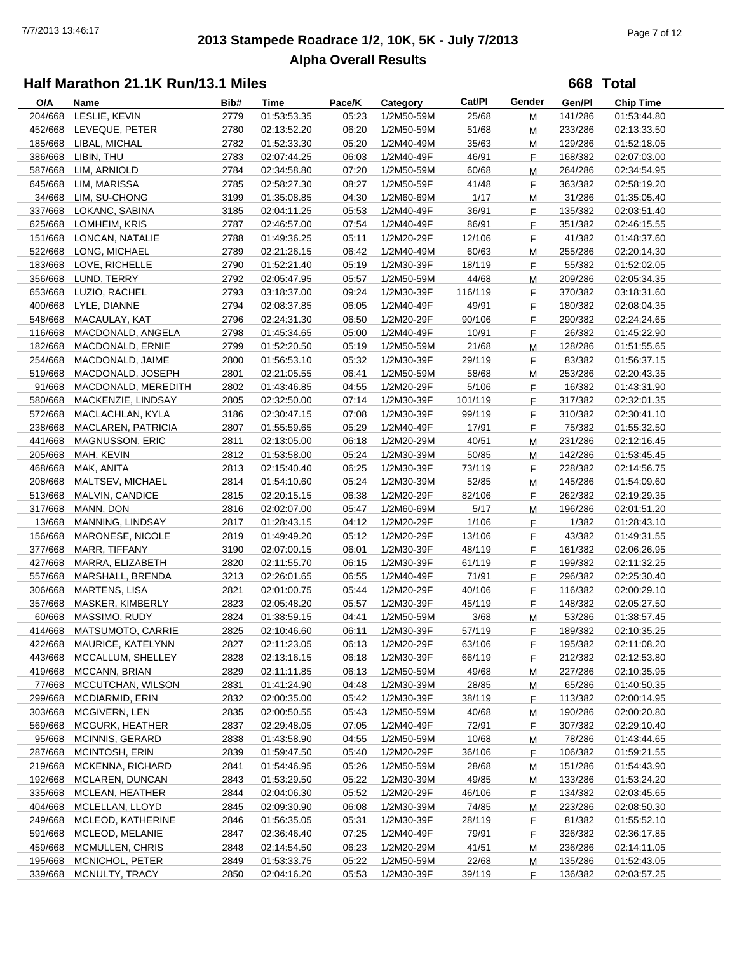# **2013 Stampede Roadrace 1/2, 10K, 5K - July 7/2013** 7/7/2013 13:46:17 Page 7 of 12 **Alpha Overall Results**

**668 Total**

| O/A     | Name                      | Bib# | Time        | Pace/K | Category   | Cat/PI  | Gender | Gen/Pl  | <b>Chip Time</b> |
|---------|---------------------------|------|-------------|--------|------------|---------|--------|---------|------------------|
| 204/668 | LESLIE, KEVIN             | 2779 | 01:53:53.35 | 05:23  | 1/2M50-59M | 25/68   | М      | 141/286 | 01:53:44.80      |
| 452/668 | LEVEQUE, PETER            | 2780 | 02:13:52.20 | 06:20  | 1/2M50-59M | 51/68   | М      | 233/286 | 02:13:33.50      |
| 185/668 | LIBAL, MICHAL             | 2782 | 01:52:33.30 | 05:20  | 1/2M40-49M | 35/63   | М      | 129/286 | 01:52:18.05      |
| 386/668 | LIBIN, THU                | 2783 | 02:07:44.25 | 06:03  | 1/2M40-49F | 46/91   | F      | 168/382 | 02:07:03.00      |
| 587/668 | LIM, ARNIOLD              | 2784 | 02:34:58.80 | 07:20  | 1/2M50-59M | 60/68   | М      | 264/286 | 02:34:54.95      |
| 645/668 | LIM, MARISSA              | 2785 | 02:58:27.30 | 08:27  | 1/2M50-59F | 41/48   | F      | 363/382 | 02:58:19.20      |
| 34/668  | LIM, SU-CHONG             | 3199 | 01:35:08.85 | 04:30  | 1/2M60-69M | 1/17    | M      | 31/286  | 01:35:05.40      |
| 337/668 | LOKANC, SABINA            | 3185 | 02:04:11.25 | 05:53  | 1/2M40-49F | 36/91   | F      | 135/382 | 02:03:51.40      |
| 625/668 | LOMHEIM, KRIS             | 2787 | 02:46:57.00 | 07:54  | 1/2M40-49F | 86/91   | F      | 351/382 | 02:46:15.55      |
| 151/668 | LONCAN, NATALIE           | 2788 | 01:49:36.25 | 05:11  | 1/2M20-29F | 12/106  | F      | 41/382  | 01:48:37.60      |
| 522/668 | LONG, MICHAEL             | 2789 | 02:21:26.15 | 06:42  | 1/2M40-49M | 60/63   | М      | 255/286 | 02:20:14.30      |
| 183/668 | LOVE, RICHELLE            | 2790 | 01:52:21.40 | 05:19  | 1/2M30-39F | 18/119  | F      | 55/382  | 01:52:02.05      |
| 356/668 | LUND, TERRY               | 2792 | 02:05:47.95 | 05:57  | 1/2M50-59M | 44/68   |        | 209/286 | 02:05:34.35      |
| 653/668 | LUZIO, RACHEL             | 2793 |             | 09:24  | 1/2M30-39F |         | М      | 370/382 |                  |
|         |                           |      | 03:18:37.00 |        |            | 116/119 | F      |         | 03:18:31.60      |
| 400/668 | LYLE, DIANNE              | 2794 | 02:08:37.85 | 06:05  | 1/2M40-49F | 49/91   | F      | 180/382 | 02:08:04.35      |
| 548/668 | MACAULAY, KAT             | 2796 | 02:24:31.30 | 06:50  | 1/2M20-29F | 90/106  | F      | 290/382 | 02:24:24.65      |
| 116/668 | MACDONALD, ANGELA         | 2798 | 01:45:34.65 | 05:00  | 1/2M40-49F | 10/91   | F      | 26/382  | 01:45:22.90      |
| 182/668 | MACDONALD, ERNIE          | 2799 | 01:52:20.50 | 05:19  | 1/2M50-59M | 21/68   | М      | 128/286 | 01:51:55.65      |
| 254/668 | MACDONALD, JAIME          | 2800 | 01:56:53.10 | 05:32  | 1/2M30-39F | 29/119  | F      | 83/382  | 01:56:37.15      |
| 519/668 | MACDONALD, JOSEPH         | 2801 | 02:21:05.55 | 06:41  | 1/2M50-59M | 58/68   | М      | 253/286 | 02:20:43.35      |
| 91/668  | MACDONALD, MEREDITH       | 2802 | 01:43:46.85 | 04:55  | 1/2M20-29F | 5/106   | F      | 16/382  | 01:43:31.90      |
| 580/668 | MACKENZIE, LINDSAY        | 2805 | 02:32:50.00 | 07:14  | 1/2M30-39F | 101/119 | F      | 317/382 | 02:32:01.35      |
| 572/668 | MACLACHLAN, KYLA          | 3186 | 02:30:47.15 | 07:08  | 1/2M30-39F | 99/119  | F      | 310/382 | 02:30:41.10      |
| 238/668 | MACLAREN, PATRICIA        | 2807 | 01:55:59.65 | 05:29  | 1/2M40-49F | 17/91   | F.     | 75/382  | 01:55:32.50      |
| 441/668 | <b>MAGNUSSON, ERIC</b>    | 2811 | 02:13:05.00 | 06:18  | 1/2M20-29M | 40/51   | М      | 231/286 | 02:12:16.45      |
| 205/668 | MAH, KEVIN                | 2812 | 01:53:58.00 | 05:24  | 1/2M30-39M | 50/85   | М      | 142/286 | 01:53:45.45      |
| 468/668 | MAK, ANITA                | 2813 | 02:15:40.40 | 06:25  | 1/2M30-39F | 73/119  | F      | 228/382 | 02:14:56.75      |
| 208/668 | MALTSEV, MICHAEL          | 2814 | 01:54:10.60 | 05:24  | 1/2M30-39M | 52/85   | М      | 145/286 | 01:54:09.60      |
| 513/668 | MALVIN, CANDICE           | 2815 | 02:20:15.15 | 06:38  | 1/2M20-29F | 82/106  | F      | 262/382 | 02:19:29.35      |
| 317/668 | MANN, DON                 | 2816 | 02:02:07.00 | 05:47  | 1/2M60-69M | 5/17    | М      | 196/286 | 02:01:51.20      |
| 13/668  | MANNING, LINDSAY          | 2817 | 01:28:43.15 | 04:12  | 1/2M20-29F | 1/106   | F      | 1/382   | 01:28:43.10      |
| 156/668 | MARONESE, NICOLE          | 2819 | 01:49:49.20 | 05:12  | 1/2M20-29F | 13/106  | F      | 43/382  | 01:49:31.55      |
| 377/668 | MARR, TIFFANY             | 3190 |             | 06:01  | 1/2M30-39F | 48/119  |        |         |                  |
|         |                           |      | 02:07:00.15 |        |            |         | F      | 161/382 | 02:06:26.95      |
| 427/668 | MARRA, ELIZABETH          | 2820 | 02:11:55.70 | 06:15  | 1/2M30-39F | 61/119  | F      | 199/382 | 02:11:32.25      |
| 557/668 | MARSHALL, BRENDA          | 3213 | 02:26:01.65 | 06:55  | 1/2M40-49F | 71/91   | F      | 296/382 | 02:25:30.40      |
| 306/668 | MARTENS, LISA             | 2821 | 02:01:00.75 | 05:44  | 1/2M20-29F | 40/106  | F      | 116/382 | 02:00:29.10      |
| 357/668 | MASKER, KIMBERLY          | 2823 | 02:05:48.20 | 05:57  | 1/2M30-39F | 45/119  | F      | 148/382 | 02:05:27.50      |
| 60/668  | MASSIMO, RUDY             | 2824 | 01:38:59.15 | 04:41  | 1/2M50-59M | 3/68    | M      | 53/286  | 01:38:57.45      |
|         | 414/668 MATSUMOTO, CARRIE | 2825 | 02:10:46.60 | 06:11  | 1/2M30-39F | 57/119  |        | 189/382 | 02:10:35.25      |
|         | 422/668 MAURICE, KATELYNN | 2827 | 02:11:23.05 | 06:13  | 1/2M20-29F | 63/106  | F      | 195/382 | 02:11:08.20      |
| 443/668 | MCCALLUM, SHELLEY         | 2828 | 02:13:16.15 | 06:18  | 1/2M30-39F | 66/119  | F      | 212/382 | 02:12:53.80      |
| 419/668 | MCCANN, BRIAN             | 2829 | 02:11:11.85 | 06:13  | 1/2M50-59M | 49/68   | М      | 227/286 | 02:10:35.95      |
| 77/668  | MCCUTCHAN, WILSON         | 2831 | 01:41:24.90 | 04:48  | 1/2M30-39M | 28/85   | М      | 65/286  | 01:40:50.35      |
| 299/668 | MCDIARMID, ERIN           | 2832 | 02:00:35.00 | 05:42  | 1/2M30-39F | 38/119  | F.     | 113/382 | 02:00:14.95      |
| 303/668 | MCGIVERN, LEN             | 2835 | 02:00:50.55 | 05:43  | 1/2M50-59M | 40/68   | М      | 190/286 | 02:00:20.80      |
| 569/668 | <b>MCGURK, HEATHER</b>    | 2837 | 02:29:48.05 | 07:05  | 1/2M40-49F | 72/91   | F      | 307/382 | 02:29:10.40      |
| 95/668  | <b>MCINNIS, GERARD</b>    | 2838 | 01:43:58.90 | 04:55  | 1/2M50-59M | 10/68   | M      | 78/286  | 01:43:44.65      |
| 287/668 | MCINTOSH, ERIN            | 2839 | 01:59:47.50 | 05:40  | 1/2M20-29F | 36/106  | F.     | 106/382 | 01:59:21.55      |
| 219/668 | MCKENNA, RICHARD          | 2841 | 01:54:46.95 | 05:26  | 1/2M50-59M | 28/68   | М      | 151/286 | 01:54:43.90      |
| 192/668 | MCLAREN, DUNCAN           | 2843 | 01:53:29.50 | 05:22  | 1/2M30-39M | 49/85   | М      | 133/286 | 01:53:24.20      |
| 335/668 | MCLEAN, HEATHER           | 2844 | 02:04:06.30 | 05:52  | 1/2M20-29F | 46/106  | F.     | 134/382 | 02:03:45.65      |
| 404/668 | MCLELLAN, LLOYD           | 2845 | 02:09:30.90 | 06:08  | 1/2M30-39M | 74/85   | М      | 223/286 | 02:08:50.30      |
| 249/668 | MCLEOD, KATHERINE         | 2846 | 01:56:35.05 | 05:31  | 1/2M30-39F | 28/119  | F.     | 81/382  | 01:55:52.10      |
| 591/668 | MCLEOD, MELANIE           | 2847 | 02:36:46.40 | 07:25  | 1/2M40-49F | 79/91   | F      | 326/382 | 02:36:17.85      |
| 459/668 | <b>MCMULLEN, CHRIS</b>    | 2848 | 02:14:54.50 | 06:23  | 1/2M20-29M | 41/51   | М      | 236/286 | 02:14:11.05      |
| 195/668 | MCNICHOL, PETER           | 2849 | 01:53:33.75 | 05:22  | 1/2M50-59M | 22/68   |        | 135/286 | 01:52:43.05      |
| 339/668 | MCNULTY, TRACY            | 2850 |             |        |            |         | М      |         |                  |
|         |                           |      | 02:04:16.20 | 05:53  | 1/2M30-39F | 39/119  | F.     | 136/382 | 02:03:57.25      |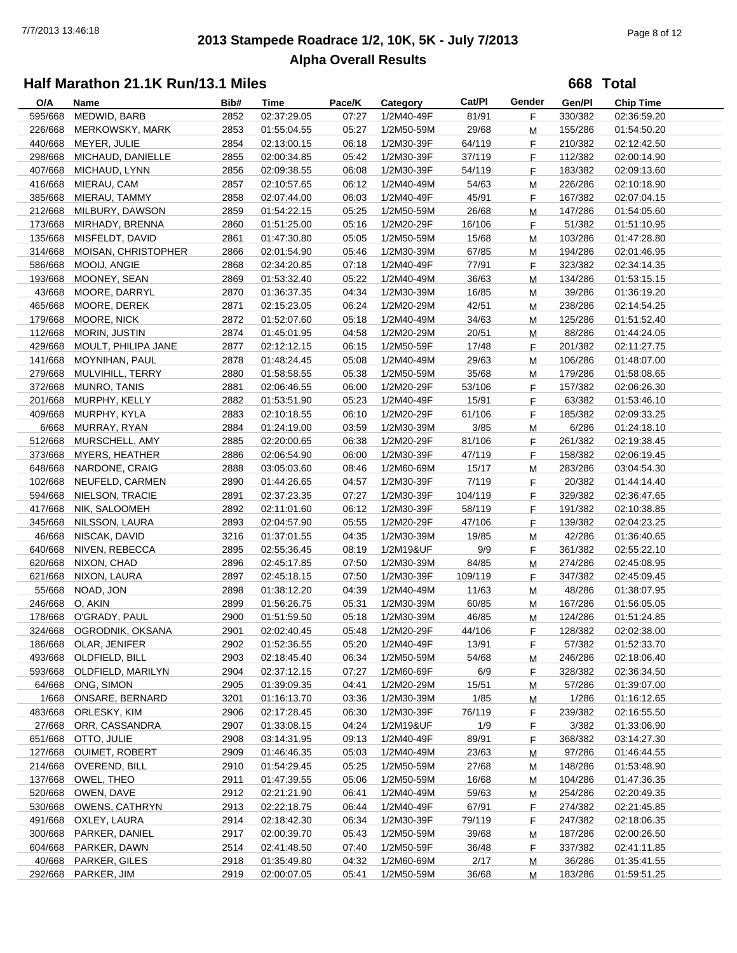# **2013 Stampede Roadrace 1/2, 10K, 5K - July 7/2013** 7/7/2013 13:46:18 Page 8 of 12 **Alpha Overall Results**

**668 Total**

| O/A     | Name                     | Bib# | Time        | Pace/K | Category   | Cat/PI  | Gender | Gen/Pl  | <b>Chip Time</b> |
|---------|--------------------------|------|-------------|--------|------------|---------|--------|---------|------------------|
| 595/668 | MEDWID, BARB             | 2852 | 02:37:29.05 | 07:27  | 1/2M40-49F | 81/91   | F      | 330/382 | 02:36:59.20      |
| 226/668 | <b>MERKOWSKY, MARK</b>   | 2853 | 01:55:04.55 | 05:27  | 1/2M50-59M | 29/68   | М      | 155/286 | 01:54:50.20      |
| 440/668 | MEYER, JULIE             | 2854 | 02:13:00.15 | 06:18  | 1/2M30-39F | 64/119  | F      | 210/382 | 02:12:42.50      |
| 298/668 | MICHAUD, DANIELLE        | 2855 | 02:00:34.85 | 05:42  | 1/2M30-39F | 37/119  | F      | 112/382 | 02:00:14.90      |
| 407/668 | MICHAUD, LYNN            | 2856 | 02:09:38.55 | 06:08  | 1/2M30-39F | 54/119  | F      | 183/382 | 02:09:13.60      |
| 416/668 | MIERAU, CAM              | 2857 | 02:10:57.65 | 06:12  | 1/2M40-49M | 54/63   | M      | 226/286 | 02:10:18.90      |
| 385/668 | MIERAU, TAMMY            | 2858 | 02:07:44.00 | 06:03  | 1/2M40-49F | 45/91   | F      | 167/382 | 02:07:04.15      |
| 212/668 | MILBURY, DAWSON          | 2859 | 01:54:22.15 | 05:25  | 1/2M50-59M | 26/68   | М      | 147/286 | 01:54:05.60      |
| 173/668 | MIRHADY, BRENNA          | 2860 | 01:51:25.00 | 05:16  | 1/2M20-29F | 16/106  | F      | 51/382  | 01:51:10.95      |
| 135/668 | MISFELDT, DAVID          | 2861 | 01:47:30.80 | 05:05  | 1/2M50-59M | 15/68   | М      | 103/286 | 01:47:28.80      |
| 314/668 | MOISAN, CHRISTOPHER      | 2866 | 02:01:54.90 | 05:46  | 1/2M30-39M | 67/85   | M      | 194/286 | 02:01:46.95      |
| 586/668 | MOOIJ, ANGIE             | 2868 | 02:34:20.85 | 07:18  | 1/2M40-49F | 77/91   | F      | 323/382 | 02:34:14.35      |
| 193/668 | MOONEY, SEAN             | 2869 | 01:53:32.40 | 05:22  | 1/2M40-49M | 36/63   | M      | 134/286 | 01:53:15.15      |
| 43/668  | MOORE, DARRYL            | 2870 | 01:36:37.35 | 04:34  | 1/2M30-39M | 16/85   | М      | 39/286  | 01:36:19.20      |
| 465/668 | MOORE, DEREK             | 2871 | 02:15:23.05 | 06:24  | 1/2M20-29M | 42/51   |        | 238/286 | 02:14:54.25      |
| 179/668 | MOORE, NICK              | 2872 | 01:52:07.60 | 05:18  | 1/2M40-49M | 34/63   | М      | 125/286 |                  |
|         |                          |      |             |        |            |         | М      |         | 01:51:52.40      |
| 112/668 | MORIN, JUSTIN            | 2874 | 01:45:01.95 | 04:58  | 1/2M20-29M | 20/51   | м      | 88/286  | 01:44:24.05      |
| 429/668 | MOULT, PHILIPA JANE      | 2877 | 02:12:12.15 | 06:15  | 1/2M50-59F | 17/48   | F      | 201/382 | 02:11:27.75      |
| 141/668 | MOYNIHAN, PAUL           | 2878 | 01:48:24.45 | 05:08  | 1/2M40-49M | 29/63   | M      | 106/286 | 01:48:07.00      |
| 279/668 | MULVIHILL, TERRY         | 2880 | 01:58:58.55 | 05:38  | 1/2M50-59M | 35/68   | M      | 179/286 | 01:58:08.65      |
| 372/668 | MUNRO, TANIS             | 2881 | 02:06:46.55 | 06:00  | 1/2M20-29F | 53/106  | F      | 157/382 | 02:06:26.30      |
| 201/668 | MURPHY, KELLY            | 2882 | 01:53:51.90 | 05:23  | 1/2M40-49F | 15/91   | F.     | 63/382  | 01:53:46.10      |
| 409/668 | MURPHY, KYLA             | 2883 | 02:10:18.55 | 06:10  | 1/2M20-29F | 61/106  | F      | 185/382 | 02:09:33.25      |
| 6/668   | MURRAY, RYAN             | 2884 | 01:24:19.00 | 03:59  | 1/2M30-39M | 3/85    | M      | 6/286   | 01:24:18.10      |
| 512/668 | MURSCHELL, AMY           | 2885 | 02:20:00.65 | 06:38  | 1/2M20-29F | 81/106  | F      | 261/382 | 02:19:38.45      |
| 373/668 | <b>MYERS, HEATHER</b>    | 2886 | 02:06:54.90 | 06:00  | 1/2M30-39F | 47/119  | F      | 158/382 | 02:06:19.45      |
| 648/668 | NARDONE, CRAIG           | 2888 | 03:05:03.60 | 08:46  | 1/2M60-69M | 15/17   | M      | 283/286 | 03:04:54.30      |
| 102/668 | NEUFELD, CARMEN          | 2890 | 01:44:26.65 | 04:57  | 1/2M30-39F | 7/119   | F      | 20/382  | 01:44:14.40      |
| 594/668 | NIELSON, TRACIE          | 2891 | 02:37:23.35 | 07:27  | 1/2M30-39F | 104/119 | F      | 329/382 | 02:36:47.65      |
| 417/668 | NIK, SALOOMEH            | 2892 | 02:11:01.60 | 06:12  | 1/2M30-39F | 58/119  | F      | 191/382 | 02:10:38.85      |
| 345/668 | NILSSON, LAURA           | 2893 | 02:04:57.90 | 05:55  | 1/2M20-29F | 47/106  | F      | 139/382 | 02:04:23.25      |
| 46/668  | NISCAK, DAVID            | 3216 | 01:37:01.55 | 04:35  | 1/2M30-39M | 19/85   | М      | 42/286  | 01:36:40.65      |
| 640/668 | NIVEN, REBECCA           | 2895 | 02:55:36.45 | 08:19  | 1/2M19&UF  | 9/9     | F      | 361/382 | 02:55:22.10      |
| 620/668 | NIXON, CHAD              | 2896 | 02:45:17.85 | 07:50  | 1/2M30-39M | 84/85   | М      | 274/286 | 02:45:08.95      |
| 621/668 | NIXON, LAURA             | 2897 | 02:45:18.15 | 07:50  | 1/2M30-39F | 109/119 | F      | 347/382 | 02:45:09.45      |
| 55/668  | NOAD, JON                | 2898 | 01:38:12.20 | 04:39  | 1/2M40-49M | 11/63   | M      | 48/286  | 01:38:07.95      |
| 246/668 | O, AKIN                  | 2899 | 01:56:26.75 | 05:31  | 1/2M30-39M | 60/85   | M      | 167/286 | 01:56:05.05      |
| 178/668 | O'GRADY, PAUL            | 2900 | 01:51:59.50 | 05:18  | 1/2M30-39M | 46/85   | M      | 124/286 | 01:51:24.85      |
|         | 324/668 OGRODNIK, OKSANA | 2901 | 02:02:40.45 | 05:48  | 1/2M20-29F | 44/106  | F      | 128/382 | 02:02:38.00      |
|         | 186/668 OLAR, JENIFER    | 2902 | 01:52:36.55 | 05:20  | 1/2M40-49F | 13/91   | F.     | 57/382  | 01:52:33.70      |
| 493/668 | OLDFIELD, BILL           | 2903 | 02:18:45.40 | 06:34  | 1/2M50-59M | 54/68   | М      | 246/286 | 02:18:06.40      |
| 593/668 | OLDFIELD, MARILYN        | 2904 | 02:37:12.15 | 07:27  | 1/2M60-69F | 6/9     | F      | 328/382 | 02:36:34.50      |
| 64/668  | ONG, SIMON               | 2905 | 01:39:09.35 | 04:41  | 1/2M20-29M | 15/51   | M      | 57/286  | 01:39:07.00      |
| 1/668   | ONSARE, BERNARD          | 3201 | 01:16:13.70 | 03:36  | 1/2M30-39M | 1/85    | M      | 1/286   | 01:16:12.65      |
| 483/668 | ORLESKY, KIM             | 2906 | 02:17:28.45 | 06:30  | 1/2M30-39F | 76/119  | F      | 239/382 | 02:16:55.50      |
| 27/668  | ORR, CASSANDRA           | 2907 | 01:33:08.15 | 04:24  | 1/2M19&UF  | 1/9     | F.     | 3/382   | 01:33:06.90      |
| 651/668 | OTTO, JULIE              | 2908 | 03:14:31.95 | 09:13  | 1/2M40-49F | 89/91   | F      | 368/382 | 03:14:27.30      |
| 127/668 | <b>OUIMET, ROBERT</b>    | 2909 | 01:46:46.35 | 05:03  | 1/2M40-49M | 23/63   | M      | 97/286  | 01:46:44.55      |
| 214/668 | OVEREND, BILL            | 2910 | 01:54:29.45 | 05:25  | 1/2M50-59M | 27/68   | М      | 148/286 | 01:53:48.90      |
| 137/668 | OWEL, THEO               | 2911 | 01:47:39.55 | 05:06  | 1/2M50-59M | 16/68   | М      | 104/286 | 01:47:36.35      |
| 520/668 | OWEN, DAVE               | 2912 | 02:21:21.90 | 06:41  | 1/2M40-49M | 59/63   | M      | 254/286 | 02:20:49.35      |
| 530/668 | <b>OWENS, CATHRYN</b>    | 2913 | 02:22:18.75 | 06:44  | 1/2M40-49F | 67/91   | F      | 274/382 | 02:21:45.85      |
| 491/668 | OXLEY, LAURA             | 2914 | 02:18:42.30 | 06:34  | 1/2M30-39F | 79/119  | F      | 247/382 | 02:18:06.35      |
| 300/668 | PARKER, DANIEL           | 2917 | 02:00:39.70 | 05:43  | 1/2M50-59M | 39/68   | М      | 187/286 | 02:00:26.50      |
| 604/668 | PARKER, DAWN             | 2514 | 02:41:48.50 | 07:40  | 1/2M50-59F | 36/48   | F      | 337/382 | 02:41:11.85      |
| 40/668  | PARKER, GILES            | 2918 | 01:35:49.80 | 04:32  | 1/2M60-69M | 2/17    | М      | 36/286  | 01:35:41.55      |
| 292/668 | PARKER, JIM              | 2919 | 02:00:07.05 | 05:41  | 1/2M50-59M | 36/68   | М      | 183/286 | 01:59:51.25      |
|         |                          |      |             |        |            |         |        |         |                  |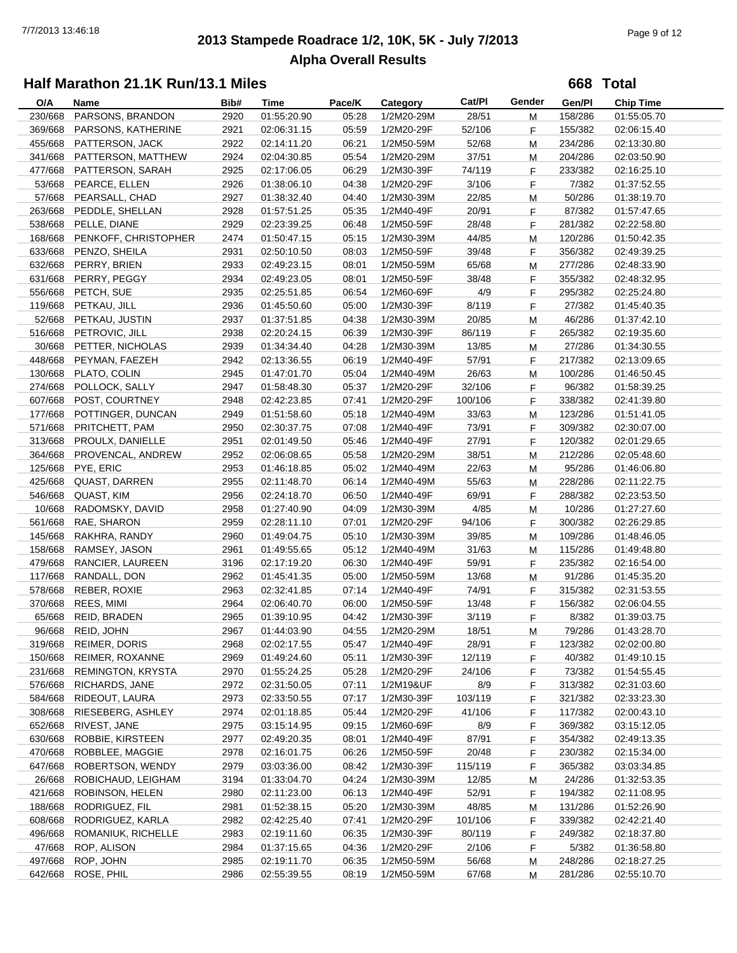# **2013 Stampede Roadrace 1/2, 10K, 5K - July 7/2013** 7/7/2013 13:46:18 Page 9 of 12 **Alpha Overall Results**

**668 Total**

| O/A                | Name                                | Bib# | Time                       | Pace/K | Category                 | Cat/Pl           | Gender | Gen/Pl             | <b>Chip Time</b> |  |
|--------------------|-------------------------------------|------|----------------------------|--------|--------------------------|------------------|--------|--------------------|------------------|--|
| 230/668            | PARSONS, BRANDON                    | 2920 | 01:55:20.90                | 05:28  | 1/2M20-29M               | 28/51            | M      | 158/286            | 01:55:05.70      |  |
| 369/668            | PARSONS, KATHERINE                  | 2921 | 02:06:31.15                | 05:59  | 1/2M20-29F               | 52/106           | F.     | 155/382            | 02:06:15.40      |  |
| 455/668            | PATTERSON, JACK                     | 2922 | 02:14:11.20                | 06:21  | 1/2M50-59M               | 52/68            | M      | 234/286            | 02:13:30.80      |  |
| 341/668            | PATTERSON, MATTHEW                  | 2924 | 02:04:30.85                | 05:54  | 1/2M20-29M               | 37/51            | M      | 204/286            | 02:03:50.90      |  |
| 477/668            | PATTERSON, SARAH                    | 2925 | 02:17:06.05                | 06:29  | 1/2M30-39F               | 74/119           | F.     | 233/382            | 02:16:25.10      |  |
| 53/668             | PEARCE, ELLEN                       | 2926 | 01:38:06.10                | 04:38  | 1/2M20-29F               | 3/106            | F.     | 7/382              | 01:37:52.55      |  |
| 57/668             | PEARSALL, CHAD                      | 2927 | 01:38:32.40                | 04:40  | 1/2M30-39M               | 22/85            | M      | 50/286             | 01:38:19.70      |  |
| 263/668            | PEDDLE, SHELLAN                     | 2928 | 01:57:51.25                | 05:35  | 1/2M40-49F               | 20/91            | F.     | 87/382             | 01:57:47.65      |  |
|                    |                                     |      |                            |        |                          |                  |        | 281/382            |                  |  |
| 538/668            | PELLE, DIANE                        | 2929 | 02:23:39.25                | 06:48  | 1/2M50-59F               | 28/48            | F.     |                    | 02:22:58.80      |  |
| 168/668            | PENKOFF, CHRISTOPHER                | 2474 | 01:50:47.15                | 05:15  | 1/2M30-39M               | 44/85            | м      | 120/286            | 01:50:42.35      |  |
| 633/668            | PENZO, SHEILA                       | 2931 | 02:50:10.50                | 08:03  | 1/2M50-59F               | 39/48            | F.     | 356/382            | 02:49:39.25      |  |
| 632/668            | PERRY, BRIEN                        | 2933 | 02:49:23.15                | 08:01  | 1/2M50-59M               | 65/68            | M      | 277/286            | 02:48:33.90      |  |
| 631/668            | PERRY, PEGGY                        | 2934 | 02:49:23.05                | 08:01  | 1/2M50-59F               | 38/48            | F.     | 355/382            | 02:48:32.95      |  |
| 556/668            | PETCH, SUE                          | 2935 | 02:25:51.85                | 06:54  | 1/2M60-69F               | 4/9              | F.     | 295/382            | 02:25:24.80      |  |
| 119/668            | PETKAU, JILL                        | 2936 | 01:45:50.60                | 05:00  | 1/2M30-39F               | 8/119            | F.     | 27/382             | 01:45:40.35      |  |
| 52/668             | PETKAU, JUSTIN                      | 2937 | 01:37:51.85                | 04:38  | 1/2M30-39M               | 20/85            | M      | 46/286             | 01:37:42.10      |  |
| 516/668            | PETROVIC, JILL                      | 2938 | 02:20:24.15                | 06:39  | 1/2M30-39F               | 86/119           | F.     | 265/382            | 02:19:35.60      |  |
| 30/668             | PETTER, NICHOLAS                    | 2939 | 01:34:34.40                | 04:28  | 1/2M30-39M               | 13/85            | M      | 27/286             | 01:34:30.55      |  |
| 448/668            | PEYMAN, FAEZEH                      | 2942 | 02:13:36.55                | 06:19  | 1/2M40-49F               | 57/91            | F.     | 217/382            | 02:13:09.65      |  |
| 130/668            | PLATO, COLIN                        | 2945 | 01:47:01.70                | 05:04  | 1/2M40-49M               | 26/63            | M      | 100/286            | 01:46:50.45      |  |
| 274/668            | POLLOCK, SALLY                      | 2947 | 01:58:48.30                | 05:37  | 1/2M20-29F               | 32/106           | F.     | 96/382             | 01:58:39.25      |  |
| 607/668            | POST, COURTNEY                      | 2948 | 02:42:23.85                | 07:41  | 1/2M20-29F               | 100/106          | F.     | 338/382            | 02:41:39.80      |  |
| 177/668            | POTTINGER, DUNCAN                   | 2949 | 01:51:58.60                | 05:18  | 1/2M40-49M               | 33/63            | M      | 123/286            | 01:51:41.05      |  |
| 571/668            | PRITCHETT, PAM                      | 2950 | 02:30:37.75                | 07:08  | 1/2M40-49F               | 73/91            | F.     | 309/382            | 02:30:07.00      |  |
| 313/668            | PROULX, DANIELLE                    | 2951 | 02:01:49.50                | 05:46  | 1/2M40-49F               | 27/91            | F.     | 120/382            | 02:01:29.65      |  |
| 364/668            | PROVENCAL, ANDREW                   | 2952 |                            | 05:58  |                          | 38/51            |        | 212/286            |                  |  |
|                    |                                     |      | 02:06:08.65                |        | 1/2M20-29M               |                  | M      |                    | 02:05:48.60      |  |
| 125/668            | PYE, ERIC                           | 2953 | 01:46:18.85                | 05:02  | 1/2M40-49M               | 22/63            | M      | 95/286             | 01:46:06.80      |  |
| 425/668            | <b>QUAST, DARREN</b>                | 2955 | 02:11:48.70                | 06:14  | 1/2M40-49M               | 55/63            | M      | 228/286            | 02:11:22.75      |  |
| 546/668            | QUAST, KIM                          | 2956 | 02:24:18.70                | 06:50  | 1/2M40-49F               | 69/91            | F.     | 288/382            | 02:23:53.50      |  |
| 10/668             | RADOMSKY, DAVID                     | 2958 | 01:27:40.90                | 04:09  | 1/2M30-39M               | 4/85             | M      | 10/286             | 01:27:27.60      |  |
| 561/668            | RAE, SHARON                         | 2959 | 02:28:11.10                | 07:01  | 1/2M20-29F               | 94/106           | F.     | 300/382            | 02:26:29.85      |  |
| 145/668            | RAKHRA, RANDY                       | 2960 | 01:49:04.75                | 05:10  | 1/2M30-39M               | 39/85            | M      | 109/286            | 01:48:46.05      |  |
| 158/668            | RAMSEY, JASON                       | 2961 | 01:49:55.65                | 05:12  | 1/2M40-49M               | 31/63            | M      | 115/286            | 01:49:48.80      |  |
| 479/668            | RANCIER, LAUREEN                    | 3196 | 02:17:19.20                | 06:30  | 1/2M40-49F               | 59/91            | F      | 235/382            | 02:16:54.00      |  |
| 117/668            | RANDALL, DON                        | 2962 | 01:45:41.35                | 05:00  | 1/2M50-59M               | 13/68            | M      | 91/286             | 01:45:35.20      |  |
| 578/668            | REBER, ROXIE                        | 2963 | 02:32:41.85                | 07:14  | 1/2M40-49F               | 74/91            | F      | 315/382            | 02:31:53.55      |  |
| 370/668            | REES, MIMI                          | 2964 | 02:06:40.70                | 06:00  | 1/2M50-59F               | 13/48            | F      | 156/382            | 02:06:04.55      |  |
| 65/668             | REID, BRADEN                        | 2965 | 01:39:10.95                | 04:42  | 1/2M30-39F               | 3/119            | F.     | 8/382              | 01:39:03.75      |  |
| 96/668             | REID, JOHN                          | 2967 | 01:44:03.90                | 04:55  | 1/2M20-29M               | 18/51            | М      | 79/286             | 01:43:28.70      |  |
| 319/668            | REIMER, DORIS                       | 2968 | 02:02:17.55                | 05:47  | 1/2M40-49F               | 28/91            | F      | 123/382            | 02:02:00.80      |  |
| 150/668            | REIMER, ROXANNE                     | 2969 | 01:49:24.60                | 05:11  | 1/2M30-39F               | 12/119           | F      | 40/382             | 01:49:10.15      |  |
| 231/668            | <b>REMINGTON, KRYSTA</b>            | 2970 | 01:55:24.25                | 05:28  | 1/2M20-29F               | 24/106           | F.     | 73/382             | 01:54:55.45      |  |
| 576/668            | RICHARDS, JANE                      | 2972 | 02:31:50.05                | 07:11  | 1/2M19&UF                | 8/9              | F      | 313/382            | 02:31:03.60      |  |
| 584/668            | RIDEOUT, LAURA                      | 2973 | 02:33:50.55                | 07:17  | 1/2M30-39F               | 103/119          | F      | 321/382            | 02:33:23.30      |  |
| 308/668            | RIESEBERG, ASHLEY                   | 2974 | 02:01:18.85                | 05:44  | 1/2M20-29F               | 41/106           | F      | 117/382            | 02:00:43.10      |  |
| 652/668            | RIVEST, JANE                        | 2975 | 03:15:14.95                | 09:15  | 1/2M60-69F               | 8/9              | F      | 369/382            | 03:15:12.05      |  |
| 630/668            | ROBBIE, KIRSTEEN                    | 2977 | 02:49:20.35                | 08:01  | 1/2M40-49F               | 87/91            | F      | 354/382            | 02:49:13.35      |  |
|                    |                                     |      |                            |        |                          |                  |        |                    | 02:15:34.00      |  |
| 470/668<br>647/668 | ROBBLEE, MAGGIE<br>ROBERTSON, WENDY | 2978 | 02:16:01.75<br>03:03:36.00 | 06:26  | 1/2M50-59F<br>1/2M30-39F | 20/48<br>115/119 | F.     | 230/382<br>365/382 | 03:03:34.85      |  |
|                    |                                     | 2979 |                            | 08:42  |                          |                  | F.     |                    |                  |  |
| 26/668             | ROBICHAUD, LEIGHAM                  | 3194 | 01:33:04.70                | 04:24  | 1/2M30-39M               | 12/85            | M      | 24/286             | 01:32:53.35      |  |
| 421/668            | ROBINSON, HELEN                     | 2980 | 02:11:23.00                | 06:13  | 1/2M40-49F               | 52/91            | F.     | 194/382            | 02:11:08.95      |  |
| 188/668            | RODRIGUEZ, FIL                      | 2981 | 01:52:38.15                | 05:20  | 1/2M30-39M               | 48/85            | M      | 131/286            | 01:52:26.90      |  |
| 608/668            | RODRIGUEZ, KARLA                    | 2982 | 02:42:25.40                | 07:41  | 1/2M20-29F               | 101/106          | F      | 339/382            | 02:42:21.40      |  |
| 496/668            | ROMANIUK, RICHELLE                  | 2983 | 02:19:11.60                | 06:35  | 1/2M30-39F               | 80/119           | F      | 249/382            | 02:18:37.80      |  |
| 47/668             | ROP, ALISON                         | 2984 | 01:37:15.65                | 04:36  | 1/2M20-29F               | 2/106            | F      | 5/382              | 01:36:58.80      |  |
| 497/668            | ROP, JOHN                           | 2985 | 02:19:11.70                | 06:35  | 1/2M50-59M               | 56/68            | M      | 248/286            | 02:18:27.25      |  |
| 642/668            | ROSE, PHIL                          | 2986 | 02:55:39.55                | 08:19  | 1/2M50-59M               | 67/68            | M      | 281/286            | 02:55:10.70      |  |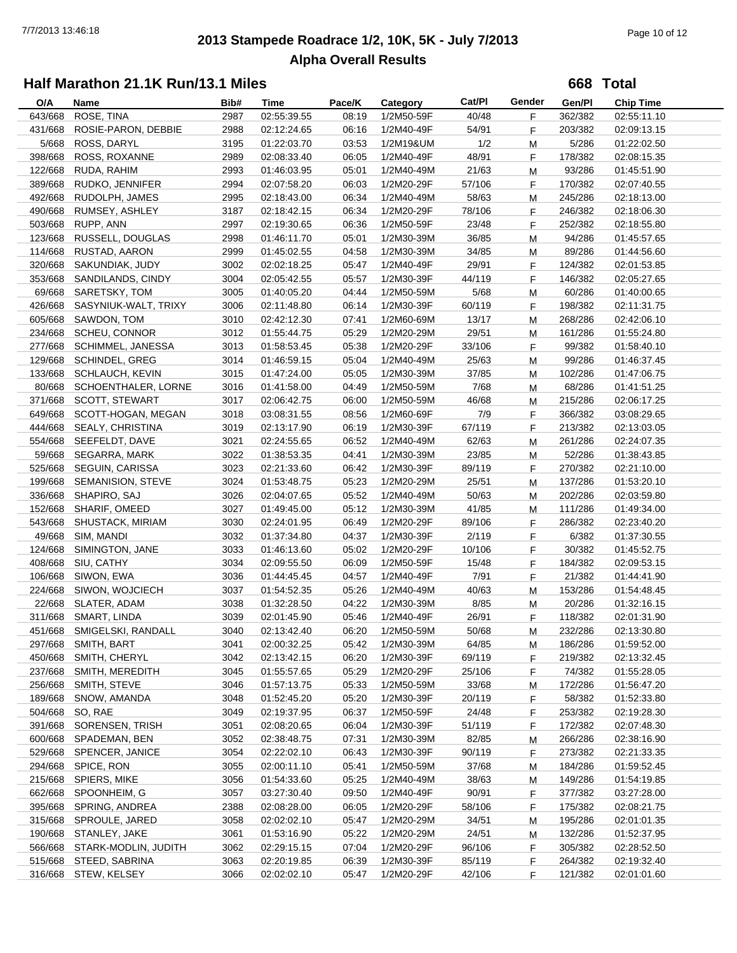# **2013 Stampede Roadrace 1/2, 10K, 5K - July 7/2013** 7/7/2013 13:46:18 Page 10 of 12 **Alpha Overall Results**

**668 Total**

| O/A     | Name                       | Bib# | Time        | Pace/K | Category   | Cat/PI | Gender | Gen/Pl  | <b>Chip Time</b> |
|---------|----------------------------|------|-------------|--------|------------|--------|--------|---------|------------------|
| 643/668 | ROSE, TINA                 | 2987 | 02:55:39.55 | 08:19  | 1/2M50-59F | 40/48  | F      | 362/382 | 02:55:11.10      |
| 431/668 | ROSIE-PARON, DEBBIE        | 2988 | 02:12:24.65 | 06:16  | 1/2M40-49F | 54/91  | F      | 203/382 | 02:09:13.15      |
| 5/668   | ROSS, DARYL                | 3195 | 01:22:03.70 | 03:53  | 1/2M19&UM  | 1/2    | M      | 5/286   | 01:22:02.50      |
| 398/668 | ROSS, ROXANNE              | 2989 | 02:08:33.40 | 06:05  | 1/2M40-49F | 48/91  | F      | 178/382 | 02:08:15.35      |
| 122/668 | RUDA, RAHIM                | 2993 | 01:46:03.95 | 05:01  | 1/2M40-49M | 21/63  | M      | 93/286  | 01:45:51.90      |
| 389/668 | RUDKO, JENNIFER            | 2994 | 02:07:58.20 | 06:03  | 1/2M20-29F | 57/106 | F      | 170/382 | 02:07:40.55      |
| 492/668 | RUDOLPH, JAMES             | 2995 | 02:18:43.00 | 06:34  | 1/2M40-49M | 58/63  | M      | 245/286 | 02:18:13.00      |
| 490/668 | RUMSEY, ASHLEY             | 3187 | 02:18:42.15 | 06:34  | 1/2M20-29F | 78/106 | F      | 246/382 | 02:18:06.30      |
| 503/668 | RUPP, ANN                  | 2997 | 02:19:30.65 | 06:36  | 1/2M50-59F | 23/48  | F      | 252/382 | 02:18:55.80      |
| 123/668 | RUSSELL, DOUGLAS           | 2998 | 01:46:11.70 | 05:01  | 1/2M30-39M | 36/85  | М      | 94/286  | 01:45:57.65      |
| 114/668 | RUSTAD, AARON              | 2999 | 01:45:02.55 | 04:58  | 1/2M30-39M | 34/85  | M      | 89/286  | 01:44:56.60      |
| 320/668 | SAKUNDIAK, JUDY            | 3002 | 02:02:18.25 | 05:47  | 1/2M40-49F | 29/91  | F      | 124/382 | 02:01:53.85      |
| 353/668 | SANDILANDS, CINDY          | 3004 | 02:05:42.55 | 05:57  | 1/2M30-39F | 44/119 | F      | 146/382 | 02:05:27.65      |
| 69/668  | SARETSKY, TOM              | 3005 | 01:40:05.20 | 04:44  | 1/2M50-59M | 5/68   | M      | 60/286  | 01:40:00.65      |
| 426/668 | SASYNIUK-WALT, TRIXY       | 3006 | 02:11:48.80 | 06:14  | 1/2M30-39F | 60/119 | F      | 198/382 | 02:11:31.75      |
| 605/668 | SAWDON, TOM                | 3010 | 02:42:12.30 | 07:41  | 1/2M60-69M | 13/17  | М      | 268/286 | 02:42:06.10      |
| 234/668 | <b>SCHEU, CONNOR</b>       | 3012 | 01:55:44.75 | 05:29  | 1/2M20-29M | 29/51  | м      | 161/286 | 01:55:24.80      |
| 277/668 | SCHIMMEL, JANESSA          | 3013 | 01:58:53.45 | 05:38  | 1/2M20-29F | 33/106 | F      | 99/382  | 01:58:40.10      |
| 129/668 | <b>SCHINDEL, GREG</b>      | 3014 | 01:46:59.15 | 05:04  | 1/2M40-49M | 25/63  | M      | 99/286  | 01:46:37.45      |
| 133/668 | SCHLAUCH, KEVIN            | 3015 | 01:47:24.00 | 05:05  | 1/2M30-39M | 37/85  | M      | 102/286 | 01:47:06.75      |
| 80/668  | SCHOENTHALER, LORNE        | 3016 | 01:41:58.00 | 04:49  | 1/2M50-59M | 7/68   | M      | 68/286  | 01:41:51.25      |
| 371/668 | <b>SCOTT, STEWART</b>      | 3017 | 02:06:42.75 | 06:00  | 1/2M50-59M | 46/68  | М      | 215/286 | 02:06:17.25      |
| 649/668 | SCOTT-HOGAN, MEGAN         | 3018 | 03:08:31.55 | 08:56  | 1/2M60-69F | 7/9    | F      | 366/382 | 03:08:29.65      |
| 444/668 | SEALY, CHRISTINA           | 3019 | 02:13:17.90 | 06:19  | 1/2M30-39F | 67/119 | F      | 213/382 | 02:13:03.05      |
| 554/668 | SEEFELDT, DAVE             | 3021 | 02:24:55.65 | 06:52  |            | 62/63  |        |         |                  |
|         |                            |      |             |        | 1/2M40-49M |        | М      | 261/286 | 02:24:07.35      |
| 59/668  | SEGARRA, MARK              | 3022 | 01:38:53.35 | 04:41  | 1/2M30-39M | 23/85  | м      | 52/286  | 01:38:43.85      |
| 525/668 | SEGUIN, CARISSA            | 3023 | 02:21:33.60 | 06:42  | 1/2M30-39F | 89/119 | F      | 270/382 | 02:21:10.00      |
| 199/668 | SEMANISION, STEVE          | 3024 | 01:53:48.75 | 05:23  | 1/2M20-29M | 25/51  | M      | 137/286 | 01:53:20.10      |
| 336/668 | SHAPIRO, SAJ               | 3026 | 02:04:07.65 | 05:52  | 1/2M40-49M | 50/63  | М      | 202/286 | 02:03:59.80      |
| 152/668 | SHARIF, OMEED              | 3027 | 01:49:45.00 | 05:12  | 1/2M30-39M | 41/85  | М      | 111/286 | 01:49:34.00      |
| 543/668 | SHUSTACK, MIRIAM           | 3030 | 02:24:01.95 | 06:49  | 1/2M20-29F | 89/106 | F      | 286/382 | 02:23:40.20      |
| 49/668  | SIM, MANDI                 | 3032 | 01:37:34.80 | 04:37  | 1/2M30-39F | 2/119  | F      | 6/382   | 01:37:30.55      |
| 124/668 | SIMINGTON, JANE            | 3033 | 01:46:13.60 | 05:02  | 1/2M20-29F | 10/106 | F      | 30/382  | 01:45:52.75      |
| 408/668 | SIU, CATHY                 | 3034 | 02:09:55.50 | 06:09  | 1/2M50-59F | 15/48  | F      | 184/382 | 02:09:53.15      |
| 106/668 | SIWON, EWA                 | 3036 | 01:44:45.45 | 04:57  | 1/2M40-49F | 7/91   | F      | 21/382  | 01:44:41.90      |
| 224/668 | SIWON, WOJCIECH            | 3037 | 01:54:52.35 | 05:26  | 1/2M40-49M | 40/63  | M      | 153/286 | 01:54:48.45      |
| 22/668  | SLATER, ADAM               | 3038 | 01:32:28.50 | 04:22  | 1/2M30-39M | 8/85   | M      | 20/286  | 01:32:16.15      |
| 311/668 | SMART, LINDA               | 3039 | 02:01:45.90 | 05:46  | 1/2M40-49F | 26/91  | F      | 118/382 | 02:01:31.90      |
|         | 451/668 SMIGELSKI, RANDALL | 3040 | 02:13:42.40 | 06:20  | 1/2M50-59M | 50/68  | M      | 232/286 | 02:13:30.80      |
|         | 297/668 SMITH, BART        | 3041 | 02:00:32.25 | 05:42  | 1/2M30-39M | 64/85  | м      | 186/286 | 01:59:52.00      |
| 450/668 | SMITH, CHERYL              | 3042 | 02:13:42.15 | 06:20  | 1/2M30-39F | 69/119 | F.     | 219/382 | 02:13:32.45      |
| 237/668 | SMITH, MEREDITH            | 3045 | 01:55:57.65 | 05:29  | 1/2M20-29F | 25/106 | F.     | 74/382  | 01:55:28.05      |
| 256/668 | SMITH, STEVE               | 3046 | 01:57:13.75 | 05:33  | 1/2M50-59M | 33/68  | M      | 172/286 | 01:56:47.20      |
| 189/668 | SNOW, AMANDA               | 3048 | 01:52:45.20 | 05:20  | 1/2M30-39F | 20/119 | F      | 58/382  | 01:52:33.80      |
| 504/668 | SO, RAE                    | 3049 | 02:19:37.95 | 06:37  | 1/2M50-59F | 24/48  | F      | 253/382 | 02:19:28.30      |
| 391/668 | SORENSEN, TRISH            | 3051 | 02:08:20.65 | 06:04  | 1/2M30-39F | 51/119 | F      | 172/382 | 02:07:48.30      |
| 600/668 | SPADEMAN, BEN              | 3052 | 02:38:48.75 | 07:31  | 1/2M30-39M | 82/85  | M      | 266/286 | 02:38:16.90      |
| 529/668 | SPENCER, JANICE            | 3054 | 02:22:02.10 | 06:43  | 1/2M30-39F | 90/119 | F      | 273/382 | 02:21:33.35      |
| 294/668 | SPICE, RON                 | 3055 | 02:00:11.10 | 05:41  | 1/2M50-59M | 37/68  | М      | 184/286 | 01:59:52.45      |
| 215/668 | SPIERS, MIKE               | 3056 | 01:54:33.60 | 05:25  | 1/2M40-49M | 38/63  | М      | 149/286 | 01:54:19.85      |
| 662/668 | SPOONHEIM, G               | 3057 | 03:27:30.40 | 09:50  | 1/2M40-49F | 90/91  | F      | 377/382 | 03:27:28.00      |
| 395/668 | SPRING, ANDREA             | 2388 | 02:08:28.00 | 06:05  | 1/2M20-29F | 58/106 | F      | 175/382 | 02:08:21.75      |
| 315/668 | SPROULE, JARED             | 3058 | 02:02:02.10 | 05:47  | 1/2M20-29M | 34/51  | M      | 195/286 | 02:01:01.35      |
| 190/668 | STANLEY, JAKE              | 3061 | 01:53:16.90 | 05:22  | 1/2M20-29M | 24/51  | М      | 132/286 | 01:52:37.95      |
| 566/668 | STARK-MODLIN, JUDITH       | 3062 | 02:29:15.15 | 07:04  | 1/2M20-29F | 96/106 | F.     | 305/382 | 02:28:52.50      |
| 515/668 | STEED, SABRINA             | 3063 | 02:20:19.85 | 06:39  | 1/2M30-39F | 85/119 | F      | 264/382 | 02:19:32.40      |
| 316/668 | STEW, KELSEY               | 3066 | 02:02:02.10 | 05:47  | 1/2M20-29F | 42/106 | F.     | 121/382 | 02:01:01.60      |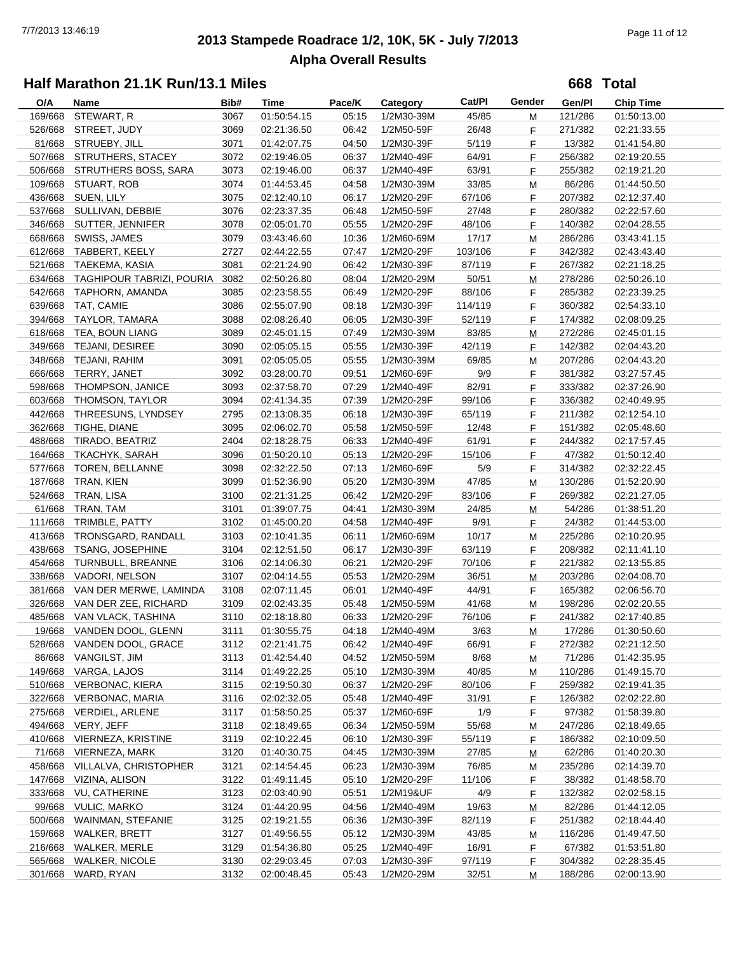# **2013 Stampede Roadrace 1/2, 10K, 5K - July 7/2013** 7/7/2013 13:46:19 Page 11 of 12 **Alpha Overall Results**

**668 Total**

| O/A     | Name                              | Bib#         | Time                       | Pace/K         | Category                 | Cat/PI          | Gender  | Gen/Pl  | <b>Chip Time</b>           |
|---------|-----------------------------------|--------------|----------------------------|----------------|--------------------------|-----------------|---------|---------|----------------------------|
| 169/668 | STEWART, R                        | 3067         | 01:50:54.15                | 05:15          | 1/2M30-39M               | 45/85           | M       | 121/286 | 01:50:13.00                |
| 526/668 | STREET, JUDY                      | 3069         | 02:21:36.50                | 06:42          | 1/2M50-59F               | 26/48           | F       | 271/382 | 02:21:33.55                |
|         | 81/668 STRUEBY, JILL              | 3071         | 01:42:07.75                | 04:50          | 1/2M30-39F               | 5/119           | F       | 13/382  | 01:41:54.80                |
|         | 507/668 STRUTHERS, STACEY         | 3072         | 02:19:46.05                | 06:37          | 1/2M40-49F               | 64/91           | F       | 256/382 | 02:19:20.55                |
|         | 506/668 STRUTHERS BOSS, SARA      | 3073         | 02:19:46.00                | 06:37          | 1/2M40-49F               | 63/91           | F       | 255/382 | 02:19:21.20                |
| 109/668 | STUART, ROB                       | 3074         | 01:44:53.45                | 04:58          | 1/2M30-39M               | 33/85           | M       | 86/286  | 01:44:50.50                |
|         | 436/668 SUEN, LILY                | 3075         | 02:12:40.10                | 06:17          | 1/2M20-29F               | 67/106          | F       | 207/382 | 02:12:37.40                |
| 537/668 | SULLIVAN, DEBBIE                  | 3076         | 02:23:37.35                | 06:48          | 1/2M50-59F               | 27/48           | F       | 280/382 | 02:22:57.60                |
|         | 346/668 SUTTER, JENNIFER          | 3078         | 02:05:01.70                | 05:55          | 1/2M20-29F               | 48/106          | F       | 140/382 | 02:04:28.55                |
| 668/668 | SWISS, JAMES                      | 3079         | 03:43:46.60                | 10:36          | 1/2M60-69M               | 17/17           | M       | 286/286 | 03:43:41.15                |
|         | 612/668 TABBERT, KEELY            | 2727         | 02:44:22.55                | 07:47          | 1/2M20-29F               | 103/106         | F       | 342/382 | 02:43:43.40                |
|         | 521/668 TAEKEMA, KASIA            | 3081         | 02:21:24.90                | 06:42          | 1/2M30-39F               | 87/119          | F       | 267/382 | 02:21:18.25                |
|         | 634/668 TAGHIPOUR TABRIZI, POURIA | 3082         | 02:50:26.80                | 08:04          | 1/2M20-29M               | 50/51           | M       | 278/286 | 02:50:26.10                |
|         | 542/668 TAPHORN, AMANDA           | 3085         | 02:23:58.55                | 06:49          | 1/2M20-29F               | 88/106          | F       | 285/382 | 02:23:39.25                |
|         | 639/668 TAT, CAMIE                | 3086         | 02:55:07.90                | 08:18          | 1/2M30-39F               | 114/119         | F       | 360/382 | 02:54:33.10                |
| 394/668 | TAYLOR, TAMARA                    | 3088         | 02:08:26.40                | 06:05          | 1/2M30-39F               | 52/119          | F       | 174/382 | 02:08:09.25                |
|         | 618/668 TEA, BOUN LIANG           | 3089         | 02:45:01.15                | 07:49          | 1/2M30-39M               | 83/85           | м       | 272/286 | 02:45:01.15                |
| 349/668 | TEJANI, DESIREE                   | 3090         | 02:05:05.15                | 05:55          | 1/2M30-39F               | 42/119          | F       | 142/382 | 02:04:43.20                |
| 348/668 | TEJANI, RAHIM                     | 3091         | 02:05:05.05                | 05:55          | 1/2M30-39M               | 69/85           | M       | 207/286 | 02:04:43.20                |
| 666/668 | TERRY, JANET                      | 3092         | 03:28:00.70                | 09:51          | 1/2M60-69F               | 9/9             | F       | 381/382 | 03:27:57.45                |
| 598/668 | THOMPSON, JANICE                  | 3093         | 02:37:58.70                | 07:29          | 1/2M40-49F               | 82/91           | F       | 333/382 | 02:37:26.90                |
| 603/668 | THOMSON, TAYLOR                   | 3094         | 02:41:34.35                | 07:39          | 1/2M20-29F               | 99/106          | F.      | 336/382 | 02:40:49.95                |
| 442/668 | THREESUNS, LYNDSEY                | 2795         | 02:13:08.35                | 06:18          | 1/2M30-39F               | 65/119          | F.      | 211/382 | 02:12:54.10                |
| 362/668 | TIGHE, DIANE                      | 3095         | 02:06:02.70                | 05:58          | 1/2M50-59F               | 12/48           | F       | 151/382 | 02:05:48.60                |
| 488/668 | TIRADO, BEATRIZ                   | 2404         | 02:18:28.75                | 06:33          | 1/2M40-49F               | 61/91           | F       | 244/382 | 02:17:57.45                |
| 164/668 | TKACHYK, SARAH                    | 3096         | 01:50:20.10                | 05:13          | 1/2M20-29F               | 15/106          | F       | 47/382  | 01:50:12.40                |
| 577/668 | <b>TOREN, BELLANNE</b>            | 3098         | 02:32:22.50                | 07:13          | 1/2M60-69F               | 5/9             | F       | 314/382 | 02:32:22.45                |
| 187/668 | TRAN, KIEN                        | 3099         | 01:52:36.90                | 05:20          | 1/2M30-39M               | 47/85           | M       | 130/286 | 01:52:20.90                |
| 524/668 | TRAN, LISA                        | 3100         | 02:21:31.25                | 06:42          | 1/2M20-29F               | 83/106          | F       | 269/382 | 02:21:27.05                |
| 61/668  | TRAN, TAM                         | 3101         | 01:39:07.75                | 04:41          | 1/2M30-39M               | 24/85           | M       | 54/286  | 01:38:51.20                |
| 111/668 | TRIMBLE, PATTY                    | 3102         | 01:45:00.20                | 04:58          | 1/2M40-49F               | 9/91            | F       | 24/382  | 01:44:53.00                |
| 413/668 | TRONSGARD, RANDALL                | 3103         | 02:10:41.35                | 06:11          | 1/2M60-69M               | 10/17           | м       | 225/286 | 02:10:20.95                |
| 438/668 | <b>TSANG, JOSEPHINE</b>           | 3104         | 02:12:51.50                | 06:17          | 1/2M30-39F               | 63/119          | F       | 208/382 | 02:11:41.10                |
| 454/668 | TURNBULL, BREANNE                 | 3106         | 02:14:06.30                | 06:21          | 1/2M20-29F               | 70/106          | F       | 221/382 | 02:13:55.85                |
|         | 338/668 VADORI, NELSON            | 3107         | 02:04:14.55                | 05:53          | 1/2M20-29M               | 36/51           | M       | 203/286 | 02:04:08.70                |
| 381/668 | VAN DER MERWE, LAMINDA            | 3108         | 02:07:11.45                | 06:01          | 1/2M40-49F               | 44/91           | F       | 165/382 | 02:06:56.70                |
|         | 326/668 VAN DER ZEE, RICHARD      | 3109         | 02:02:43.35                | 05:48          | 1/2M50-59M               | 41/68           | M       | 198/286 | 02:02:20.55                |
|         | 485/668 VAN VLACK, TASHINA        | 3110         | 02:18:18.80                | 06:33          | 1/2M20-29F               | 76/106          | F       | 241/382 | 02:17:40.85                |
|         | 19/668 VANDEN DOOL, GLENN         | 3111         | 01:30:55.75                | 04:18          | 1/2M40-49M               | 3/63            |         | 17/286  | 01:30:50.60                |
|         | 528/668 VANDEN DOOL, GRACE        | 3112         | 02:21:41.75                | 06:42          | 1/2M40-49F               | 66/91           | M<br>F  | 272/382 | 02:21:12.50                |
|         | 86/668 VANGILST, JIM              | 3113         | 01:42:54.40                | 04:52          | 1/2M50-59M               | 8/68            |         | 71/286  | 01:42:35.95                |
|         | 149/668 VARGA, LAJOS              | 3114         | 01:49:22.25                | 05:10          | 1/2M30-39M               | 40/85           | M       | 110/286 | 01:49:15.70                |
|         | 510/668 VERBONAC, KIERA           | 3115         | 02:19:50.30                | 06:37          | 1/2M20-29F               | 80/106          | M<br>F. | 259/382 | 02:19:41.35                |
|         | 322/668 VERBONAC, MARIA           | 3116         | 02:02:32.05                | 05:48          | 1/2M40-49F               | 31/91           | F.      | 126/382 | 02:02:22.80                |
|         | 275/668 VERDIEL, ARLENE           | 3117         | 01:58:50.25                | 05:37          | 1/2M60-69F               | 1/9             | F.      | 97/382  | 01:58:39.80                |
|         | 494/668 VERY, JEFF                | 3118         | 02:18:49.65                | 06:34          | 1/2M50-59M               | 55/68           | M       | 247/286 | 02:18:49.65                |
|         | 410/668 VIERNEZA, KRISTINE        | 3119         | 02:10:22.45                | 06:10          | 1/2M30-39F               | 55/119          | F.      | 186/382 | 02:10:09.50                |
|         | 71/668 VIERNEZA, MARK             | 3120         | 01:40:30.75                | 04:45          | 1/2M30-39M               | 27/85           |         | 62/286  | 01:40:20.30                |
|         | 458/668 VILLALVA, CHRISTOPHER     |              |                            |                |                          |                 | М       | 235/286 |                            |
|         | 147/668 VIZINA, ALISON            | 3121<br>3122 | 02:14:54.45<br>01:49:11.45 | 06:23<br>05:10 | 1/2M30-39M<br>1/2M20-29F | 76/85<br>11/106 | М       | 38/382  | 02:14:39.70<br>01:48:58.70 |
|         | 333/668 VU, CATHERINE             |              |                            |                |                          |                 | F.      | 132/382 |                            |
|         |                                   | 3123         | 02:03:40.90                | 05:51          | 1/2M19&UF                | 4/9             | F.      |         | 02:02:58.15                |
|         | 99/668 VULIC, MARKO               | 3124         | 01:44:20.95                | 04:56          | 1/2M40-49M               | 19/63           | M       | 82/286  | 01:44:12.05                |
| 500/668 | WAINMAN, STEFANIE                 | 3125         | 02:19:21.55                | 06:36          | 1/2M30-39F               | 82/119          | F       | 251/382 | 02:18:44.40                |
| 159/668 | WALKER, BRETT                     | 3127         | 01:49:56.55                | 05:12          | 1/2M30-39M               | 43/85           | M       | 116/286 | 01:49:47.50                |
| 216/668 | WALKER, MERLE                     | 3129         | 01:54:36.80                | 05:25          | 1/2M40-49F               | 16/91           | F.      | 67/382  | 01:53:51.80                |
| 565/668 | <b>WALKER, NICOLE</b>             | 3130         | 02:29:03.45                | 07:03          | 1/2M30-39F               | 97/119          | F.      | 304/382 | 02:28:35.45                |
| 301/668 | WARD, RYAN                        | 3132         | 02:00:48.45                | 05:43          | 1/2M20-29M               | 32/51           | M       | 188/286 | 02:00:13.90                |